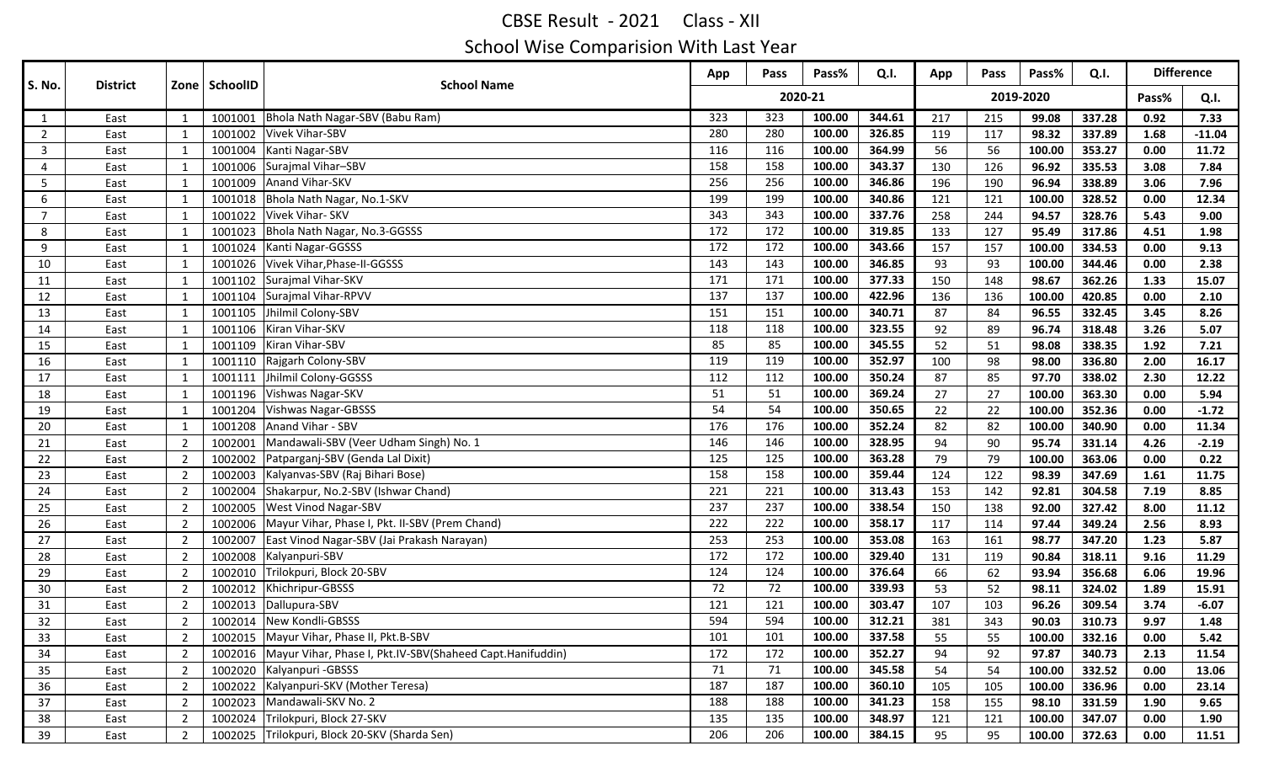### CBSE Result - 2021 Class - XII

School Wise Comparision With Last Year

| S. No.         | <b>District</b> |                | Zone   SchoolID | <b>School Name</b>                                                | App | Pass | Pass%   | Q.I.   | App | Pass | Pass%     | Q.I.   |       | <b>Difference</b> |
|----------------|-----------------|----------------|-----------------|-------------------------------------------------------------------|-----|------|---------|--------|-----|------|-----------|--------|-------|-------------------|
|                |                 |                |                 |                                                                   |     |      | 2020-21 |        |     |      | 2019-2020 |        | Pass% | Q.I.              |
| 1              | East            | 1              |                 | 1001001 Bhola Nath Nagar-SBV (Babu Ram)                           | 323 | 323  | 100.00  | 344.61 | 217 | 215  | 99.08     | 337.28 | 0.92  | 7.33              |
| $\overline{2}$ | East            |                |                 | 1001002 Vivek Vihar-SBV                                           | 280 | 280  | 100.00  | 326.85 | 119 | 117  | 98.32     | 337.89 | 1.68  | $-11.04$          |
| 3              | East            | 1              |                 | 1001004 Kanti Nagar-SBV                                           | 116 | 116  | 100.00  | 364.99 | 56  | 56   | 100.00    | 353.27 | 0.00  | 11.72             |
| 4              | East            | 1              |                 | 1001006 Surajmal Vihar-SBV                                        | 158 | 158  | 100.00  | 343.37 | 130 | 126  | 96.92     | 335.53 | 3.08  | 7.84              |
| 5              | East            | $\mathbf{1}$   |                 | 1001009 Anand Vihar-SKV                                           | 256 | 256  | 100.00  | 346.86 | 196 | 190  | 96.94     | 338.89 | 3.06  | 7.96              |
| 6              | East            | $\mathbf{1}$   |                 | 1001018 Bhola Nath Nagar, No.1-SKV                                | 199 | 199  | 100.00  | 340.86 | 121 | 121  | 100.00    | 328.52 | 0.00  | 12.34             |
| $\overline{7}$ | East            | $\mathbf{1}$   |                 | 1001022 Vivek Vihar-SKV                                           | 343 | 343  | 100.00  | 337.76 | 258 | 244  | 94.57     | 328.76 | 5.43  | 9.00              |
| 8              | East            | $\mathbf{1}$   |                 | 1001023 Bhola Nath Nagar, No.3-GGSSS                              | 172 | 172  | 100.00  | 319.85 | 133 | 127  | 95.49     | 317.86 | 4.51  | 1.98              |
| 9              | East            | $\mathbf{1}$   |                 | 1001024   Kanti Nagar-GGSSS                                       | 172 | 172  | 100.00  | 343.66 | 157 | 157  | 100.00    | 334.53 | 0.00  | 9.13              |
| 10             | East            | 1              |                 | 1001026 Vivek Vihar, Phase-II-GGSSS                               | 143 | 143  | 100.00  | 346.85 | 93  | 93   | 100.00    | 344.46 | 0.00  | 2.38              |
| 11             | East            | 1              |                 | 1001102 Surajmal Vihar-SKV                                        | 171 | 171  | 100.00  | 377.33 | 150 | 148  | 98.67     | 362.26 | 1.33  | 15.07             |
| 12             | East            | $\mathbf{1}$   |                 | 1001104 Surajmal Vihar-RPVV                                       | 137 | 137  | 100.00  | 422.96 | 136 | 136  | 100.00    | 420.85 | 0.00  | 2.10              |
| 13             | East            | $\mathbf{1}$   |                 | 1001105 Jhilmil Colony-SBV                                        | 151 | 151  | 100.00  | 340.71 | 87  | 84   | 96.55     | 332.45 | 3.45  | 8.26              |
| 14             | East            | 1              |                 | 1001106 Kiran Vihar-SKV                                           | 118 | 118  | 100.00  | 323.55 | 92  | 89   | 96.74     | 318.48 | 3.26  | 5.07              |
| 15             | East            | $\mathbf{1}$   |                 | 1001109 Kiran Vihar-SBV                                           | 85  | 85   | 100.00  | 345.55 | 52  | 51   | 98.08     | 338.35 | 1.92  | 7.21              |
| 16             | East            | $\mathbf{1}$   |                 | 1001110 Rajgarh Colony-SBV                                        | 119 | 119  | 100.00  | 352.97 | 100 | 98   | 98.00     | 336.80 | 2.00  | 16.17             |
| 17             | East            | $\mathbf{1}$   |                 | 1001111 Jhilmil Colony-GGSSS                                      | 112 | 112  | 100.00  | 350.24 | 87  | 85   | 97.70     | 338.02 | 2.30  | 12.22             |
| 18             | East            | $\mathbf{1}$   |                 | 1001196 Vishwas Nagar-SKV                                         | 51  | 51   | 100.00  | 369.24 | 27  | 27   | 100.00    | 363.30 | 0.00  | 5.94              |
| 19             | East            | $\mathbf{1}$   |                 | 1001204 Vishwas Nagar-GBSSS                                       | 54  | 54   | 100.00  | 350.65 | 22  | 22   | 100.00    | 352.36 | 0.00  | $-1.72$           |
| 20             | East            | $\mathbf{1}$   |                 | 1001208 Anand Vihar - SBV                                         | 176 | 176  | 100.00  | 352.24 | 82  | 82   | 100.00    | 340.90 | 0.00  | 11.34             |
| 21             | East            | $\overline{2}$ |                 | 1002001 Mandawali-SBV (Veer Udham Singh) No. 1                    | 146 | 146  | 100.00  | 328.95 | 94  | 90   | 95.74     | 331.14 | 4.26  | $-2.19$           |
| 22             | East            | $\overline{2}$ |                 | 1002002 Patparganj-SBV (Genda Lal Dixit)                          | 125 | 125  | 100.00  | 363.28 | 79  | 79   | 100.00    | 363.06 | 0.00  | 0.22              |
| 23             | East            | $\overline{2}$ |                 | 1002003   Kalyanvas-SBV (Raj Bihari Bose)                         | 158 | 158  | 100.00  | 359.44 | 124 | 122  | 98.39     | 347.69 | 1.61  | 11.75             |
| 24             | East            | $\overline{2}$ |                 | 1002004 Shakarpur, No.2-SBV (Ishwar Chand)                        | 221 | 221  | 100.00  | 313.43 | 153 | 142  | 92.81     | 304.58 | 7.19  | 8.85              |
| 25             | East            | $\overline{2}$ |                 | 1002005 West Vinod Nagar-SBV                                      | 237 | 237  | 100.00  | 338.54 | 150 | 138  | 92.00     | 327.42 | 8.00  | 11.12             |
| 26             | East            | $\overline{2}$ |                 | 1002006 Mayur Vihar, Phase I, Pkt. II-SBV (Prem Chand)            | 222 | 222  | 100.00  | 358.17 | 117 | 114  | 97.44     | 349.24 | 2.56  | 8.93              |
| 27             | East            | $\overline{2}$ |                 | 1002007 East Vinod Nagar-SBV (Jai Prakash Narayan)                | 253 | 253  | 100.00  | 353.08 | 163 | 161  | 98.77     | 347.20 | 1.23  | 5.87              |
| 28             | East            | $\overline{2}$ |                 | 1002008 Kalyanpuri-SBV                                            | 172 | 172  | 100.00  | 329.40 | 131 | 119  | 90.84     | 318.11 | 9.16  | 11.29             |
| 29             | East            | $\overline{2}$ |                 | 1002010 Trilokpuri, Block 20-SBV                                  | 124 | 124  | 100.00  | 376.64 | 66  | 62   | 93.94     | 356.68 | 6.06  | 19.96             |
| 30             | East            | $\overline{2}$ |                 | 1002012 Khichripur-GBSSS                                          | 72  | 72   | 100.00  | 339.93 | 53  | 52   | 98.11     | 324.02 | 1.89  | 15.91             |
| 31             | East            | $\overline{2}$ |                 | 1002013 Dallupura-SBV                                             | 121 | 121  | 100.00  | 303.47 | 107 | 103  | 96.26     | 309.54 | 3.74  | $-6.07$           |
| 32             | East            | $\overline{2}$ |                 | 1002014 New Kondli-GBSSS                                          | 594 | 594  | 100.00  | 312.21 | 381 | 343  | 90.03     | 310.73 | 9.97  | 1.48              |
| 33             | East            | $\overline{2}$ |                 | 1002015 Mayur Vihar, Phase II, Pkt.B-SBV                          | 101 | 101  | 100.00  | 337.58 | 55  | 55   | 100.00    | 332.16 | 0.00  | 5.42              |
| 34             | East            | 2              |                 | 1002016 Mayur Vihar, Phase I, Pkt.IV-SBV(Shaheed Capt.Hanifuddin) | 172 | 172  | 100.00  | 352.27 | 94  | 92   | 97.87     | 340.73 | 2.13  | 11.54             |
| 35             | East            | $\overline{2}$ |                 | 1002020 Kalyanpuri - GBSSS                                        | 71  | 71   | 100.00  | 345.58 | 54  | 54   | 100.00    | 332.52 | 0.00  | 13.06             |
| 36             | East            | $\overline{2}$ |                 | 1002022 Kalyanpuri-SKV (Mother Teresa)                            | 187 | 187  | 100.00  | 360.10 | 105 | 105  | 100.00    | 336.96 | 0.00  | 23.14             |
| 37             | East            | $\overline{2}$ |                 | 1002023 Mandawali-SKV No. 2                                       | 188 | 188  | 100.00  | 341.23 | 158 | 155  | 98.10     | 331.59 | 1.90  | 9.65              |
| 38             | East            | $\overline{2}$ |                 | 1002024 Trilokpuri, Block 27-SKV                                  | 135 | 135  | 100.00  | 348.97 | 121 | 121  | 100.00    | 347.07 | 0.00  | 1.90              |
| 39             | East            | $\overline{2}$ |                 | 1002025 Trilokpuri, Block 20-SKV (Sharda Sen)                     | 206 | 206  | 100.00  | 384.15 | 95  | 95   | 100.00    | 372.63 | 0.00  | 11.51             |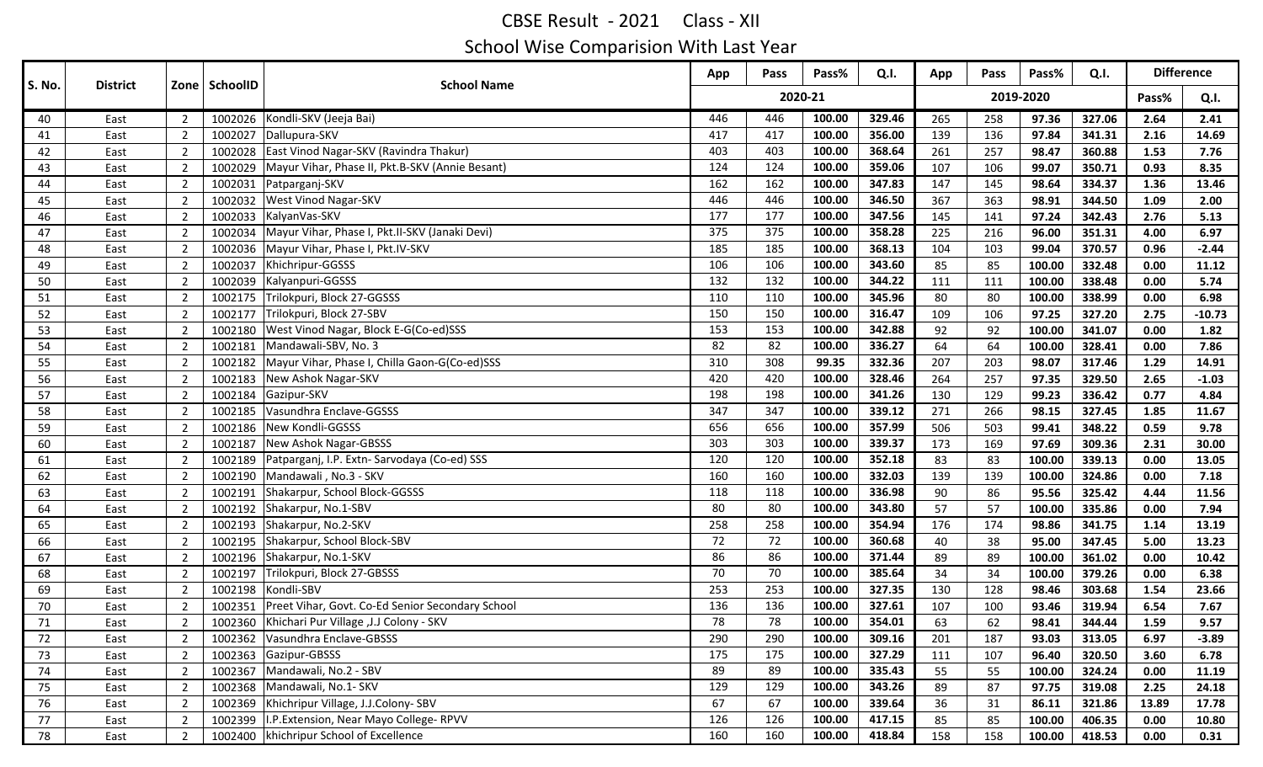# CBSE Result - 2021 Class - XII

|        |                 |                |                 | School Wise Comparision With Last Year                   |     |      |         |        |     |      |           |        |       |                   |
|--------|-----------------|----------------|-----------------|----------------------------------------------------------|-----|------|---------|--------|-----|------|-----------|--------|-------|-------------------|
|        |                 |                |                 |                                                          | App | Pass | Pass%   | Q.I.   | App | Pass | Pass%     | Q.I.   |       | <b>Difference</b> |
| S. No. | <b>District</b> |                | Zone   SchoolID | <b>School Name</b>                                       |     |      | 2020-21 |        |     |      | 2019-2020 |        | Pass% | Q.I.              |
| 40     | East            | 2              |                 | 1002026 Kondli-SKV (Jeeja Bai)                           | 446 | 446  | 100.00  | 329.46 | 265 | 258  | 97.36     | 327.06 | 2.64  | 2.41              |
| 41     | East            | $\overline{2}$ | 1002027         | Dallupura-SKV                                            | 417 | 417  | 100.00  | 356.00 | 139 | 136  | 97.84     | 341.31 | 2.16  | 14.69             |
| 42     | East            | $\overline{2}$ | 1002028         | East Vinod Nagar-SKV (Ravindra Thakur)                   | 403 | 403  | 100.00  | 368.64 | 261 | 257  | 98.47     | 360.88 | 1.53  | 7.76              |
| 43     | East            | $\overline{2}$ | 1002029         | Mayur Vihar, Phase II, Pkt.B-SKV (Annie Besant)          | 124 | 124  | 100.00  | 359.06 | 107 | 106  | 99.07     | 350.71 | 0.93  | 8.35              |
| 44     | East            | 2              | 1002031         | Patparganj-SKV                                           | 162 | 162  | 100.00  | 347.83 | 147 | 145  | 98.64     | 334.37 | 1.36  | 13.46             |
| 45     | East            | 2              |                 | 1002032 West Vinod Nagar-SKV                             | 446 | 446  | 100.00  | 346.50 | 367 | 363  | 98.91     | 344.50 | 1.09  | 2.00              |
| 46     | East            | $\overline{2}$ | 1002033         | KalyanVas-SKV                                            | 177 | 177  | 100.00  | 347.56 | 145 | 141  | 97.24     | 342.43 | 2.76  | 5.13              |
| 47     | East            | $\overline{2}$ | 1002034         | Mayur Vihar, Phase I, Pkt.II-SKV (Janaki Devi)           | 375 | 375  | 100.00  | 358.28 | 225 | 216  | 96.00     | 351.31 | 4.00  | 6.97              |
| 48     | East            | $\overline{2}$ |                 | 1002036 Mayur Vihar, Phase I, Pkt.IV-SKV                 | 185 | 185  | 100.00  | 368.13 | 104 | 103  | 99.04     | 370.57 | 0.96  | $-2.44$           |
| 49     | East            | $\overline{2}$ | 1002037         | Khichripur-GGSSS                                         | 106 | 106  | 100.00  | 343.60 | 85  | 85   | 100.00    | 332.48 | 0.00  | 11.12             |
| 50     | East            | $\overline{2}$ | 1002039         | Kalyanpuri-GGSSS                                         | 132 | 132  | 100.00  | 344.22 | 111 | 111  | 100.00    | 338.48 | 0.00  | 5.74              |
| 51     | East            | 2              | 1002175         | Trilokpuri, Block 27-GGSSS                               | 110 | 110  | 100.00  | 345.96 | 80  | 80   | 100.00    | 338.99 | 0.00  | 6.98              |
| 52     | East            | $\overline{2}$ | 1002177         | Trilokpuri, Block 27-SBV                                 | 150 | 150  | 100.00  | 316.47 | 109 | 106  | 97.25     | 327.20 | 2.75  | $-10.73$          |
| 53     | East            | $\overline{2}$ | 1002180         | West Vinod Nagar, Block E-G(Co-ed)SSS                    | 153 | 153  | 100.00  | 342.88 | 92  | 92   | 100.00    | 341.07 | 0.00  | 1.82              |
| 54     | East            | $\overline{2}$ | 1002181         | Mandawali-SBV, No. 3                                     | 82  | 82   | 100.00  | 336.27 | 64  | 64   | 100.00    | 328.41 | 0.00  | 7.86              |
| 55     | East            | $\overline{2}$ | 1002182         | Mayur Vihar, Phase I, Chilla Gaon-G(Co-ed)SSS            | 310 | 308  | 99.35   | 332.36 | 207 | 203  | 98.07     | 317.46 | 1.29  | 14.91             |
| 56     | East            | $\overline{2}$ | 1002183         | New Ashok Nagar-SKV                                      | 420 | 420  | 100.00  | 328.46 | 264 | 257  | 97.35     | 329.50 | 2.65  | $-1.03$           |
| 57     | East            | 2              | 1002184         | Gazipur-SKV                                              | 198 | 198  | 100.00  | 341.26 | 130 | 129  | 99.23     | 336.42 | 0.77  | 4.84              |
| 58     | East            | $\overline{2}$ | 1002185         | Vasundhra Enclave-GGSSS                                  | 347 | 347  | 100.00  | 339.12 | 271 | 266  | 98.15     | 327.45 | 1.85  | 11.67             |
| 59     | East            | $\overline{2}$ | 1002186         | New Kondli-GGSSS                                         | 656 | 656  | 100.00  | 357.99 | 506 | 503  | 99.41     | 348.22 | 0.59  | 9.78              |
| 60     | East            | $\overline{2}$ | 1002187         | New Ashok Nagar-GBSSS                                    | 303 | 303  | 100.00  | 339.37 | 173 | 169  | 97.69     | 309.36 | 2.31  | 30.00             |
| 61     | East            | 2              | 1002189         | Patparganj, I.P. Extn- Sarvodaya (Co-ed) SSS             | 120 | 120  | 100.00  | 352.18 | 83  | 83   | 100.00    | 339.13 | 0.00  | 13.05             |
| 62     | East            | 2              | 1002190         | Mandawali, No.3 - SKV                                    | 160 | 160  | 100.00  | 332.03 | 139 | 139  | 100.00    | 324.86 | 0.00  | 7.18              |
| 63     | East            | $\overline{2}$ | 1002191         | Shakarpur, School Block-GGSSS                            | 118 | 118  | 100.00  | 336.98 | 90  | 86   | 95.56     | 325.42 | 4.44  | 11.56             |
| 64     | East            | $\overline{2}$ | 1002192         | Shakarpur, No.1-SBV                                      | 80  | 80   | 100.00  | 343.80 | 57  | 57   | 100.00    | 335.86 | 0.00  | 7.94              |
| 65     | East            | $\overline{2}$ | 1002193         | Shakarpur, No.2-SKV                                      | 258 | 258  | 100.00  | 354.94 | 176 | 174  | 98.86     | 341.75 | 1.14  | 13.19             |
| 66     | East            | $\overline{2}$ | 1002195         | Shakarpur, School Block-SBV                              | 72  | 72   | 100.00  | 360.68 | 40  | 38   | 95.00     | 347.45 | 5.00  | 13.23             |
| 67     | East            | $\overline{2}$ |                 | 1002196 Shakarpur, No.1-SKV                              | 86  | 86   | 100.00  | 371.44 | 89  | 89   | 100.00    | 361.02 | 0.00  | 10.42             |
| 68     | East            | 2              | 1002197         | Trilokpuri, Block 27-GBSSS                               | 70  | 70   | 100.00  | 385.64 | 34  | 34   | 100.00    | 379.26 | 0.00  | 6.38              |
| 69     | East            | $\mathcal{P}$  |                 | 1002198 Kondli-SBV                                       | 253 | 253  | 100.00  | 327.35 | 130 | 128  | 98.46     | 303.68 | 1.54  | 23.66             |
| 70     | East            |                |                 | 1002351 Preet Vihar, Govt. Co-Ed Senior Secondary School | 136 | 136  | 100.00  | 327.61 | 107 | 100  | 93.46     | 319.94 | 6.54  | 7.67              |
| 71     | East            | $\overline{2}$ |                 | 1002360 Khichari Pur Village , J.J Colony - SKV          | 78  | 78   | 100.00  | 354.01 | 63  | 62   | 98.41     | 344.44 | 1.59  | 9.57              |
| 72     | East            | $\overline{2}$ |                 | 1002362 Vasundhra Enclave-GBSSS                          | 290 | 290  | 100.00  | 309.16 | 201 | 187  | 93.03     | 313.05 | 6.97  | $-3.89$           |
| 73     | East            | $\overline{2}$ |                 | 1002363 Gazipur-GBSSS                                    | 175 | 175  | 100.00  | 327.29 | 111 | 107  | 96.40     | 320.50 | 3.60  | 6.78              |
| 74     | East            | $\overline{2}$ |                 | 1002367 Mandawali, No.2 - SBV                            | 89  | 89   | 100.00  | 335.43 | 55  | 55   | 100.00    | 324.24 | 0.00  | 11.19             |
| 75     | East            | $\overline{2}$ |                 | 1002368 Mandawali, No.1- SKV                             | 129 | 129  | 100.00  | 343.26 | 89  | 87   | 97.75     | 319.08 | 2.25  | 24.18             |
| 76     | East            | $\overline{2}$ |                 | 1002369   Khichripur Village, J.J.Colony-SBV             | 67  | 67   | 100.00  | 339.64 | 36  | 31   | 86.11     | 321.86 | 13.89 | 17.78             |
| 77     | East            | 2              |                 | 1002399 I.P. Extension, Near Mayo College-RPVV           | 126 | 126  | 100.00  | 417.15 | 85  | 85   | 100.00    | 406.35 | 0.00  | 10.80             |
| 78     | East            | $\overline{2}$ |                 | 1002400   khichripur School of Excellence                | 160 | 160  | 100.00  | 418.84 | 158 | 158  | 100.00    | 418.53 | 0.00  | 0.31              |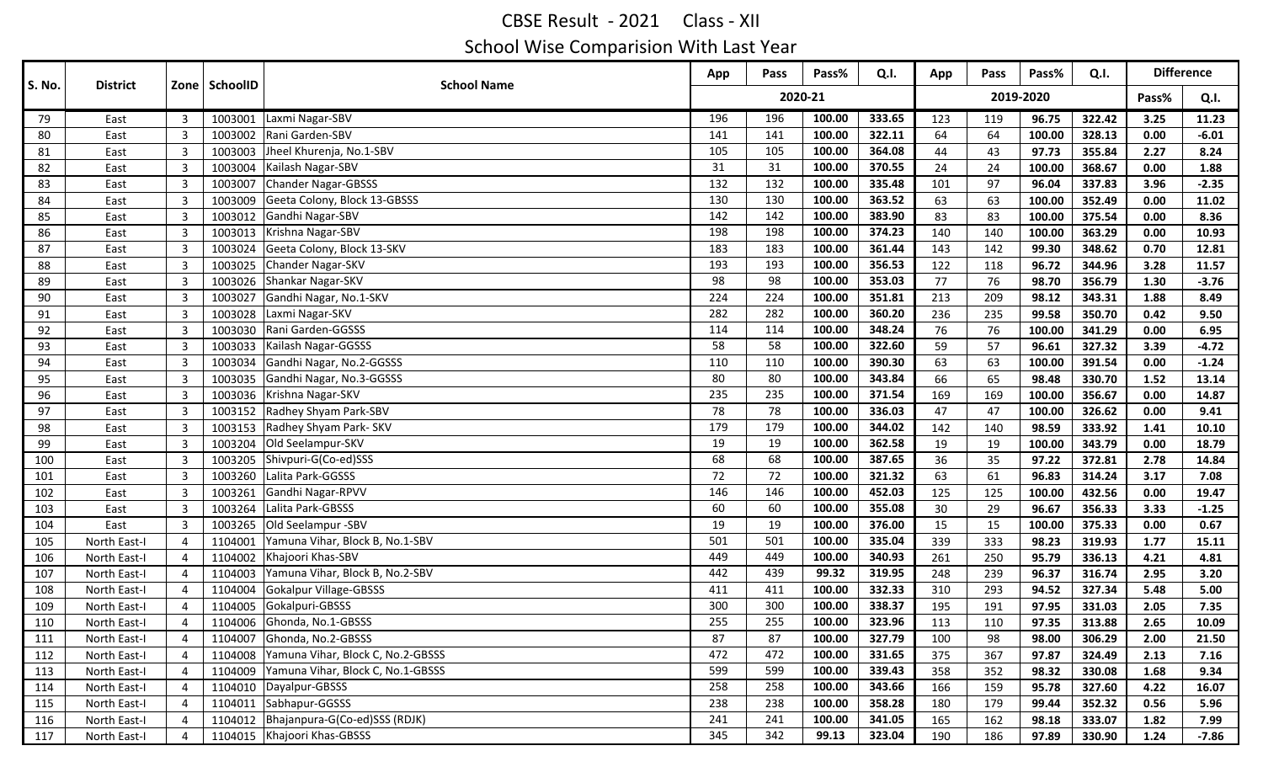|               |                 |                |                 |                                           | App | Pass | Pass%   | Q.I.   | App | Pass | Pass%     | Q.I.   |       | <b>Difference</b> |
|---------------|-----------------|----------------|-----------------|-------------------------------------------|-----|------|---------|--------|-----|------|-----------|--------|-------|-------------------|
| <b>S. No.</b> | <b>District</b> |                | Zone   SchoolID | <b>School Name</b>                        |     |      | 2020-21 |        |     |      | 2019-2020 |        | Pass% | Q.I.              |
| 79            | East            | 3              | 1003001         | Laxmi Nagar-SBV                           | 196 | 196  | 100.00  | 333.65 | 123 | 119  | 96.75     | 322.42 | 3.25  | 11.23             |
| 80            | East            | 3              | 1003002         | Rani Garden-SBV                           | 141 | 141  | 100.00  | 322.11 | 64  | 64   | 100.00    | 328.13 | 0.00  | $-6.01$           |
| 81            | East            | $\mathbf{3}$   | 1003003         | Jheel Khurenja, No.1-SBV                  | 105 | 105  | 100.00  | 364.08 | 44  | 43   | 97.73     | 355.84 | 2.27  | 8.24              |
| 82            | East            | 3              | 1003004         | Kailash Nagar-SBV                         | 31  | 31   | 100.00  | 370.55 | 24  | 24   | 100.00    | 368.67 | 0.00  | 1.88              |
| 83            | East            | 3              | 1003007         | <b>Chander Nagar-GBSSS</b>                | 132 | 132  | 100.00  | 335.48 | 101 | 97   | 96.04     | 337.83 | 3.96  | $-2.35$           |
| 84            | East            | 3              | 1003009         | Geeta Colony, Block 13-GBSSS              | 130 | 130  | 100.00  | 363.52 | 63  | 63   | 100.00    | 352.49 | 0.00  | 11.02             |
| 85            | East            | 3              | 1003012         | Gandhi Nagar-SBV                          | 142 | 142  | 100.00  | 383.90 | 83  | 83   | 100.00    | 375.54 | 0.00  | 8.36              |
| 86            | East            | 3              | 1003013         | Krishna Nagar-SBV                         | 198 | 198  | 100.00  | 374.23 | 140 | 140  | 100.00    | 363.29 | 0.00  | 10.93             |
| 87            | East            | 3              | 1003024         | Geeta Colony, Block 13-SKV                | 183 | 183  | 100.00  | 361.44 | 143 | 142  | 99.30     | 348.62 | 0.70  | 12.81             |
| 88            | East            | 3              | 1003025         | Chander Nagar-SKV                         | 193 | 193  | 100.00  | 356.53 | 122 | 118  | 96.72     | 344.96 | 3.28  | 11.57             |
| 89            | East            | $\mathbf{3}$   |                 | 1003026 Shankar Nagar-SKV                 | 98  | 98   | 100.00  | 353.03 | 77  | 76   | 98.70     | 356.79 | 1.30  | $-3.76$           |
| 90            | East            | 3              | 1003027         | Gandhi Nagar, No.1-SKV                    | 224 | 224  | 100.00  | 351.81 | 213 | 209  | 98.12     | 343.31 | 1.88  | 8.49              |
| 91            | East            | 3              | 1003028         | Laxmi Nagar-SKV                           | 282 | 282  | 100.00  | 360.20 | 236 | 235  | 99.58     | 350.70 | 0.42  | 9.50              |
| 92            | East            | $\mathbf{3}$   | 1003030         | Rani Garden-GGSSS                         | 114 | 114  | 100.00  | 348.24 | 76  | 76   | 100.00    | 341.29 | 0.00  | 6.95              |
| 93            | East            | 3              | 1003033         | Kailash Nagar-GGSSS                       | 58  | 58   | 100.00  | 322.60 | 59  | 57   | 96.61     | 327.32 | 3.39  | $-4.72$           |
| 94            | East            | 3              | 1003034         | Gandhi Nagar, No.2-GGSSS                  | 110 | 110  | 100.00  | 390.30 | 63  | 63   | 100.00    | 391.54 | 0.00  | $-1.24$           |
| 95            | East            | $\mathbf{3}$   | 1003035         | Gandhi Nagar, No.3-GGSSS                  | 80  | 80   | 100.00  | 343.84 | 66  | 65   | 98.48     | 330.70 | 1.52  | 13.14             |
| 96            | East            | 3              | 1003036         | Krishna Nagar-SKV                         | 235 | 235  | 100.00  | 371.54 | 169 | 169  | 100.00    | 356.67 | 0.00  | 14.87             |
| 97            | East            | 3              | 1003152         | Radhey Shyam Park-SBV                     | 78  | 78   | 100.00  | 336.03 | 47  | 47   | 100.00    | 326.62 | 0.00  | 9.41              |
| 98            | East            | 3              | 1003153         | Radhey Shyam Park- SKV                    | 179 | 179  | 100.00  | 344.02 | 142 | 140  | 98.59     | 333.92 | 1.41  | 10.10             |
| 99            | East            | 3              | 1003204         | Old Seelampur-SKV                         | 19  | 19   | 100.00  | 362.58 | 19  | 19   | 100.00    | 343.79 | 0.00  | 18.79             |
| 100           | East            | $\mathbf{3}$   | 1003205         | Shivpuri-G(Co-ed)SSS                      | 68  | 68   | 100.00  | 387.65 | 36  | 35   | 97.22     | 372.81 | 2.78  | 14.84             |
| 101           | East            | 3              | 1003260         | Lalita Park-GGSSS                         | 72  | 72   | 100.00  | 321.32 | 63  | 61   | 96.83     | 314.24 | 3.17  | 7.08              |
| 102           | East            | 3              | 1003261         | Gandhi Nagar-RPVV                         | 146 | 146  | 100.00  | 452.03 | 125 | 125  | 100.00    | 432.56 | 0.00  | 19.47             |
| 103           | East            | 3              | 1003264         | Lalita Park-GBSSS                         | 60  | 60   | 100.00  | 355.08 | 30  | 29   | 96.67     | 356.33 | 3.33  | $-1.25$           |
| 104           | East            | 3              | 1003265         | Old Seelampur -SBV                        | 19  | 19   | 100.00  | 376.00 | 15  | 15   | 100.00    | 375.33 | 0.00  | 0.67              |
| 105           | North East-I    | 4              | 1104001         | Yamuna Vihar, Block B, No.1-SBV           | 501 | 501  | 100.00  | 335.04 | 339 | 333  | 98.23     | 319.93 | 1.77  | 15.11             |
| 106           | North East-I    | 4              | 1104002         | Khajoori Khas-SBV                         | 449 | 449  | 100.00  | 340.93 | 261 | 250  | 95.79     | 336.13 | 4.21  | 4.81              |
| 107           | North East-I    | 4              |                 | 1104003 Yamuna Vihar, Block B, No.2-SBV   | 442 | 439  | 99.32   | 319.95 | 248 | 239  | 96.37     | 316.74 | 2.95  | 3.20              |
| 108           | North East-I    | 4              | 1104004         | Gokalpur Village-GBSSS                    | 411 | 411  | 100.00  | 332.33 | 310 | 293  | 94.52     | 327.34 | 5.48  | 5.00              |
| 109           | North East-I    | 4              | 1104005         | Gokalpuri-GBSSS                           | 300 | 300  | 100.00  | 338.37 | 195 | 191  | 97.95     | 331.03 | 2.05  | 7.35              |
| 110           | North East-I    |                |                 | 1104006 Ghonda, No.1-GBSSS                | 255 | 255  | 100.00  | 323.96 | 113 | 110  | 97.35     | 313.88 | 2.65  | 10.09             |
| 111           | North East-I    | 4              |                 | 1104007 Ghonda, No.2-GBSSS                | 87  | 87   | 100.00  | 327.79 | 100 | 98   | 98.00     | 306.29 | 2.00  | 21.50             |
| 112           | North East-I    | $\overline{4}$ |                 | 1104008 Yamuna Vihar, Block C, No.2-GBSSS | 472 | 472  | 100.00  | 331.65 | 375 | 367  | 97.87     | 324.49 | 2.13  | 7.16              |
| 113           | North East-I    | 4              |                 | 1104009 Yamuna Vihar, Block C, No.1-GBSSS | 599 | 599  | 100.00  | 339.43 | 358 | 352  | 98.32     | 330.08 | 1.68  | 9.34              |
| 114           | North East-I    | $\overline{4}$ |                 | 1104010 Dayalpur-GBSSS                    | 258 | 258  | 100.00  | 343.66 | 166 | 159  | 95.78     | 327.60 | 4.22  | 16.07             |
| 115           | North East-I    | 4              |                 | 1104011 Sabhapur-GGSSS                    | 238 | 238  | 100.00  | 358.28 | 180 | 179  | 99.44     | 352.32 | 0.56  | 5.96              |
| 116           | North East-I    |                |                 | 1104012   Bhajanpura-G(Co-ed) SSS (RDJK)  | 241 | 241  | 100.00  | 341.05 | 165 | 162  | 98.18     | 333.07 | 1.82  | 7.99              |
| 117           | North East-I    | 4              |                 | 1104015 Khajoori Khas-GBSSS               | 345 | 342  | 99.13   | 323.04 | 190 | 186  | 97.89     | 330.90 | 1.24  | $-7.86$           |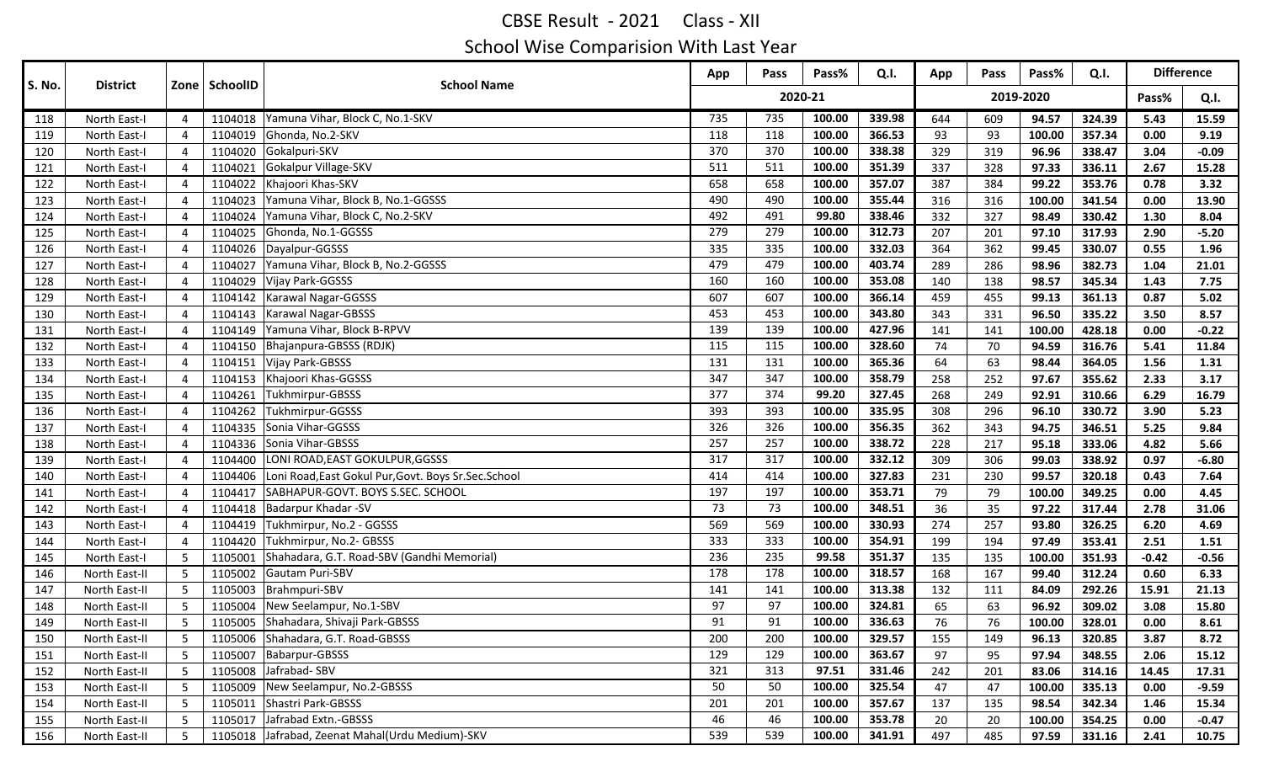|        | <b>District</b> |      |          | <b>School Name</b>                                    | App | Pass | Pass%   | Q.I.   | App | Pass | Pass%     | Q.I.   |         | <b>Difference</b> |
|--------|-----------------|------|----------|-------------------------------------------------------|-----|------|---------|--------|-----|------|-----------|--------|---------|-------------------|
| S. No. |                 | Zone | SchoolID |                                                       |     |      | 2020-21 |        |     |      | 2019-2020 |        | Pass%   | Q.I.              |
| 118    | North East-I    |      |          | 1104018 Yamuna Vihar, Block C, No.1-SKV               | 735 | 735  | 100.00  | 339.98 | 644 | 609  | 94.57     | 324.39 | 5.43    | 15.59             |
| 119    | North East-I    |      | 1104019  | Ghonda, No.2-SKV                                      | 118 | 118  | 100.00  | 366.53 | 93  | 93   | 100.00    | 357.34 | 0.00    | 9.19              |
| 120    | North East-I    | 4    | 1104020  | Gokalpuri-SKV                                         | 370 | 370  | 100.00  | 338.38 | 329 | 319  | 96.96     | 338.47 | 3.04    | $-0.09$           |
| 121    | North East-I    | 4    | 1104021  | Gokalpur Village-SKV                                  | 511 | 511  | 100.00  | 351.39 | 337 | 328  | 97.33     | 336.11 | 2.67    | 15.28             |
| 122    | North East-I    | 4    | 1104022  | Khajoori Khas-SKV                                     | 658 | 658  | 100.00  | 357.07 | 387 | 384  | 99.22     | 353.76 | 0.78    | 3.32              |
| 123    | North East-I    |      | 1104023  | Yamuna Vihar, Block B, No.1-GGSSS                     | 490 | 490  | 100.00  | 355.44 | 316 | 316  | 100.00    | 341.54 | 0.00    | 13.90             |
| 124    | North East-I    |      | 1104024  | Yamuna Vihar, Block C, No.2-SKV                       | 492 | 491  | 99.80   | 338.46 | 332 | 327  | 98.49     | 330.42 | 1.30    | 8.04              |
| 125    | North East-I    |      | 1104025  | Ghonda, No.1-GGSSS                                    | 279 | 279  | 100.00  | 312.73 | 207 | 201  | 97.10     | 317.93 | 2.90    | $-5.20$           |
| 126    | North East-I    | 4    | 1104026  | Dayalpur-GGSSS                                        | 335 | 335  | 100.00  | 332.03 | 364 | 362  | 99.45     | 330.07 | 0.55    | 1.96              |
| 127    | North East-I    | 4    | 1104027  | Yamuna Vihar, Block B, No.2-GGSSS                     | 479 | 479  | 100.00  | 403.74 | 289 | 286  | 98.96     | 382.73 | 1.04    | 21.01             |
| 128    | North East-I    |      | 1104029  | Vijay Park-GGSSS                                      | 160 | 160  | 100.00  | 353.08 | 140 | 138  | 98.57     | 345.34 | 1.43    | 7.75              |
| 129    | North East-I    |      | 1104142  | Karawal Nagar-GGSSS                                   | 607 | 607  | 100.00  | 366.14 | 459 | 455  | 99.13     | 361.13 | 0.87    | 5.02              |
| 130    | North East-I    |      | 1104143  | Karawal Nagar-GBSSS                                   | 453 | 453  | 100.00  | 343.80 | 343 | 331  | 96.50     | 335.22 | 3.50    | 8.57              |
| 131    | North East-I    |      | 1104149  | Yamuna Vihar, Block B-RPVV                            | 139 | 139  | 100.00  | 427.96 | 141 | 141  | 100.00    | 428.18 | 0.00    | $-0.22$           |
| 132    | North East-I    | Δ    | 1104150  | Bhajanpura-GBSSS (RDJK)                               | 115 | 115  | 100.00  | 328.60 | 74  | 70   | 94.59     | 316.76 | 5.41    | 11.84             |
| 133    | North East-I    |      | 1104151  | Vijay Park-GBSSS                                      | 131 | 131  | 100.00  | 365.36 | 64  | 63   | 98.44     | 364.05 | 1.56    | 1.31              |
| 134    | North East-I    |      |          | 1104153 Khajoori Khas-GGSSS                           | 347 | 347  | 100.00  | 358.79 | 258 | 252  | 97.67     | 355.62 | 2.33    | 3.17              |
| 135    | North East-I    | 4    | 1104261  | Tukhmirpur-GBSSS                                      | 377 | 374  | 99.20   | 327.45 | 268 | 249  | 92.91     | 310.66 | 6.29    | 16.79             |
| 136    | North East-I    |      | 1104262  | Tukhmirpur-GGSSS                                      | 393 | 393  | 100.00  | 335.95 | 308 | 296  | 96.10     | 330.72 | 3.90    | 5.23              |
| 137    | North East-I    |      | 1104335  | Sonia Vihar-GGSSS                                     | 326 | 326  | 100.00  | 356.35 | 362 | 343  | 94.75     | 346.51 | 5.25    | 9.84              |
| 138    | North East-I    |      | 1104336  | Sonia Vihar-GBSSS                                     | 257 | 257  | 100.00  | 338.72 | 228 | 217  | 95.18     | 333.06 | 4.82    | 5.66              |
| 139    | North East-I    | 4    | 1104400  | LONI ROAD, EAST GOKULPUR, GGSSS                       | 317 | 317  | 100.00  | 332.12 | 309 | 306  | 99.03     | 338.92 | 0.97    | $-6.80$           |
| 140    | North East-I    |      | 1104406  | Loni Road, East Gokul Pur, Govt. Boys Sr. Sec. School | 414 | 414  | 100.00  | 327.83 | 231 | 230  | 99.57     | 320.18 | 0.43    | 7.64              |
| 141    | North East-I    |      | 1104417  | SABHAPUR-GOVT. BOYS S.SEC. SCHOOL                     | 197 | 197  | 100.00  | 353.71 | 79  | 79   | 100.00    | 349.25 | 0.00    | 4.45              |
| 142    | North East-I    |      | 1104418  | Badarpur Khadar - SV                                  | 73  | 73   | 100.00  | 348.51 | 36  | 35   | 97.22     | 317.44 | 2.78    | 31.06             |
| 143    | North East-I    |      | 1104419  | Tukhmirpur, No.2 - GGSSS                              | 569 | 569  | 100.00  | 330.93 | 274 | 257  | 93.80     | 326.25 | 6.20    | 4.69              |
| 144    | North East-I    |      | 1104420  | Tukhmirpur, No.2- GBSSS                               | 333 | 333  | 100.00  | 354.91 | 199 | 194  | 97.49     | 353.41 | 2.51    | 1.51              |
| 145    | North East-I    | 5    | 1105001  | Shahadara, G.T. Road-SBV (Gandhi Memorial)            | 236 | 235  | 99.58   | 351.37 | 135 | 135  | 100.00    | 351.93 | $-0.42$ | $-0.56$           |
| 146    | North East-II   | 5    | 1105002  | <b>Gautam Puri-SBV</b>                                | 178 | 178  | 100.00  | 318.57 | 168 | 167  | 99.40     | 312.24 | 0.60    | 6.33              |
| 147    | North East-II   | 5    | 1105003  | Brahmpuri-SBV                                         | 141 | 141  | 100.00  | 313.38 | 132 | 111  | 84.09     | 292.26 | 15.91   | 21.13             |
| 148    | North East-II   |      |          | 1105004 New Seelampur, No.1-SBV                       | 97  | 97   | 100.00  | 324.81 | 65  | 63   | 96.92     | 309.02 | 3.08    | 15.80             |
| 149    | North East-II   |      |          | 1105005 Shahadara, Shivaji Park-GBSSS                 | 91  | 91   | 100.00  | 336.63 | 76  | 76   | 100.00    | 328.01 | 0.00    | 8.61              |
| 150    | North East-II   | 5    |          | 1105006 Shahadara, G.T. Road-GBSSS                    | 200 | 200  | 100.00  | 329.57 | 155 | 149  | 96.13     | 320.85 | 3.87    | 8.72              |
| 151    | North East-II   | 5    |          | 1105007 Babarpur-GBSSS                                | 129 | 129  | 100.00  | 363.67 | 97  | 95   | 97.94     | 348.55 | 2.06    | 15.12             |
| 152    | North East-II   | 5    |          | 1105008 Jafrabad-SBV                                  | 321 | 313  | 97.51   | 331.46 | 242 | 201  | 83.06     | 314.16 | 14.45   | 17.31             |
| 153    | North East-II   | -5   |          | 1105009 New Seelampur, No.2-GBSSS                     | 50  | 50   | 100.00  | 325.54 | 47  | 47   | 100.00    | 335.13 | 0.00    | $-9.59$           |
| 154    | North East-II   | 5    | 1105011  | Shastri Park-GBSSS                                    | 201 | 201  | 100.00  | 357.67 | 137 | 135  | 98.54     | 342.34 | 1.46    | 15.34             |
| 155    | North East-II   |      | 1105017  | Jafrabad Extn.-GBSSS                                  | 46  | 46   | 100.00  | 353.78 | 20  | 20   | 100.00    | 354.25 | 0.00    | $-0.47$           |
| 156    | North East-II   |      |          | 1105018 Jafrabad, Zeenat Mahal(Urdu Medium)-SKV       | 539 | 539  | 100.00  | 341.91 | 497 | 485  | 97.59     | 331.16 | 2.41    | 10.75             |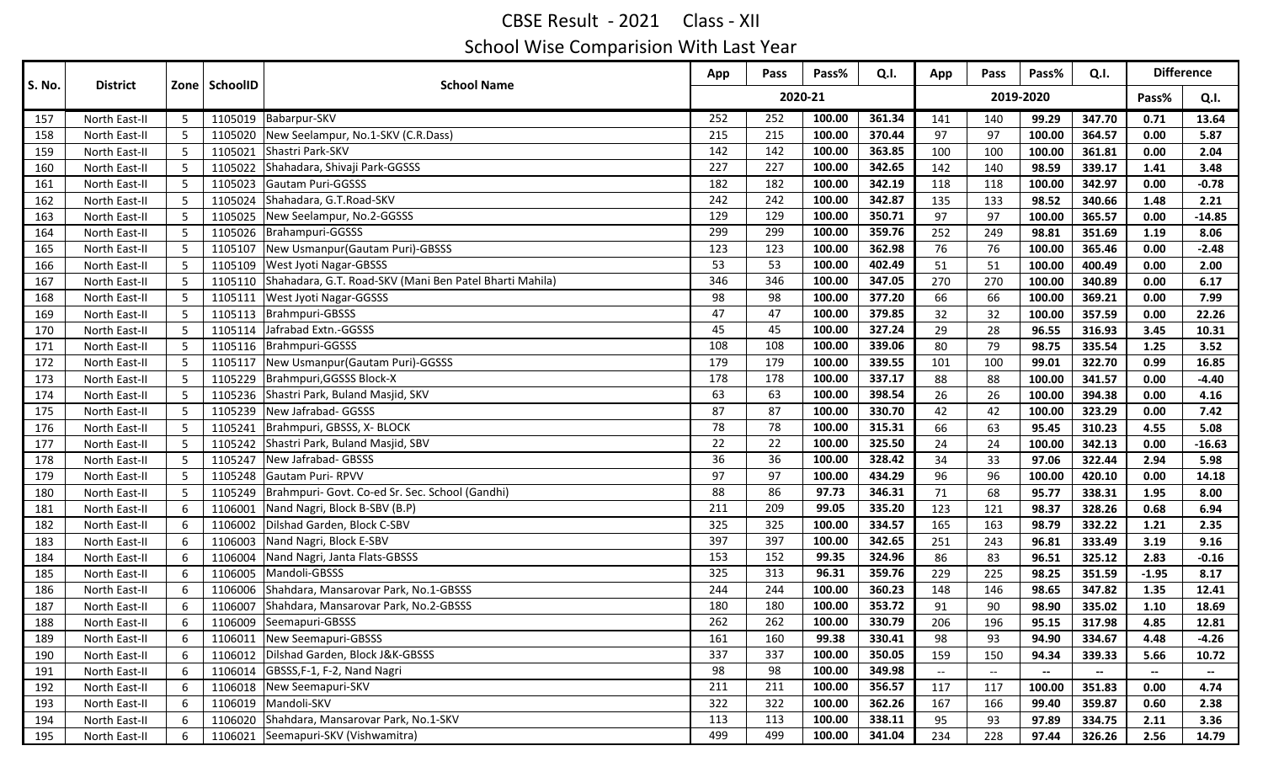|        | <b>District</b> |                | Zone   SchoolID | <b>School Name</b>                                      | App | Pass | Pass%   | Q.I.   | App                      | Pass                                                | Pass%                                         | Q.I.   |                          | <b>Difference</b> |
|--------|-----------------|----------------|-----------------|---------------------------------------------------------|-----|------|---------|--------|--------------------------|-----------------------------------------------------|-----------------------------------------------|--------|--------------------------|-------------------|
| S. No. |                 |                |                 |                                                         |     |      | 2020-21 |        |                          |                                                     | 2019-2020                                     |        | Pass%                    | Q.I.              |
| 157    | North East-II   | -5             | 1105019         | Babarpur-SKV                                            | 252 | 252  | 100.00  | 361.34 | 141                      | 140                                                 | 99.29                                         | 347.70 | 0.71                     | 13.64             |
| 158    | North East-II   | 5              | 1105020         | New Seelampur, No.1-SKV (C.R.Dass)                      | 215 | 215  | 100.00  | 370.44 | 97                       | 97                                                  | 100.00                                        | 364.57 | 0.00                     | 5.87              |
| 159    | North East-II   | $5\phantom{.}$ | 1105021         | Shastri Park-SKV                                        | 142 | 142  | 100.00  | 363.85 | 100                      | 100                                                 | 100.00                                        | 361.81 | 0.00                     | 2.04              |
| 160    | North East-II   | 5              | 1105022         | Shahadara, Shivaji Park-GGSSS                           | 227 | 227  | 100.00  | 342.65 | 142                      | 140                                                 | 98.59                                         | 339.17 | 1.41                     | 3.48              |
| 161    | North East-II   | 5              | 1105023         | Gautam Puri-GGSSS                                       | 182 | 182  | 100.00  | 342.19 | 118                      | 118                                                 | 100.00                                        | 342.97 | 0.00                     | $-0.78$           |
| 162    | North East-II   | 5              | 1105024         | Shahadara, G.T.Road-SKV                                 | 242 | 242  | 100.00  | 342.87 | 135                      | 133                                                 | 98.52                                         | 340.66 | 1.48                     | 2.21              |
| 163    | North East-II   | 5              | 1105025         | New Seelampur, No.2-GGSSS                               | 129 | 129  | 100.00  | 350.71 | 97                       | 97                                                  | 100.00                                        | 365.57 | 0.00                     | $-14.85$          |
| 164    | North East-II   | 5              | 1105026         | Brahampuri-GGSSS                                        | 299 | 299  | 100.00  | 359.76 | 252                      | 249                                                 | 98.81                                         | 351.69 | 1.19                     | 8.06              |
| 165    | North East-II   | 5              | 1105107         | New Usmanpur (Gautam Puri)-GBSSS                        | 123 | 123  | 100.00  | 362.98 | 76                       | 76                                                  | 100.00                                        | 365.46 | 0.00                     | $-2.48$           |
| 166    | North East-II   | 5              | 1105109         | <b>West Jyoti Nagar-GBSSS</b>                           | 53  | 53   | 100.00  | 402.49 | 51                       | 51                                                  | 100.00                                        | 400.49 | 0.00                     | 2.00              |
| 167    | North East-II   | 5              | 1105110         | Shahadara, G.T. Road-SKV (Mani Ben Patel Bharti Mahila) | 346 | 346  | 100.00  | 347.05 | 270                      | 270                                                 | 100.00                                        | 340.89 | 0.00                     | 6.17              |
| 168    | North East-II   | 5              | 1105111         | <b>West Jyoti Nagar-GGSSS</b>                           | 98  | 98   | 100.00  | 377.20 | 66                       | 66                                                  | 100.00                                        | 369.21 | 0.00                     | 7.99              |
| 169    | North East-II   | 5              | 1105113         | Brahmpuri-GBSSS                                         | 47  | 47   | 100.00  | 379.85 | 32                       | 32                                                  | 100.00                                        | 357.59 | 0.00                     | 22.26             |
| 170    | North East-II   | 5              | 1105114         | Jafrabad Extn.-GGSSS                                    | 45  | 45   | 100.00  | 327.24 | 29                       | 28                                                  | 96.55                                         | 316.93 | 3.45                     | 10.31             |
| 171    | North East-II   | 5              | 1105116         | Brahmpuri-GGSSS                                         | 108 | 108  | 100.00  | 339.06 | 80                       | 79                                                  | 98.75                                         | 335.54 | 1.25                     | 3.52              |
| 172    | North East-II   | 5              | 1105117         | New Usmanpur (Gautam Puri)-GGSSS                        | 179 | 179  | 100.00  | 339.55 | 101                      | 100                                                 | 99.01                                         | 322.70 | 0.99                     | 16.85             |
| 173    | North East-II   | 5              | 1105229         | Brahmpuri, GGSSS Block-X                                | 178 | 178  | 100.00  | 337.17 | 88                       | 88                                                  | 100.00                                        | 341.57 | 0.00                     | $-4.40$           |
| 174    | North East-II   | 5              |                 | 1105236 Shastri Park, Buland Masjid, SKV                | 63  | 63   | 100.00  | 398.54 | 26                       | 26                                                  | 100.00                                        | 394.38 | 0.00                     | 4.16              |
| 175    | North East-II   | 5              | 1105239         | New Jafrabad- GGSSS                                     | 87  | 87   | 100.00  | 330.70 | 42                       | 42                                                  | 100.00                                        | 323.29 | 0.00                     | 7.42              |
| 176    | North East-II   | 5              | 1105241         | Brahmpuri, GBSSS, X- BLOCK                              | 78  | 78   | 100.00  | 315.31 | 66                       | 63                                                  | 95.45                                         | 310.23 | 4.55                     | 5.08              |
| 177    | North East-II   | 5              | 1105242         | Shastri Park, Buland Masjid, SBV                        | 22  | 22   | 100.00  | 325.50 | 24                       | 24                                                  | 100.00                                        | 342.13 | 0.00                     | $-16.63$          |
| 178    | North East-II   | 5              | 1105247         | New Jafrabad- GBSSS                                     | 36  | 36   | 100.00  | 328.42 | 34                       | 33                                                  | 97.06                                         | 322.44 | 2.94                     | 5.98              |
| 179    | North East-II   | 5              | 1105248         | <b>Gautam Puri-RPVV</b>                                 | 97  | 97   | 100.00  | 434.29 | 96                       | 96                                                  | 100.00                                        | 420.10 | 0.00                     | 14.18             |
| 180    | North East-II   | 5              | 1105249         | Brahmpuri- Govt. Co-ed Sr. Sec. School (Gandhi)         | 88  | 86   | 97.73   | 346.31 | 71                       | 68                                                  | 95.77                                         | 338.31 | 1.95                     | 8.00              |
| 181    | North East-II   | 6              | 1106001         | Nand Nagri, Block B-SBV (B.P)                           | 211 | 209  | 99.05   | 335.20 | 123                      | 121                                                 | 98.37                                         | 328.26 | 0.68                     | 6.94              |
| 182    | North East-II   | 6              | 1106002         | Dilshad Garden, Block C-SBV                             | 325 | 325  | 100.00  | 334.57 | 165                      | 163                                                 | 98.79                                         | 332.22 | 1.21                     | 2.35              |
| 183    | North East-II   | 6              | 1106003         | Nand Nagri, Block E-SBV                                 | 397 | 397  | 100.00  | 342.65 | 251                      | 243                                                 | 96.81                                         | 333.49 | 3.19                     | 9.16              |
| 184    | North East-II   | 6              | 1106004         | Nand Nagri, Janta Flats-GBSSS                           | 153 | 152  | 99.35   | 324.96 | 86                       | 83                                                  | 96.51                                         | 325.12 | 2.83                     | $-0.16$           |
| 185    | North East-II   | 6              | 1106005         | Mandoli-GBSSS                                           | 325 | 313  | 96.31   | 359.76 | 229                      | 225                                                 | 98.25                                         | 351.59 | $-1.95$                  | 8.17              |
| 186    | North East-II   | 6              | 1106006         | Shahdara, Mansarovar Park, No.1-GBSSS                   | 244 | 244  | 100.00  | 360.23 | 148                      | 146                                                 | 98.65                                         | 347.82 | 1.35                     | 12.41             |
| 187    | North East-II   | 6              | 1106007         | Shahdara, Mansarovar Park, No.2-GBSSS                   | 180 | 180  | 100.00  | 353.72 | 91                       | 90                                                  | 98.90                                         | 335.02 | 1.10                     | 18.69             |
| 188    | North East-II   |                |                 | 1106009 Seemapuri-GBSSS                                 | 262 | 262  | 100.00  | 330.79 | 206                      | 196                                                 | 95.15                                         | 317.98 | 4.85                     | 12.81             |
| 189    | North East-II   | 6              | 1106011         | New Seemapuri-GBSSS                                     | 161 | 160  | 99.38   | 330.41 | 98                       | 93                                                  | 94.90                                         | 334.67 | 4.48                     | $-4.26$           |
| 190    | North East-II   | 6              | 1106012         | Dilshad Garden, Block J&K-GBSSS                         | 337 | 337  | 100.00  | 350.05 | 159                      | 150                                                 | 94.34                                         | 339.33 | 5.66                     | 10.72             |
| 191    | North East-II   | 6              |                 | 1106014 GBSSS, F-1, F-2, Nand Nagri                     | 98  | 98   | 100.00  | 349.98 | $\overline{\phantom{a}}$ | $\hspace{0.05cm} -\hspace{0.05cm} -\hspace{0.05cm}$ | $\mathord{\hspace{1pt}\text{--}\hspace{1pt}}$ | $\sim$ | $\overline{\phantom{a}}$ |                   |
| 192    | North East-II   | 6              |                 | 1106018 New Seemapuri-SKV                               | 211 | 211  | 100.00  | 356.57 | 117                      | 117                                                 | 100.00                                        | 351.83 | 0.00                     | 4.74              |
| 193    | North East-II   | 6              |                 | 1106019 Mandoli-SKV                                     | 322 | 322  | 100.00  | 362.26 | 167                      | 166                                                 | 99.40                                         | 359.87 | 0.60                     | 2.38              |
| 194    | North East-II   |                | 1106020         | Shahdara, Mansarovar Park, No.1-SKV                     | 113 | 113  | 100.00  | 338.11 | 95                       | 93                                                  | 97.89                                         | 334.75 | 2.11                     | 3.36              |
| 195    | North East-II   | 6              |                 | 1106021 Seemapuri-SKV (Vishwamitra)                     | 499 | 499  | 100.00  | 341.04 | 234                      | 228                                                 | 97.44                                         | 326.26 | 2.56                     | 14.79             |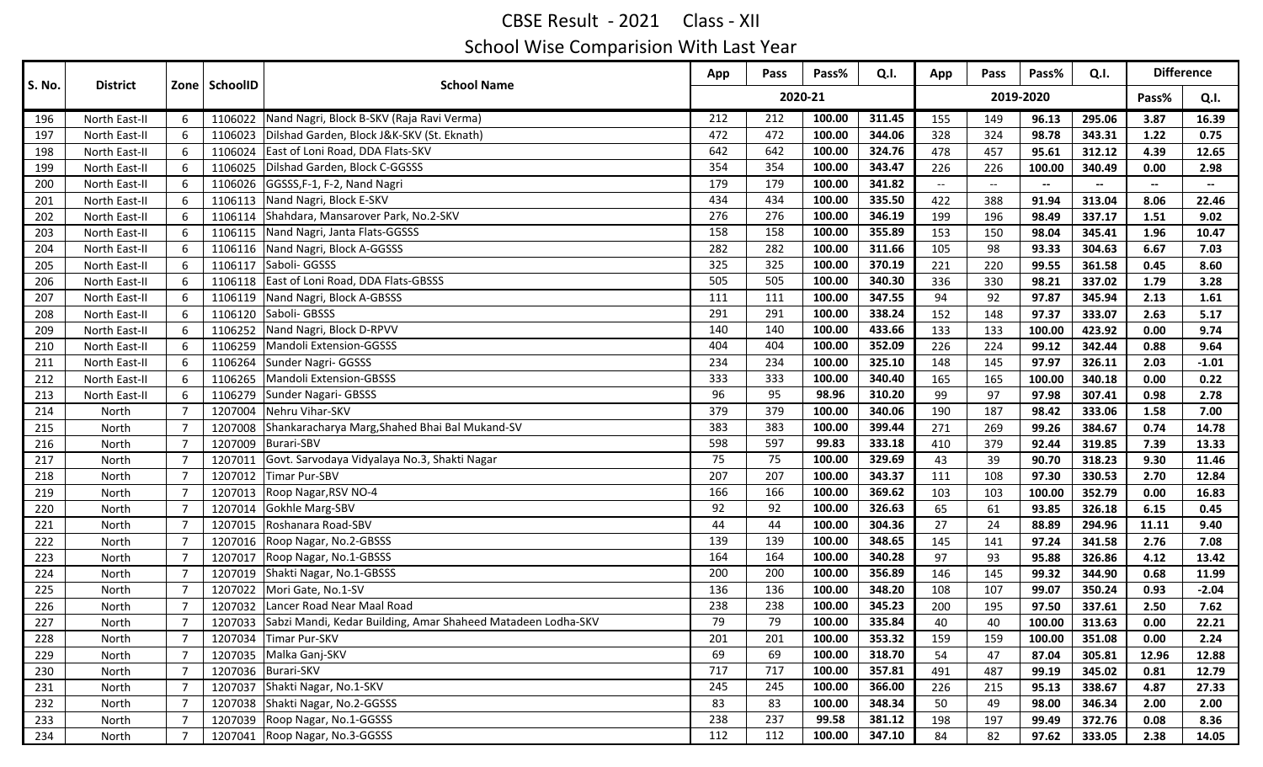| S. No. | <b>District</b> |                | Zone   SchoolID | <b>School Name</b>                                                   | App | Pass | Pass%   | Q.I.   | App   | Pass           | Pass%                    | Q.I.                     | <b>Difference</b>        |                          |
|--------|-----------------|----------------|-----------------|----------------------------------------------------------------------|-----|------|---------|--------|-------|----------------|--------------------------|--------------------------|--------------------------|--------------------------|
|        |                 |                |                 |                                                                      |     |      | 2020-21 |        |       |                | 2019-2020                |                          | Pass%                    | Q.I.                     |
| 196    | North East-II   | 6              | 1106022         | Nand Nagri, Block B-SKV (Raja Ravi Verma)                            | 212 | 212  | 100.00  | 311.45 | 155   | 149            | 96.13                    | 295.06                   | 3.87                     | 16.39                    |
| 197    | North East-II   | 6              | 1106023         | Dilshad Garden, Block J&K-SKV (St. Eknath)                           | 472 | 472  | 100.00  | 344.06 | 328   | 324            | 98.78                    | 343.31                   | 1.22                     | 0.75                     |
| 198    | North East-II   | 6              | 1106024         | East of Loni Road, DDA Flats-SKV                                     | 642 | 642  | 100.00  | 324.76 | 478   | 457            | 95.61                    | 312.12                   | 4.39                     | 12.65                    |
| 199    | North East-II   | 6              | 1106025         | Dilshad Garden, Block C-GGSSS                                        | 354 | 354  | 100.00  | 343.47 | 226   | 226            | 100.00                   | 340.49                   | 0.00                     | 2.98                     |
| 200    | North East-II   | 6              |                 | 1106026 GGSSS, F-1, F-2, Nand Nagri                                  | 179 | 179  | 100.00  | 341.82 | $- -$ | $\overline{a}$ | $\overline{\phantom{a}}$ | $\overline{\phantom{a}}$ | $\overline{\phantom{a}}$ | $\overline{\phantom{a}}$ |
| 201    | North East-II   | 6              | 1106113         | Nand Nagri, Block E-SKV                                              | 434 | 434  | 100.00  | 335.50 | 422   | 388            | 91.94                    | 313.04                   | 8.06                     | 22.46                    |
| 202    | North East-II   | 6              | 1106114         | Shahdara, Mansarover Park, No.2-SKV                                  | 276 | 276  | 100.00  | 346.19 | 199   | 196            | 98.49                    | 337.17                   | 1.51                     | 9.02                     |
| 203    | North East-II   | 6              | 1106115         | Nand Nagri, Janta Flats-GGSSS                                        | 158 | 158  | 100.00  | 355.89 | 153   | 150            | 98.04                    | 345.41                   | 1.96                     | 10.47                    |
| 204    | North East-II   | 6              |                 | 1106116 Nand Nagri, Block A-GGSSS                                    | 282 | 282  | 100.00  | 311.66 | 105   | 98             | 93.33                    | 304.63                   | 6.67                     | 7.03                     |
| 205    | North East-II   | 6              | 1106117         | Saboli- GGSSS                                                        | 325 | 325  | 100.00  | 370.19 | 221   | 220            | 99.55                    | 361.58                   | 0.45                     | 8.60                     |
| 206    | North East-II   | 6              |                 | 1106118 East of Loni Road, DDA Flats-GBSSS                           | 505 | 505  | 100.00  | 340.30 | 336   | 330            | 98.21                    | 337.02                   | 1.79                     | 3.28                     |
| 207    | North East-II   | 6              | 1106119         | Nand Nagri, Block A-GBSSS                                            | 111 | 111  | 100.00  | 347.55 | 94    | 92             | 97.87                    | 345.94                   | 2.13                     | 1.61                     |
| 208    | North East-II   | 6              | 1106120         | Saboli- GBSSS                                                        | 291 | 291  | 100.00  | 338.24 | 152   | 148            | 97.37                    | 333.07                   | 2.63                     | 5.17                     |
| 209    | North East-II   | 6              | 1106252         | Nand Nagri, Block D-RPVV                                             | 140 | 140  | 100.00  | 433.66 | 133   | 133            | 100.00                   | 423.92                   | 0.00                     | 9.74                     |
| 210    | North East-II   | 6              | 1106259         | Mandoli Extension-GGSSS                                              | 404 | 404  | 100.00  | 352.09 | 226   | 224            | 99.12                    | 342.44                   | 0.88                     | 9.64                     |
| 211    | North East-II   | 6              | 1106264         | Sunder Nagri- GGSSS                                                  | 234 | 234  | 100.00  | 325.10 | 148   | 145            | 97.97                    | 326.11                   | 2.03                     | $-1.01$                  |
| 212    | North East-II   | 6              | 1106265         | Mandoli Extension-GBSSS                                              | 333 | 333  | 100.00  | 340.40 | 165   | 165            | 100.00                   | 340.18                   | 0.00                     | 0.22                     |
| 213    | North East-II   | 6              | 1106279         | Sunder Nagari- GBSSS                                                 | 96  | 95   | 98.96   | 310.20 | 99    | 97             | 97.98                    | 307.41                   | 0.98                     | 2.78                     |
| 214    | North           |                | 1207004         | Nehru Vihar-SKV                                                      | 379 | 379  | 100.00  | 340.06 | 190   | 187            | 98.42                    | 333.06                   | 1.58                     | 7.00                     |
| 215    | North           | $\overline{7}$ | 1207008         | Shankaracharya Marg, Shahed Bhai Bal Mukand-SV                       | 383 | 383  | 100.00  | 399.44 | 271   | 269            | 99.26                    | 384.67                   | 0.74                     | 14.78                    |
| 216    | North           | $\overline{7}$ | 1207009         | Burari-SBV                                                           | 598 | 597  | 99.83   | 333.18 | 410   | 379            | 92.44                    | 319.85                   | 7.39                     | 13.33                    |
| 217    | North           | $\overline{7}$ | 1207011         | Govt. Sarvodaya Vidyalaya No.3, Shakti Nagar                         | 75  | 75   | 100.00  | 329.69 | 43    | 39             | 90.70                    | 318.23                   | 9.30                     | 11.46                    |
| 218    | North           | $\overline{7}$ | 1207012         | Timar Pur-SBV                                                        | 207 | 207  | 100.00  | 343.37 | 111   | 108            | 97.30                    | 330.53                   | 2.70                     | 12.84                    |
| 219    | North           |                | 1207013         | Roop Nagar, RSV NO-4                                                 | 166 | 166  | 100.00  | 369.62 | 103   | 103            | 100.00                   | 352.79                   | 0.00                     | 16.83                    |
| 220    | North           |                | 1207014         | Gokhle Marg-SBV                                                      | 92  | 92   | 100.00  | 326.63 | 65    | 61             | 93.85                    | 326.18                   | 6.15                     | 0.45                     |
| 221    | North           | $\overline{7}$ | 1207015         | Roshanara Road-SBV                                                   | 44  | 44   | 100.00  | 304.36 | 27    | 24             | 88.89                    | 294.96                   | 11.11                    | 9.40                     |
| 222    | North           |                | 1207016         | Roop Nagar, No.2-GBSSS                                               | 139 | 139  | 100.00  | 348.65 | 145   | 141            | 97.24                    | 341.58                   | 2.76                     | 7.08                     |
| 223    | North           | $\overline{7}$ | 1207017         | Roop Nagar, No.1-GBSSS                                               | 164 | 164  | 100.00  | 340.28 | 97    | 93             | 95.88                    | 326.86                   | 4.12                     | 13.42                    |
| 224    | North           | 7              | 1207019         | Shakti Nagar, No.1-GBSSS                                             | 200 | 200  | 100.00  | 356.89 | 146   | 145            | 99.32                    | 344.90                   | 0.68                     | 11.99                    |
| 225    | North           |                | 1207022         | Mori Gate, No.1-SV                                                   | 136 | 136  | 100.00  | 348.20 | 108   | 107            | 99.07                    | 350.24                   | 0.93                     | $-2.04$                  |
| 226    | North           |                |                 | 1207032 Lancer Road Near Maal Road                                   | 238 | 238  | 100.00  | 345.23 | 200   | 195            | 97.50                    | 337.61                   | 2.50                     | 7.62                     |
| 227    | North           |                |                 | 1207033 Sabzi Mandi, Kedar Building, Amar Shaheed Matadeen Lodha-SKV | 79  | 79   | 100.00  | 335.84 | 40    | 40             | 100.00                   | 313.63                   | 0.00                     | 22.21                    |
| 228    | North           | $\overline{7}$ |                 | 1207034 Timar Pur-SKV                                                | 201 | 201  | 100.00  | 353.32 | 159   | 159            | 100.00                   | 351.08                   | 0.00                     | 2.24                     |
| 229    | North           | $\overline{7}$ |                 | 1207035 Malka Ganj-SKV                                               | 69  | 69   | 100.00  | 318.70 | 54    | 47             | 87.04                    | 305.81                   | 12.96                    | 12.88                    |
| 230    | North           | $\overline{7}$ |                 | 1207036 Burari-SKV                                                   | 717 | 717  | 100.00  | 357.81 | 491   | 487            | 99.19                    | 345.02                   | 0.81                     | 12.79                    |
| 231    | North           | $\overline{7}$ |                 | 1207037 Shakti Nagar, No.1-SKV                                       | 245 | 245  | 100.00  | 366.00 | 226   | 215            | 95.13                    | 338.67                   | 4.87                     | 27.33                    |
| 232    | North           |                |                 | 1207038 Shakti Nagar, No.2-GGSSS                                     | 83  | 83   | 100.00  | 348.34 | 50    | 49             | 98.00                    | 346.34                   | 2.00                     | 2.00                     |
| 233    | North           |                |                 | 1207039 Roop Nagar, No.1-GGSSS                                       | 238 | 237  | 99.58   | 381.12 | 198   | 197            | 99.49                    | 372.76                   | 0.08                     | 8.36                     |
| 234    | North           |                |                 | 1207041 Roop Nagar, No.3-GGSSS                                       | 112 | 112  | 100.00  | 347.10 | 84    | 82             | 97.62                    | 333.05                   | 2.38                     | 14.05                    |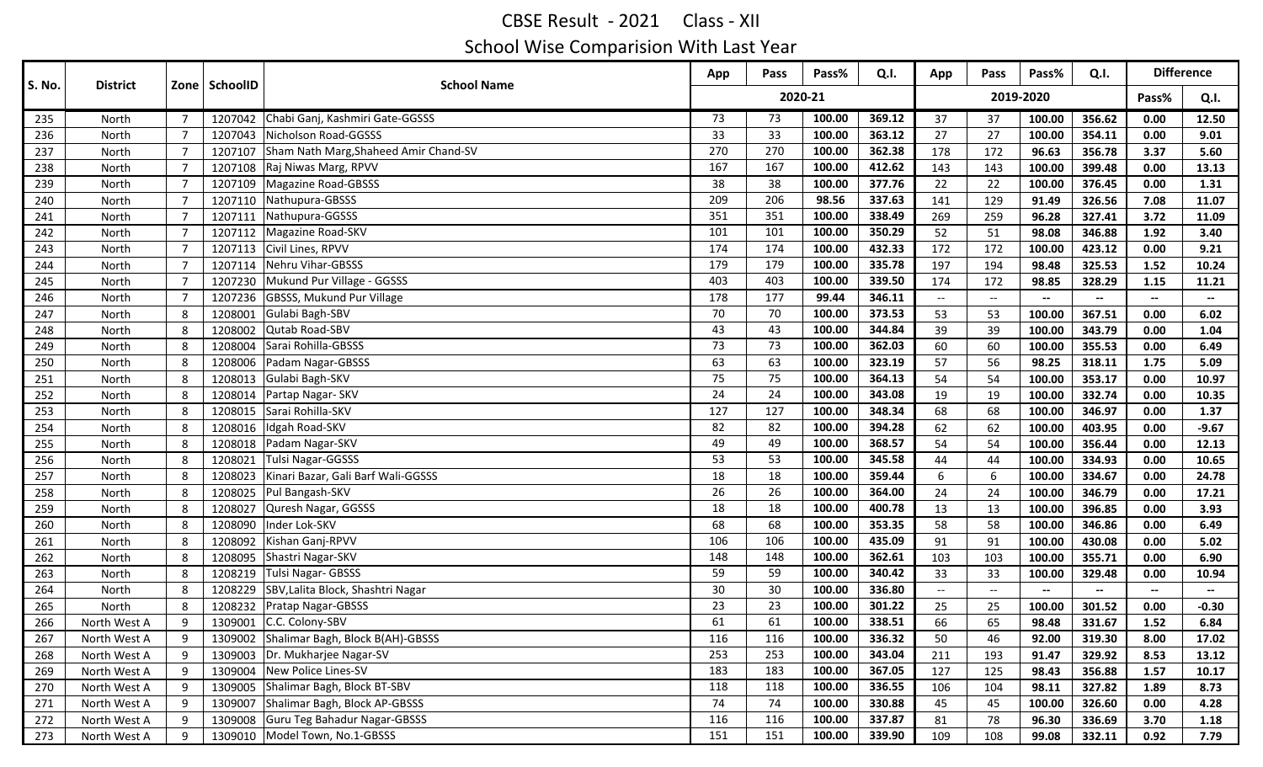**App Pass Pass% Q.I. App Pass Pass% Q.I. 2020-21 2019-2020 Pass% Q.I. DifferenceS. No. District Zone SchoolID School Name** 235 North 7 1207042<br>236 North 7 1207043 Chabi Ganj, Kashmiri Gate-GGSSS <sup>73</sup> <sup>73</sup> **100.00 369.12** <sup>37</sup> <sup>37</sup> **100.00 356.62 0.00 12.50** 236 North 7 1207043<br>237 North 7 1207107 Nicholson Road-GGSSS <sup>33</sup> <sup>33</sup> **100.00 363.12** <sup>27</sup> <sup>27</sup> **100.00 354.11 0.00 9.01** 237 North 7 1207107<br>238 North 7 1207108 Sham Nath Marg,Shaheed Amir Chand-SV <sup>270</sup> <sup>270</sup> **100.00 362.38** <sup>178</sup> <sup>172</sup> **96.63 356.78 3.37 5.60** 238 North 7 1207108<br>239 North 7 1207109 Raj Niwas Marg, RPVV <sup>167</sup> <sup>167</sup> **100.00 412.62** <sup>143</sup> <sup>143</sup> **100.00 399.48 0.00 13.13** 239 North 7 1207109<br>240 North 7 1207110 Magazine Road-GBSSS <sup>38</sup> <sup>38</sup> **100.00 377.76** <sup>22</sup> <sup>22</sup> **100.00 376.45 0.00 1.31** 240 North 7 1207110<br>241 North 7 1207111 Nathupura-GBSSS <sup>209</sup> <sup>206</sup> **98.56 337.63** <sup>141</sup> <sup>129</sup> **91.49 326.56 7.08 11.07** 241 North 7 1207111<br>242 North 7 1207112 Nathupura-GGSSS <sup>351</sup> <sup>351</sup> **100.00 338.49** <sup>269</sup> <sup>259</sup> **96.28 327.41 3.72 11.09** 242 North 7 1207112<br>243 North 7 1207113 Magazine Road-SKV <sup>101</sup> <sup>101</sup> **100.00 350.29** <sup>52</sup> <sup>51</sup> **98.08 346.88 1.92 3.40** 243 North 7 1207113<br>244 North 7 1207114 Civil Lines, RPVV <sup>174</sup> <sup>174</sup> **100.00 432.33** <sup>172</sup> <sup>172</sup> **100.00 423.12 0.00 9.21** 244 North 7 1207114<br>245 North 7 1207230 Nehru Vihar-GBSSS <sup>179</sup> <sup>179</sup> **100.00 335.78** <sup>197</sup> <sup>194</sup> **98.48 325.53 1.52 10.24** 245 North 7 1207230<br>246 North 7 1207236 Mukund Pur Village - GGSSS <sup>403</sup> <sup>403</sup> **100.00 339.50** <sup>174</sup> <sup>172</sup> **98.85 328.29 1.15 11.21** 246 North 7 1207236<br>247 North 8 1208001 GBSSS, Mukund Pur Village <sup>178</sup> <sup>177</sup> **99.44 346.11** -- -- **-- -- -- --** 247 North 8 1208001<br>248 North 8 1208002 Gulabi Bagh-SBV <sup>70</sup> <sup>70</sup> **100.00 373.53** <sup>53</sup> <sup>53</sup> **100.00 367.51 0.00 6.02** 248 North 8 1208002<br>249 North 8 1208004 Qutab Road-SBV <sup>43</sup> <sup>43</sup> **100.00 344.84** <sup>39</sup> <sup>39</sup> **100.00 343.79 0.00 1.04** 249 North 8 1208004<br>250 North 8 1208006 Sarai Rohilla-GBSSS <sup>73</sup> <sup>73</sup> **100.00 362.03** <sup>60</sup> <sup>60</sup> **100.00 355.53 0.00 6.49** 250 North 8 1208006<br>251 North 8 1208013 Padam Nagar-GBSSS <sup>63</sup> <sup>63</sup> **100.00 323.19** <sup>57</sup> <sup>56</sup> **98.25 318.11 1.75 5.09** 251 North 8 1208013<br>252 North 8 1208014 Gulabi Bagh-SKV <sup>75</sup> <sup>75</sup> **100.00 364.13** <sup>54</sup> <sup>54</sup> **100.00 353.17 0.00 10.97** 252 North 8 1208014<br>253 North 8 1208015 Partap Nagar- SKV <sup>24</sup> <sup>24</sup> **100.00 343.08** <sup>19</sup> <sup>19</sup> **100.00 332.74 0.00 10.35** 253 North 8 1208015<br>254 North 8 1208016 Sarai Rohilla-SKV <sup>127</sup> <sup>127</sup> **100.00 348.34** <sup>68</sup> <sup>68</sup> **100.00 346.97 0.00 1.37** 254 North 8 1208016<br>255 North 8 1208018 Idgah Road-SKV <sup>82</sup> <sup>82</sup> **100.00 394.28** <sup>62</sup> <sup>62</sup> **100.00 403.95 0.00 -9.67** 255 North 8 1208018<br>256 North 8 1208021 Padam Nagar-SKV<br>Tulsi Nagar-GGSSS <sup>49</sup> <sup>49</sup> **100.00 368.57** <sup>54</sup> <sup>54</sup> **100.00 356.44 0.00 12.13** 256 North 8 1208021<br>257 North 8 1208023 Tulsi Nagar-GGSSS <sup>53</sup> <sup>53</sup> **100.00 345.58** <sup>44</sup> <sup>44</sup> **100.00 334.93 0.00 10.65** 257 North 8 1208023<br>258 North 8 1208025 Kinari Bazar, Gali Barf Wali-GGSSS<br>
Pul Bangash-SKV<br>
24 24 24 24 25 26 26 100.00 364.00 24 24 **100.00 334.67 0.00 24.78** 258 North 8 1208025<br>259 North 8 1208027 **Pul Bangash-SKV<br>Quresh Nagar, GGSSS**  <sup>26</sup> <sup>26</sup> **100.00 364.00** <sup>24</sup> <sup>24</sup> **100.00 346.79 0.00 17.21** 259 North 8 1208027<br>260 North 8 1208090 Quresh Nagar, GGSSS <sup>18</sup> <sup>18</sup> **100.00 400.78** <sup>13</sup> <sup>13</sup> **100.00 396.85 0.00 3.93** 260 North 8 1208090<br>261 North 8 1208092 Inder Lok-SKV <sup>68</sup> <sup>68</sup> **100.00 353.35** <sup>58</sup> <sup>58</sup> **100.00 346.86 0.00 6.49** 261 North 8 1208092<br>262 North 8 1208095 Kishan Ganj-RPVV <sup>106</sup> <sup>106</sup> **100.00 435.09** <sup>91</sup> <sup>91</sup> **100.00 430.08 0.00 5.02** 262 North 8 1208095<br>263 North 8 1208219 Shastri Nagar-SKV<br>Tulsi Nagar- GBSSS <sup>148</sup> <sup>148</sup> **100.00 362.61** <sup>103</sup> <sup>103</sup> **100.00 355.71 0.00 6.90** 263 North 8 1208219<br>264 North 8 1208229 Tulsi Nagar- GBSSS <sup>59</sup> <sup>59</sup> **100.00 340.42** <sup>33</sup> <sup>33</sup> **100.00 329.48 0.00 10.94** 264 North 8 1208229<br>265 North 8 1208232 SBV,Lalita Block, Shashtri Nagar <sup>30</sup> <sup>30</sup> **100.00 336.80** -- -- **-- -- -- --** 265 North 8 1208232<br>266 North West A 9 1309001 Pratap Nagar-GBSSS <sup>23</sup> <sup>23</sup> **100.00 301.22** <sup>25</sup> <sup>25</sup> **100.00 301.52 0.00 -0.30** 266 North West A 9 1309001<br>267 North West A 9 1309002 C.C. Colony-SBV <sup>61</sup> <sup>61</sup> **100.00 338.51** <sup>66</sup> <sup>65</sup> **98.48 331.67 1.52 6.84** 267 North West A 9 1309002<br>268 North West A 9 1309003 Shalimar Bagh, Block B(AH)-GBSSS <sup>116</sup> <sup>116</sup> **100.00 336.32** <sup>50</sup> <sup>46</sup> **92.00 319.30 8.00 17.02** 268 North West A 9 1309003<br>269 North West A 9 1309004 Dr. Mukharjee Nagar-SV <sup>253</sup> <sup>253</sup> **100.00 343.04** <sup>211</sup> <sup>193</sup> **91.47 329.92 8.53 13.12** 269 North West A 9 1309004<br>270 North West A 9 1309005 New Police Lines-SV <sup>183</sup> <sup>183</sup> **100.00 367.05** <sup>127</sup> <sup>125</sup> **98.43 356.88 1.57 10.17** 270 North West A 9 1309005<br>271 North West A 9 1309007 Shalimar Bagh, Block BT-SBV <sup>118</sup> <sup>118</sup> **100.00 336.55** <sup>106</sup> <sup>104</sup> **98.11 327.82 1.89 8.73** 271 North West A 9 1309007<br>272 North West A 9 1309008 Shalimar Bagh, Block AP-GBSSS <sup>74</sup> <sup>74</sup> **100.00 330.88** <sup>45</sup> <sup>45</sup> **100.00 326.60 0.00 4.28** 272 North West A 9 1309008<br>273 North West A 9 1309010 Guru Teg Bahadur Nagar-GBSSS <sup>116</sup> <sup>116</sup> **100.00 337.87** <sup>81</sup> <sup>78</sup> **96.30 336.69 3.70 1.18** North West A Model Town, No.1-GBSSS <sup>151</sup> <sup>151</sup> **100.00 339.90** <sup>109</sup> <sup>108</sup> **99.08 332.11 0.92 7.79**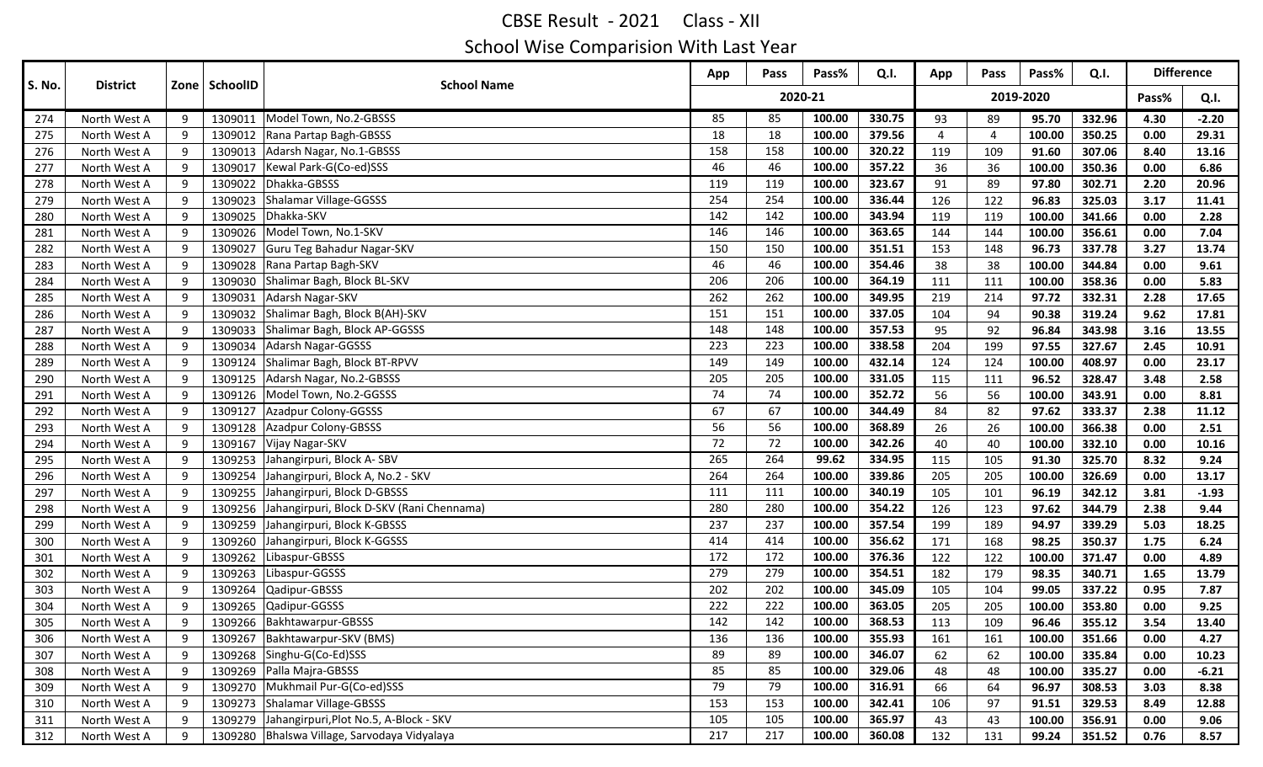| S. No. | <b>District</b> | Zone | SchoolID | <b>School Name</b>                                | App | Pass | Pass%   | Q.I.   | App            | Pass           | Pass%     | Q.I.   |       | <b>Difference</b> |
|--------|-----------------|------|----------|---------------------------------------------------|-----|------|---------|--------|----------------|----------------|-----------|--------|-------|-------------------|
|        |                 |      |          |                                                   |     |      | 2020-21 |        |                |                | 2019-2020 |        | Pass% | Q.I.              |
| 274    | North West A    | 9    | 1309011  | Model Town, No.2-GBSSS                            | 85  | 85   | 100.00  | 330.75 | 93             | 89             | 95.70     | 332.96 | 4.30  | $-2.20$           |
| 275    | North West A    | 9    | 1309012  | Rana Partap Bagh-GBSSS                            | 18  | 18   | 100.00  | 379.56 | $\overline{4}$ | $\overline{a}$ | 100.00    | 350.25 | 0.00  | 29.31             |
| 276    | North West A    | 9    | 1309013  | Adarsh Nagar, No.1-GBSSS                          | 158 | 158  | 100.00  | 320.22 | 119            | 109            | 91.60     | 307.06 | 8.40  | 13.16             |
| 277    | North West A    | 9    | 1309017  | Kewal Park-G(Co-ed)SSS                            | 46  | 46   | 100.00  | 357.22 | 36             | 36             | 100.00    | 350.36 | 0.00  | 6.86              |
| 278    | North West A    | 9    | 1309022  | Dhakka-GBSSS                                      | 119 | 119  | 100.00  | 323.67 | 91             | 89             | 97.80     | 302.71 | 2.20  | 20.96             |
| 279    | North West A    | 9    | 1309023  | Shalamar Village-GGSSS                            | 254 | 254  | 100.00  | 336.44 | 126            | 122            | 96.83     | 325.03 | 3.17  | 11.41             |
| 280    | North West A    | 9    | 1309025  | Dhakka-SKV                                        | 142 | 142  | 100.00  | 343.94 | 119            | 119            | 100.00    | 341.66 | 0.00  | 2.28              |
| 281    | North West A    | 9    | 1309026  | Model Town, No.1-SKV                              | 146 | 146  | 100.00  | 363.65 | 144            | 144            | 100.00    | 356.61 | 0.00  | 7.04              |
| 282    | North West A    | 9    | 1309027  | Guru Teg Bahadur Nagar-SKV                        | 150 | 150  | 100.00  | 351.51 | 153            | 148            | 96.73     | 337.78 | 3.27  | 13.74             |
| 283    | North West A    | 9    | 1309028  | Rana Partap Bagh-SKV                              | 46  | 46   | 100.00  | 354.46 | 38             | 38             | 100.00    | 344.84 | 0.00  | 9.61              |
| 284    | North West A    | 9    | 1309030  | Shalimar Bagh, Block BL-SKV                       | 206 | 206  | 100.00  | 364.19 | 111            | 111            | 100.00    | 358.36 | 0.00  | 5.83              |
| 285    | North West A    | 9    | 1309031  | Adarsh Nagar-SKV                                  | 262 | 262  | 100.00  | 349.95 | 219            | 214            | 97.72     | 332.31 | 2.28  | 17.65             |
| 286    | North West A    | 9    | 1309032  | Shalimar Bagh, Block B(AH)-SKV                    | 151 | 151  | 100.00  | 337.05 | 104            | 94             | 90.38     | 319.24 | 9.62  | 17.81             |
| 287    | North West A    | 9    | 1309033  | Shalimar Bagh, Block AP-GGSSS                     | 148 | 148  | 100.00  | 357.53 | 95             | 92             | 96.84     | 343.98 | 3.16  | 13.55             |
| 288    | North West A    | 9    | 1309034  | Adarsh Nagar-GGSSS                                | 223 | 223  | 100.00  | 338.58 | 204            | 199            | 97.55     | 327.67 | 2.45  | 10.91             |
| 289    | North West A    | 9    | 1309124  | Shalimar Bagh, Block BT-RPVV                      | 149 | 149  | 100.00  | 432.14 | 124            | 124            | 100.00    | 408.97 | 0.00  | 23.17             |
| 290    | North West A    | 9    |          | 1309125 Adarsh Nagar, No.2-GBSSS                  | 205 | 205  | 100.00  | 331.05 | 115            | 111            | 96.52     | 328.47 | 3.48  | 2.58              |
| 291    | North West A    | 9    |          | 1309126 Model Town, No.2-GGSSS                    | 74  | 74   | 100.00  | 352.72 | 56             | 56             | 100.00    | 343.91 | 0.00  | 8.81              |
| 292    | North West A    | 9    | 1309127  | Azadpur Colony-GGSSS                              | 67  | 67   | 100.00  | 344.49 | 84             | 82             | 97.62     | 333.37 | 2.38  | 11.12             |
| 293    | North West A    | 9    | 1309128  | Azadpur Colony-GBSSS                              | 56  | 56   | 100.00  | 368.89 | 26             | 26             | 100.00    | 366.38 | 0.00  | 2.51              |
| 294    | North West A    | 9    | 1309167  | Vijay Nagar-SKV                                   | 72  | 72   | 100.00  | 342.26 | 40             | 40             | 100.00    | 332.10 | 0.00  | 10.16             |
| 295    | North West A    | 9    | 1309253  | Jahangirpuri, Block A-SBV                         | 265 | 264  | 99.62   | 334.95 | 115            | 105            | 91.30     | 325.70 | 8.32  | 9.24              |
| 296    | North West A    | 9    | 1309254  | Jahangirpuri, Block A, No.2 - SKV                 | 264 | 264  | 100.00  | 339.86 | 205            | 205            | 100.00    | 326.69 | 0.00  | 13.17             |
| 297    | North West A    | 9    | 1309255  | Jahangirpuri, Block D-GBSSS                       | 111 | 111  | 100.00  | 340.19 | 105            | 101            | 96.19     | 342.12 | 3.81  | $-1.93$           |
| 298    | North West A    | 9    |          | 1309256 Jahangirpuri, Block D-SKV (Rani Chennama) | 280 | 280  | 100.00  | 354.22 | 126            | 123            | 97.62     | 344.79 | 2.38  | 9.44              |
| 299    | North West A    | 9    | 1309259  | Jahangirpuri, Block K-GBSSS                       | 237 | 237  | 100.00  | 357.54 | 199            | 189            | 94.97     | 339.29 | 5.03  | 18.25             |
| 300    | North West A    | 9    | 1309260  | Jahangirpuri, Block K-GGSSS                       | 414 | 414  | 100.00  | 356.62 | 171            | 168            | 98.25     | 350.37 | 1.75  | 6.24              |
| 301    | North West A    | 9    | 1309262  | Libaspur-GBSSS                                    | 172 | 172  | 100.00  | 376.36 | 122            | 122            | 100.00    | 371.47 | 0.00  | 4.89              |
| 302    | North West A    | 9    | 1309263  | Libaspur-GGSSS                                    | 279 | 279  | 100.00  | 354.51 | 182            | 179            | 98.35     | 340.71 | 1.65  | 13.79             |
| 303    | North West A    | 9    | 1309264  | Qadipur-GBSSS                                     | 202 | 202  | 100.00  | 345.09 | 105            | 104            | 99.05     | 337.22 | 0.95  | 7.87              |
| 304    | North West A    | 9    |          | 1309265 Qadipur-GGSSS                             | 222 | 222  | 100.00  | 363.05 | 205            | 205            | 100.00    | 353.80 | 0.00  | 9.25              |
| 305    | North West A    |      |          | 1309266 Bakhtawarpur-GBSSS                        | 142 | 142  | 100.00  | 368.53 | 113            | 109            | 96.46     | 355.12 | 3.54  | 13.40             |
| 306    | North West A    | 9    |          | 1309267 Bakhtawarpur-SKV (BMS)                    | 136 | 136  | 100.00  | 355.93 | 161            | 161            | 100.00    | 351.66 | 0.00  | 4.27              |
| 307    | North West A    | 9    |          | 1309268 Singhu-G(Co-Ed)SSS                        | 89  | 89   | 100.00  | 346.07 | 62             | 62             | 100.00    | 335.84 | 0.00  | 10.23             |
| 308    | North West A    | 9    |          | 1309269 Palla Majra-GBSSS                         | 85  | 85   | 100.00  | 329.06 | 48             | 48             | 100.00    | 335.27 | 0.00  | $-6.21$           |
| 309    | North West A    | 9    |          | 1309270 Mukhmail Pur-G(Co-ed)SSS                  | 79  | 79   | 100.00  | 316.91 | 66             | 64             | 96.97     | 308.53 | 3.03  | 8.38              |
| 310    | North West A    | 9    |          | 1309273 Shalamar Village-GBSSS                    | 153 | 153  | 100.00  | 342.41 | 106            | 97             | 91.51     | 329.53 | 8.49  | 12.88             |
| 311    | North West A    | 9    |          | 1309279 Jahangirpuri, Plot No.5, A-Block - SKV    | 105 | 105  | 100.00  | 365.97 | 43             | 43             | 100.00    | 356.91 | 0.00  | 9.06              |
| 312    | North West A    | 9    |          | 1309280 Bhalswa Village, Sarvodaya Vidyalaya      | 217 | 217  | 100.00  | 360.08 | 132            | 131            | 99.24     | 351.52 | 0.76  | 8.57              |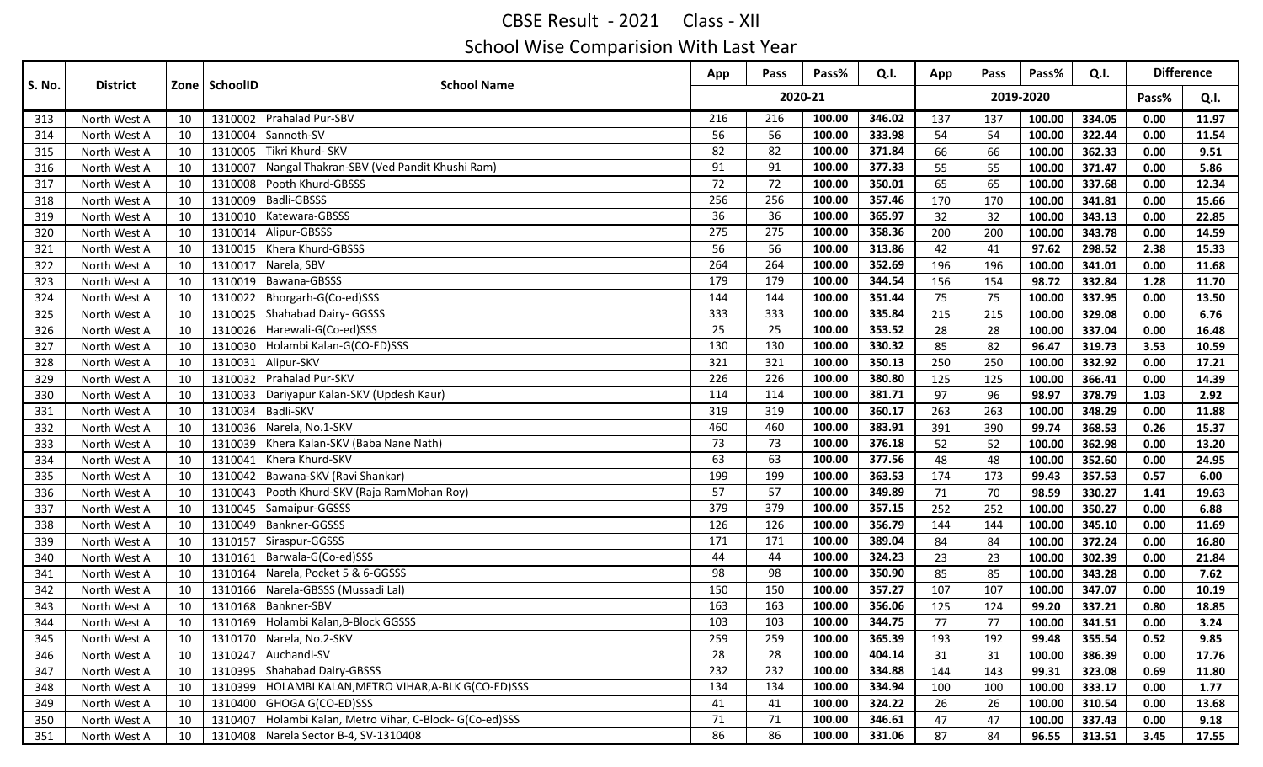## CBSE Result - 2021 Class - XII

School Wise Comparision With Last Year

|        |                 |    |                 | <b>School Name</b>                                    | App | Pass | Pass%   | Q.I.   | App | Pass | Pass%     | Q.I.   |       | <b>Difference</b> |
|--------|-----------------|----|-----------------|-------------------------------------------------------|-----|------|---------|--------|-----|------|-----------|--------|-------|-------------------|
| S. No. | <b>District</b> |    | Zone   SchoolID |                                                       |     |      | 2020-21 |        |     |      | 2019-2020 |        | Pass% | Q.I.              |
| 313    | North West A    | 10 | 1310002         | Prahalad Pur-SBV                                      | 216 | 216  | 100.00  | 346.02 | 137 | 137  | 100.00    | 334.05 | 0.00  | 11.97             |
| 314    | North West A    | 10 |                 | 1310004 Sannoth-SV                                    | 56  | 56   | 100.00  | 333.98 | 54  | 54   | 100.00    | 322.44 | 0.00  | 11.54             |
| 315    | North West A    | 10 |                 | 1310005 Tikri Khurd- SKV                              | 82  | 82   | 100.00  | 371.84 | 66  | 66   | 100.00    | 362.33 | 0.00  | 9.51              |
| 316    | North West A    | 10 |                 | 1310007 Nangal Thakran-SBV (Ved Pandit Khushi Ram)    | 91  | 91   | 100.00  | 377.33 | 55  | 55   | 100.00    | 371.47 | 0.00  | 5.86              |
| 317    | North West A    | 10 |                 | 1310008 Pooth Khurd-GBSSS                             | 72  | 72   | 100.00  | 350.01 | 65  | 65   | 100.00    | 337.68 | 0.00  | 12.34             |
| 318    | North West A    | 10 | 1310009         | Badli-GBSSS                                           | 256 | 256  | 100.00  | 357.46 | 170 | 170  | 100.00    | 341.81 | 0.00  | 15.66             |
| 319    | North West A    | 10 |                 | 1310010 Katewara-GBSSS                                | 36  | 36   | 100.00  | 365.97 | 32  | 32   | 100.00    | 343.13 | 0.00  | 22.85             |
| 320    | North West A    | 10 |                 | 1310014 Alipur-GBSSS                                  | 275 | 275  | 100.00  | 358.36 | 200 | 200  | 100.00    | 343.78 | 0.00  | 14.59             |
| 321    | North West A    | 10 |                 | 1310015 Khera Khurd-GBSSS                             | 56  | 56   | 100.00  | 313.86 | 42  | 41   | 97.62     | 298.52 | 2.38  | 15.33             |
| 322    | North West A    | 10 |                 | 1310017 Narela, SBV                                   | 264 | 264  | 100.00  | 352.69 | 196 | 196  | 100.00    | 341.01 | 0.00  | 11.68             |
| 323    | North West A    | 10 |                 | 1310019 Bawana-GBSSS                                  | 179 | 179  | 100.00  | 344.54 | 156 | 154  | 98.72     | 332.84 | 1.28  | 11.70             |
| 324    | North West A    | 10 | 1310022         | Bhorgarh-G(Co-ed)SSS                                  | 144 | 144  | 100.00  | 351.44 | 75  | 75   | 100.00    | 337.95 | 0.00  | 13.50             |
| 325    | North West A    | 10 |                 | 1310025 Shahabad Dairy- GGSSS                         | 333 | 333  | 100.00  | 335.84 | 215 | 215  | 100.00    | 329.08 | 0.00  | 6.76              |
| 326    | North West A    | 10 |                 | 1310026 Harewali-G(Co-ed)SSS                          | 25  | 25   | 100.00  | 353.52 | 28  | 28   | 100.00    | 337.04 | 0.00  | 16.48             |
| 327    | North West A    | 10 |                 | 1310030 Holambi Kalan-G(CO-ED)SSS                     | 130 | 130  | 100.00  | 330.32 | 85  | 82   | 96.47     | 319.73 | 3.53  | 10.59             |
| 328    | North West A    | 10 | 1310031         | Alipur-SKV                                            | 321 | 321  | 100.00  | 350.13 | 250 | 250  | 100.00    | 332.92 | 0.00  | 17.21             |
| 329    | North West A    | 10 | 1310032         | Prahalad Pur-SKV                                      | 226 | 226  | 100.00  | 380.80 | 125 | 125  | 100.00    | 366.41 | 0.00  | 14.39             |
| 330    | North West A    | 10 | 1310033         | Dariyapur Kalan-SKV (Updesh Kaur)                     | 114 | 114  | 100.00  | 381.71 | 97  | 96   | 98.97     | 378.79 | 1.03  | 2.92              |
| 331    | North West A    | 10 | 1310034         | Badli-SKV                                             | 319 | 319  | 100.00  | 360.17 | 263 | 263  | 100.00    | 348.29 | 0.00  | 11.88             |
| 332    | North West A    | 10 |                 | 1310036 Narela, No.1-SKV                              | 460 | 460  | 100.00  | 383.91 | 391 | 390  | 99.74     | 368.53 | 0.26  | 15.37             |
| 333    | North West A    | 10 |                 | 1310039 Khera Kalan-SKV (Baba Nane Nath)              | 73  | 73   | 100.00  | 376.18 | 52  | 52   | 100.00    | 362.98 | 0.00  | 13.20             |
| 334    | North West A    | 10 | 1310041         | Khera Khurd-SKV                                       | 63  | 63   | 100.00  | 377.56 | 48  | 48   | 100.00    | 352.60 | 0.00  | 24.95             |
| 335    | North West A    | 10 |                 | 1310042 Bawana-SKV (Ravi Shankar)                     | 199 | 199  | 100.00  | 363.53 | 174 | 173  | 99.43     | 357.53 | 0.57  | 6.00              |
| 336    | North West A    | 10 |                 | 1310043 Pooth Khurd-SKV (Raja RamMohan Roy)           | 57  | 57   | 100.00  | 349.89 | 71  | 70   | 98.59     | 330.27 | 1.41  | 19.63             |
| 337    | North West A    | 10 |                 | 1310045 Samaipur-GGSSS                                | 379 | 379  | 100.00  | 357.15 | 252 | 252  | 100.00    | 350.27 | 0.00  | 6.88              |
| 338    | North West A    | 10 |                 | 1310049 Bankner-GGSSS                                 | 126 | 126  | 100.00  | 356.79 | 144 | 144  | 100.00    | 345.10 | 0.00  | 11.69             |
| 339    | North West A    | 10 |                 | 1310157 Siraspur-GGSSS                                | 171 | 171  | 100.00  | 389.04 | 84  | 84   | 100.00    | 372.24 | 0.00  | 16.80             |
| 340    | North West A    | 10 |                 | 1310161   Barwala-G(Co-ed)SSS                         | 44  | 44   | 100.00  | 324.23 | 23  | 23   | 100.00    | 302.39 | 0.00  | 21.84             |
| 341    | North West A    | 10 |                 | 1310164 Narela, Pocket 5 & 6-GGSSS                    | 98  | 98   | 100.00  | 350.90 | 85  | 85   | 100.00    | 343.28 | 0.00  | 7.62              |
| 342    | North West A    | 10 |                 | 1310166 Narela-GBSSS (Mussadi Lal)                    | 150 | 150  | 100.00  | 357.27 | 107 | 107  | 100.00    | 347.07 | 0.00  | 10.19             |
| 343    | North West A    | 10 |                 | 1310168 Bankner-SBV                                   | 163 | 163  | 100.00  | 356.06 | 125 | 124  | 99.20     | 337.21 | 0.80  | 18.85             |
| 344    | North West A    | 10 |                 | 1310169 Holambi Kalan, B-Block GGSSS                  | 103 | 103  | 100.00  | 344.75 | 77  | 77   | 100.00    | 341.51 | 0.00  | 3.24              |
| 345    | North West A    | 10 |                 | 1310170 Narela, No.2-SKV                              | 259 | 259  | 100.00  | 365.39 | 193 | 192  | 99.48     | 355.54 | 0.52  | 9.85              |
| 346    | North West A    | 10 |                 | 1310247 Auchandi-SV                                   | 28  | 28   | 100.00  | 404.14 | 31  | 31   | 100.00    | 386.39 | 0.00  | 17.76             |
| 347    | North West A    | 10 |                 | 1310395 Shahabad Dairy-GBSSS                          | 232 | 232  | 100.00  | 334.88 | 144 | 143  | 99.31     | 323.08 | 0.69  | 11.80             |
| 348    | North West A    | 10 |                 | 1310399 HOLAMBI KALAN, METRO VIHAR, A-BLK G(CO-ED)SSS | 134 | 134  | 100.00  | 334.94 | 100 | 100  | 100.00    | 333.17 | 0.00  | 1.77              |
| 349    | North West A    | 10 |                 | 1310400 GHOGA G(CO-ED)SSS                             | 41  | 41   | 100.00  | 324.22 | 26  | 26   | 100.00    | 310.54 | 0.00  | 13.68             |
| 350    | North West A    | 10 | 1310407         | Holambi Kalan, Metro Vihar, C-Block-G(Co-ed)SSS       | 71  | 71   | 100.00  | 346.61 | 47  | 47   | 100.00    | 337.43 | 0.00  | 9.18              |
| 351    | North West A    | 10 |                 | 1310408 Narela Sector B-4, SV-1310408                 | 86  | 86   | 100.00  | 331.06 | 87  | 84   | 96.55     | 313.51 | 3.45  | 17.55             |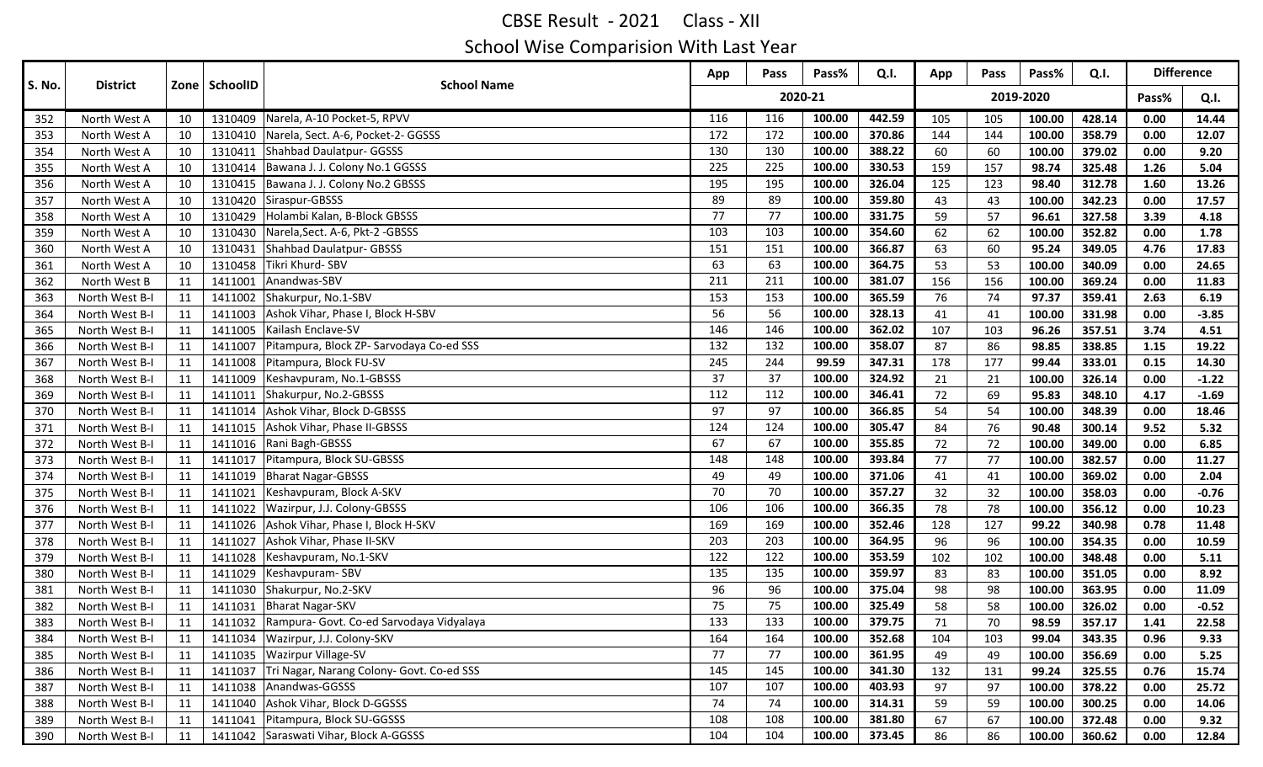| S. No. | <b>District</b> |    | Zone   SchoolID | <b>School Name</b>                                | App | Pass            | Pass%   | Q.I.   | App    | Pass | Pass%     | Q.I.   |       | <b>Difference</b> |
|--------|-----------------|----|-----------------|---------------------------------------------------|-----|-----------------|---------|--------|--------|------|-----------|--------|-------|-------------------|
|        |                 |    |                 |                                                   |     |                 | 2020-21 |        |        |      | 2019-2020 |        | Pass% | Q.I.              |
| 352    | North West A    | 10 |                 | 1310409 Narela, A-10 Pocket-5, RPVV               | 116 | 116             | 100.00  | 442.59 | 105    | 105  | 100.00    | 428.14 | 0.00  | 14.44             |
| 353    | North West A    | 10 |                 | 1310410 Narela, Sect. A-6, Pocket-2- GGSSS        | 172 | 172             | 100.00  | 370.86 | 144    | 144  | 100.00    | 358.79 | 0.00  | 12.07             |
| 354    | North West A    | 10 | 1310411         | Shahbad Daulatpur- GGSSS                          | 130 | 130             | 100.00  | 388.22 | 60     | 60   | 100.00    | 379.02 | 0.00  | 9.20              |
| 355    | North West A    | 10 |                 | 1310414 Bawana J. J. Colony No.1 GGSSS            | 225 | 225             | 100.00  | 330.53 | 159    | 157  | 98.74     | 325.48 | 1.26  | 5.04              |
| 356    | North West A    | 10 |                 | 1310415   Bawana J. J. Colony No.2 GBSSS          | 195 | 195             | 100.00  | 326.04 | 125    | 123  | 98.40     | 312.78 | 1.60  | 13.26             |
| 357    | North West A    | 10 |                 | 1310420 Siraspur-GBSSS                            | 89  | 89              | 100.00  | 359.80 | 43     | 43   | 100.00    | 342.23 | 0.00  | 17.57             |
| 358    | North West A    | 10 | 1310429         | Holambi Kalan, B-Block GBSSS                      | 77  | 77              | 100.00  | 331.75 | 59     | 57   | 96.61     | 327.58 | 3.39  | 4.18              |
| 359    | North West A    | 10 | 1310430         | Narela, Sect. A-6, Pkt-2 - GBSSS                  | 103 | 103             | 100.00  | 354.60 | 62     | 62   | 100.00    | 352.82 | 0.00  | 1.78              |
| 360    | North West A    | 10 | 1310431         | Shahbad Daulatpur- GBSSS                          | 151 | 151             | 100.00  | 366.87 | 63     | 60   | 95.24     | 349.05 | 4.76  | 17.83             |
| 361    | North West A    | 10 |                 | 1310458 Tikri Khurd-SBV                           | 63  | 63              | 100.00  | 364.75 | 53     | 53   | 100.00    | 340.09 | 0.00  | 24.65             |
| 362    | North West B    | 11 | 1411001         | Anandwas-SBV                                      | 211 | 211             | 100.00  | 381.07 | 156    | 156  | 100.00    | 369.24 | 0.00  | 11.83             |
| 363    | North West B-I  | 11 |                 | 1411002 Shakurpur, No.1-SBV                       | 153 | 153             | 100.00  | 365.59 | 76     | 74   | 97.37     | 359.41 | 2.63  | 6.19              |
| 364    | North West B-I  | 11 | 1411003         | Ashok Vihar, Phase I, Block H-SBV                 | 56  | 56              | 100.00  | 328.13 | 41     | 41   | 100.00    | 331.98 | 0.00  | $-3.85$           |
| 365    | North West B-I  | 11 | 1411005         | Kailash Enclave-SV                                | 146 | 146             | 100.00  | 362.02 | 107    | 103  | 96.26     | 357.51 | 3.74  | 4.51              |
| 366    | North West B-I  | 11 | 1411007         | Pitampura, Block ZP- Sarvodaya Co-ed SSS          | 132 | 132             | 100.00  | 358.07 | 87     | 86   | 98.85     | 338.85 | 1.15  | 19.22             |
| 367    | North West B-I  | 11 | 1411008         | Pitampura, Block FU-SV                            | 245 | 244             | 99.59   | 347.31 | 178    | 177  | 99.44     | 333.01 | 0.15  | 14.30             |
| 368    | North West B-I  | 11 | 1411009         | Keshavpuram, No.1-GBSSS                           | 37  | $\overline{37}$ | 100.00  | 324.92 | 21     | 21   | 100.00    | 326.14 | 0.00  | $-1.22$           |
| 369    | North West B-I  | 11 |                 | 1411011 Shakurpur, No.2-GBSSS                     | 112 | 112             | 100.00  | 346.41 | 72     | 69   | 95.83     | 348.10 | 4.17  | $-1.69$           |
| 370    | North West B-I  | 11 |                 | 1411014 Ashok Vihar, Block D-GBSSS                | 97  | 97              | 100.00  | 366.85 | 54     | 54   | 100.00    | 348.39 | 0.00  | 18.46             |
| 371    | North West B-I  | 11 |                 | 1411015 Ashok Vihar, Phase II-GBSSS               | 124 | 124             | 100.00  | 305.47 | 84     | 76   | 90.48     | 300.14 | 9.52  | 5.32              |
| 372    | North West B-I  | 11 |                 | 1411016 Rani Bagh-GBSSS                           | 67  | 67              | 100.00  | 355.85 | 72     | 72   | 100.00    | 349.00 | 0.00  | 6.85              |
| 373    | North West B-I  | 11 | 1411017         | Pitampura, Block SU-GBSSS                         | 148 | 148             | 100.00  | 393.84 | 77     | 77   | 100.00    | 382.57 | 0.00  | 11.27             |
| 374    | North West B-I  | 11 | 1411019         | <b>Bharat Nagar-GBSSS</b>                         | 49  | 49              | 100.00  | 371.06 | 41     | 41   | 100.00    | 369.02 | 0.00  | 2.04              |
| 375    | North West B-I  | 11 | 1411021         | Keshavpuram, Block A-SKV                          | 70  | 70              | 100.00  | 357.27 | 32     | 32   | 100.00    | 358.03 | 0.00  | $-0.76$           |
| 376    | North West B-I  | 11 | 1411022         | Wazirpur, J.J. Colony-GBSSS                       | 106 | 106             | 100.00  | 366.35 | 78     | 78   | 100.00    | 356.12 | 0.00  | 10.23             |
| 377    | North West B-I  | 11 | 1411026         | Ashok Vihar, Phase I, Block H-SKV                 | 169 | 169             | 100.00  | 352.46 | 128    | 127  | 99.22     | 340.98 | 0.78  | 11.48             |
| 378    | North West B-I  | 11 | 1411027         | Ashok Vihar, Phase II-SKV                         | 203 | 203             | 100.00  | 364.95 | 96     | 96   | 100.00    | 354.35 | 0.00  | 10.59             |
| 379    | North West B-I  | 11 | 1411028         | Keshavpuram, No.1-SKV                             | 122 | 122             | 100.00  | 353.59 | 102    | 102  | 100.00    | 348.48 | 0.00  | 5.11              |
| 380    | North West B-I  | 11 | 1411029         | Keshavpuram-SBV                                   | 135 | 135             | 100.00  | 359.97 | 83     | 83   | 100.00    | 351.05 | 0.00  | 8.92              |
| 381    | North West B-I  | 11 | 1411030         | Shakurpur, No.2-SKV                               | 96  | 96              | 100.00  | 375.04 | 98     | 98   | 100.00    | 363.95 | 0.00  | 11.09             |
| 382    | North West B-I  | 11 | 1411031         | <b>Bharat Nagar-SKV</b>                           | 75  | $\overline{75}$ | 100.00  | 325.49 | 58     | 58   | 100.00    | 326.02 | 0.00  | $-0.52$           |
| 383    | North West B-I  | 11 |                 | 1411032 Rampura- Govt. Co-ed Sarvodaya Vidyalaya  | 133 | 133             | 100.00  | 379.75 | $71\,$ | 70   | 98.59     | 357.17 | 1.41  | 22.58             |
| 384    | North West B-I  | 11 |                 | 1411034 Wazirpur, J.J. Colony-SKV                 | 164 | 164             | 100.00  | 352.68 | 104    | 103  | 99.04     | 343.35 | 0.96  | 9.33              |
| 385    | North West B-I  | 11 |                 | 1411035 Wazirpur Village-SV                       | 77  | 77              | 100.00  | 361.95 | 49     | 49   | 100.00    | 356.69 | 0.00  | 5.25              |
| 386    | North West B-I  | 11 |                 | 1411037 Tri Nagar, Narang Colony- Govt. Co-ed SSS | 145 | 145             | 100.00  | 341.30 | 132    | 131  | 99.24     | 325.55 | 0.76  | 15.74             |
| 387    | North West B-I  | 11 |                 | 1411038 Anandwas-GGSSS                            | 107 | 107             | 100.00  | 403.93 | 97     | 97   | 100.00    | 378.22 | 0.00  | 25.72             |
| 388    | North West B-I  | 11 |                 | 1411040 Ashok Vihar, Block D-GGSSS                | 74  | 74              | 100.00  | 314.31 | 59     | 59   | 100.00    | 300.25 | 0.00  | 14.06             |
| 389    | North West B-I  | 11 |                 | 1411041 Pitampura, Block SU-GGSSS                 | 108 | 108             | 100.00  | 381.80 | 67     | 67   | 100.00    | 372.48 | 0.00  | 9.32              |
| 390    | North West B-I  | 11 |                 | 1411042 Saraswati Vihar, Block A-GGSSS            | 104 | 104             | 100.00  | 373.45 | 86     | 86   | 100.00    | 360.62 | 0.00  | 12.84             |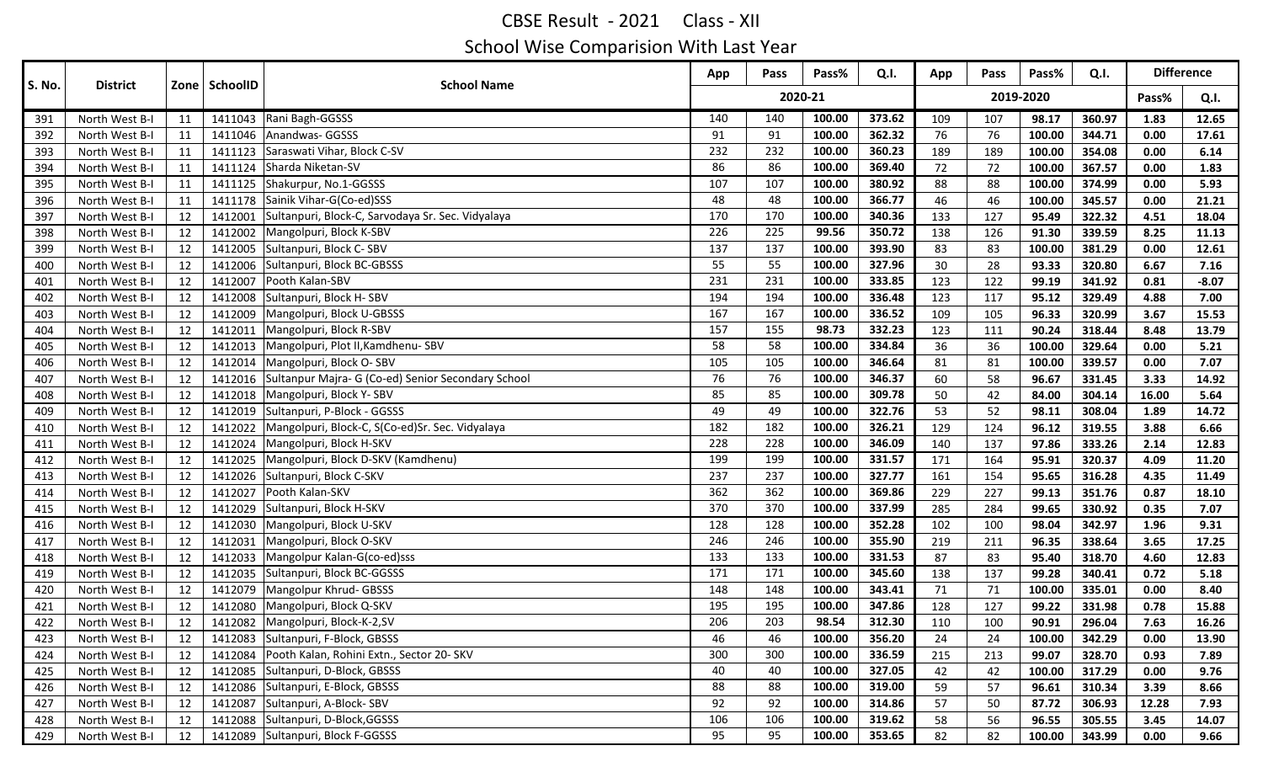|        | <b>District</b> |    | Zone   SchoolID | <b>School Name</b>                                         | App | Pass | Pass%   | Q.I.   | App | Pass | Pass%     | Q.I.   |       | <b>Difference</b> |
|--------|-----------------|----|-----------------|------------------------------------------------------------|-----|------|---------|--------|-----|------|-----------|--------|-------|-------------------|
| S. No. |                 |    |                 |                                                            |     |      | 2020-21 |        |     |      | 2019-2020 |        | Pass% | Q.I.              |
| 391    | North West B-I  | 11 |                 | 1411043 Rani Bagh-GGSSS                                    | 140 | 140  | 100.00  | 373.62 | 109 | 107  | 98.17     | 360.97 | 1.83  | 12.65             |
| 392    | North West B-I  | 11 |                 | 1411046 Anandwas- GGSSS                                    | 91  | 91   | 100.00  | 362.32 | 76  | 76   | 100.00    | 344.71 | 0.00  | 17.61             |
| 393    | North West B-I  | 11 | 1411123         | Saraswati Vihar, Block C-SV                                | 232 | 232  | 100.00  | 360.23 | 189 | 189  | 100.00    | 354.08 | 0.00  | 6.14              |
| 394    | North West B-I  | 11 | 1411124         | Sharda Niketan-SV                                          | 86  | 86   | 100.00  | 369.40 | 72  | 72   | 100.00    | 367.57 | 0.00  | 1.83              |
| 395    | North West B-I  | 11 |                 | 1411125 Shakurpur, No.1-GGSSS                              | 107 | 107  | 100.00  | 380.92 | 88  | 88   | 100.00    | 374.99 | 0.00  | 5.93              |
| 396    | North West B-I  | 11 |                 | 1411178 Sainik Vihar-G(Co-ed)SSS                           | 48  | 48   | 100.00  | 366.77 | 46  | 46   | 100.00    | 345.57 | 0.00  | 21.21             |
| 397    | North West B-I  | 12 | 1412001         | Sultanpuri, Block-C, Sarvodaya Sr. Sec. Vidyalaya          | 170 | 170  | 100.00  | 340.36 | 133 | 127  | 95.49     | 322.32 | 4.51  | 18.04             |
| 398    | North West B-I  | 12 | 1412002         | Mangolpuri, Block K-SBV                                    | 226 | 225  | 99.56   | 350.72 | 138 | 126  | 91.30     | 339.59 | 8.25  | 11.13             |
| 399    | North West B-I  | 12 | 1412005         | Sultanpuri, Block C-SBV                                    | 137 | 137  | 100.00  | 393.90 | 83  | 83   | 100.00    | 381.29 | 0.00  | 12.61             |
| 400    | North West B-I  | 12 | 1412006         | Sultanpuri, Block BC-GBSSS                                 | 55  | 55   | 100.00  | 327.96 | 30  | 28   | 93.33     | 320.80 | 6.67  | 7.16              |
| 401    | North West B-I  | 12 | 1412007         | Pooth Kalan-SBV                                            | 231 | 231  | 100.00  | 333.85 | 123 | 122  | 99.19     | 341.92 | 0.81  | $-8.07$           |
| 402    | North West B-I  | 12 | 1412008         | Sultanpuri, Block H-SBV                                    | 194 | 194  | 100.00  | 336.48 | 123 | 117  | 95.12     | 329.49 | 4.88  | 7.00              |
| 403    | North West B-I  | 12 | 1412009         | Mangolpuri, Block U-GBSSS                                  | 167 | 167  | 100.00  | 336.52 | 109 | 105  | 96.33     | 320.99 | 3.67  | 15.53             |
| 404    | North West B-I  | 12 | 1412011         | Mangolpuri, Block R-SBV                                    | 157 | 155  | 98.73   | 332.23 | 123 | 111  | 90.24     | 318.44 | 8.48  | 13.79             |
| 405    | North West B-I  | 12 | 1412013         | Mangolpuri, Plot II, Kamdhenu-SBV                          | 58  | 58   | 100.00  | 334.84 | 36  | 36   | 100.00    | 329.64 | 0.00  | 5.21              |
| 406    | North West B-I  | 12 | 1412014         | Mangolpuri, Block O-SBV                                    | 105 | 105  | 100.00  | 346.64 | 81  | 81   | 100.00    | 339.57 | 0.00  | 7.07              |
| 407    | North West B-I  | 12 |                 | 1412016 Sultanpur Majra- G (Co-ed) Senior Secondary School | 76  | 76   | 100.00  | 346.37 | 60  | 58   | 96.67     | 331.45 | 3.33  | 14.92             |
| 408    | North West B-I  | 12 |                 | 1412018 Mangolpuri, Block Y-SBV                            | 85  | 85   | 100.00  | 309.78 | 50  | 42   | 84.00     | 304.14 | 16.00 | 5.64              |
| 409    | North West B-I  | 12 | 1412019         | Sultanpuri, P-Block - GGSSS                                | 49  | 49   | 100.00  | 322.76 | 53  | 52   | 98.11     | 308.04 | 1.89  | 14.72             |
| 410    | North West B-I  | 12 | 1412022         | Mangolpuri, Block-C, S(Co-ed)Sr. Sec. Vidyalaya            | 182 | 182  | 100.00  | 326.21 | 129 | 124  | 96.12     | 319.55 | 3.88  | 6.66              |
| 411    | North West B-I  | 12 | 1412024         | Mangolpuri, Block H-SKV                                    | 228 | 228  | 100.00  | 346.09 | 140 | 137  | 97.86     | 333.26 | 2.14  | 12.83             |
| 412    | North West B-I  | 12 | 1412025         | Mangolpuri, Block D-SKV (Kamdhenu)                         | 199 | 199  | 100.00  | 331.57 | 171 | 164  | 95.91     | 320.37 | 4.09  | 11.20             |
| 413    | North West B-I  | 12 | 1412026         | Sultanpuri, Block C-SKV                                    | 237 | 237  | 100.00  | 327.77 | 161 | 154  | 95.65     | 316.28 | 4.35  | 11.49             |
| 414    | North West B-I  | 12 | 1412027         | Pooth Kalan-SKV                                            | 362 | 362  | 100.00  | 369.86 | 229 | 227  | 99.13     | 351.76 | 0.87  | 18.10             |
| 415    | North West B-I  | 12 | 1412029         | Sultanpuri, Block H-SKV                                    | 370 | 370  | 100.00  | 337.99 | 285 | 284  | 99.65     | 330.92 | 0.35  | 7.07              |
| 416    | North West B-I  | 12 | 1412030         | Mangolpuri, Block U-SKV                                    | 128 | 128  | 100.00  | 352.28 | 102 | 100  | 98.04     | 342.97 | 1.96  | 9.31              |
| 417    | North West B-I  | 12 | 1412031         | Mangolpuri, Block O-SKV                                    | 246 | 246  | 100.00  | 355.90 | 219 | 211  | 96.35     | 338.64 | 3.65  | 17.25             |
| 418    | North West B-I  | 12 | 1412033         | Mangolpur Kalan-G(co-ed)sss                                | 133 | 133  | 100.00  | 331.53 | 87  | 83   | 95.40     | 318.70 | 4.60  | 12.83             |
| 419    | North West B-I  | 12 | 1412035         | Sultanpuri, Block BC-GGSSS                                 | 171 | 171  | 100.00  | 345.60 | 138 | 137  | 99.28     | 340.41 | 0.72  | 5.18              |
| 420    | North West B-I  | 12 | 1412079         | Mangolpur Khrud- GBSSS                                     | 148 | 148  | 100.00  | 343.41 | 71  | 71   | 100.00    | 335.01 | 0.00  | 8.40              |
| 421    | North West B-I  | 12 |                 | 1412080 Mangolpuri, Block Q-SKV                            | 195 | 195  | 100.00  | 347.86 | 128 | 127  | 99.22     | 331.98 | 0.78  | 15.88             |
| 422    | North West B-I  | 12 |                 | 1412082 Mangolpuri, Block-K-2,SV                           | 206 | 203  | 98.54   | 312.30 | 110 | 100  | 90.91     | 296.04 | 7.63  | 16.26             |
| 423    | North West B-I  | 12 |                 | 1412083 Sultanpuri, F-Block, GBSSS                         | 46  | 46   | 100.00  | 356.20 | 24  | 24   | 100.00    | 342.29 | 0.00  | 13.90             |
| 424    | North West B-I  | 12 |                 | 1412084 Pooth Kalan, Rohini Extn., Sector 20- SKV          | 300 | 300  | 100.00  | 336.59 | 215 | 213  | 99.07     | 328.70 | 0.93  | 7.89              |
| 425    | North West B-I  | 12 |                 | 1412085 Sultanpuri, D-Block, GBSSS                         | 40  | 40   | 100.00  | 327.05 | 42  | 42   | 100.00    | 317.29 | 0.00  | 9.76              |
| 426    | North West B-I  | 12 |                 | 1412086 Sultanpuri, E-Block, GBSSS                         | 88  | 88   | 100.00  | 319.00 | 59  | 57   | 96.61     | 310.34 | 3.39  | 8.66              |
| 427    | North West B-I  | 12 |                 | 1412087 Sultanpuri, A-Block-SBV                            | 92  | 92   | 100.00  | 314.86 | 57  | 50   | 87.72     | 306.93 | 12.28 | 7.93              |
| 428    | North West B-I  | 12 |                 | 1412088 Sultanpuri, D-Block, GGSSS                         | 106 | 106  | 100.00  | 319.62 | 58  | 56   | 96.55     | 305.55 | 3.45  | 14.07             |
| 429    | North West B-I  | 12 |                 | 1412089 Sultanpuri, Block F-GGSSS                          | 95  | 95   | 100.00  | 353.65 | 82  | 82   | 100.00    | 343.99 | 0.00  | 9.66              |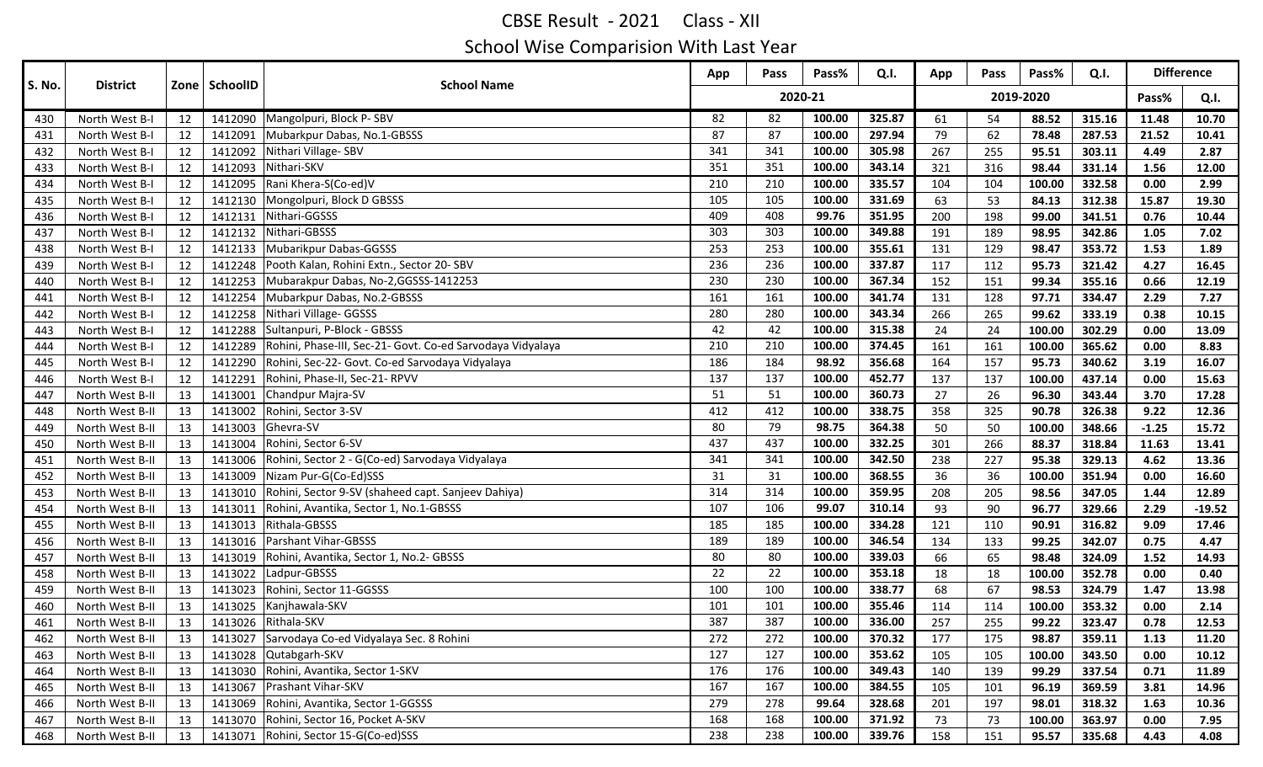| S. No. |                 |    |                 |                                                            | App | Pass | Pass%   | Q.I.   | App | Pass | Pass%     | Q.I.   |         | <b>Difference</b> |
|--------|-----------------|----|-----------------|------------------------------------------------------------|-----|------|---------|--------|-----|------|-----------|--------|---------|-------------------|
|        | <b>District</b> |    | Zone   SchoolID | <b>School Name</b>                                         |     |      | 2020-21 |        |     |      | 2019-2020 |        | Pass%   | Q.I.              |
| 430    | North West B-I  | 12 | 1412090         | Mangolpuri, Block P-SBV                                    | 82  | 82   | 100.00  | 325.87 | 61  | 54   | 88.52     | 315.16 | 11.48   | 10.70             |
| 431    | North West B-I  | 12 | 1412091         | Mubarkpur Dabas, No.1-GBSSS                                | 87  | 87   | 100.00  | 297.94 | 79  | 62   | 78.48     | 287.53 | 21.52   | 10.41             |
| 432    | North West B-I  | 12 | 1412092         | Nithari Village-SBV                                        | 341 | 341  | 100.00  | 305.98 | 267 | 255  | 95.51     | 303.11 | 4.49    | 2.87              |
| 433    | North West B-I  | 12 | 1412093         | Nithari-SKV                                                | 351 | 351  | 100.00  | 343.14 | 321 | 316  | 98.44     | 331.14 | 1.56    | 12.00             |
| 434    | North West B-I  | 12 | 1412095         | Rani Khera-S(Co-ed)V                                       | 210 | 210  | 100.00  | 335.57 | 104 | 104  | 100.00    | 332.58 | 0.00    | 2.99              |
| 435    | North West B-I  | 12 | 1412130         | Mongolpuri, Block D GBSSS                                  | 105 | 105  | 100.00  | 331.69 | 63  | 53   | 84.13     | 312.38 | 15.87   | 19.30             |
| 436    | North West B-I  | 12 | 1412131         | Nithari-GGSSS                                              | 409 | 408  | 99.76   | 351.95 | 200 | 198  | 99.00     | 341.51 | 0.76    | 10.44             |
| 437    | North West B-I  | 12 | 1412132         | Nithari-GBSSS                                              | 303 | 303  | 100.00  | 349.88 | 191 | 189  | 98.95     | 342.86 | 1.05    | 7.02              |
| 438    | North West B-I  | 12 | 1412133         | Mubarikpur Dabas-GGSSS                                     | 253 | 253  | 100.00  | 355.61 | 131 | 129  | 98.47     | 353.72 | 1.53    | 1.89              |
| 439    | North West B-I  | 12 | 1412248         | Pooth Kalan, Rohini Extn., Sector 20- SBV                  | 236 | 236  | 100.00  | 337.87 | 117 | 112  | 95.73     | 321.42 | 4.27    | 16.45             |
| 440    | North West B-I  | 12 | 1412253         | Mubarakpur Dabas, No-2, GGSSS-1412253                      | 230 | 230  | 100.00  | 367.34 | 152 | 151  | 99.34     | 355.16 | 0.66    | 12.19             |
| 441    | North West B-I  | 12 | 1412254         | Mubarkpur Dabas, No.2-GBSSS                                | 161 | 161  | 100.00  | 341.74 | 131 | 128  | 97.71     | 334.47 | 2.29    | 7.27              |
| 442    | North West B-I  | 12 | 1412258         | Nithari Village- GGSSS                                     | 280 | 280  | 100.00  | 343.34 | 266 | 265  | 99.62     | 333.19 | 0.38    | 10.15             |
| 443    | North West B-I  | 12 | 1412288         | Sultanpuri, P-Block - GBSSS                                | 42  | 42   | 100.00  | 315.38 | 24  | 24   | 100.00    | 302.29 | 0.00    | 13.09             |
| 444    | North West B-I  | 12 | 1412289         | Rohini, Phase-III, Sec-21- Govt. Co-ed Sarvodaya Vidyalaya | 210 | 210  | 100.00  | 374.45 | 161 | 161  | 100.00    | 365.62 | 0.00    | 8.83              |
| 445    | North West B-I  | 12 | 1412290         | Rohini, Sec-22- Govt. Co-ed Sarvodaya Vidyalaya            | 186 | 184  | 98.92   | 356.68 | 164 | 157  | 95.73     | 340.62 | 3.19    | 16.07             |
| 446    | North West B-I  | 12 | 1412291         | Rohini, Phase-II, Sec-21- RPVV                             | 137 | 137  | 100.00  | 452.77 | 137 | 137  | 100.00    | 437.14 | 0.00    | 15.63             |
| 447    | North West B-II | 13 | 1413001         | Chandpur Majra-SV                                          | 51  | 51   | 100.00  | 360.73 | 27  | 26   | 96.30     | 343.44 | 3.70    | 17.28             |
| 448    | North West B-II | 13 | 1413002         | Rohini, Sector 3-SV                                        | 412 | 412  | 100.00  | 338.75 | 358 | 325  | 90.78     | 326.38 | 9.22    | 12.36             |
| 449    | North West B-II | 13 | 1413003         | Ghevra-SV                                                  | 80  | 79   | 98.75   | 364.38 | 50  | 50   | 100.00    | 348.66 | $-1.25$ | 15.72             |
| 450    | North West B-II | 13 | 1413004         | Rohini, Sector 6-SV                                        | 437 | 437  | 100.00  | 332.25 | 301 | 266  | 88.37     | 318.84 | 11.63   | 13.41             |
| 451    | North West B-II | 13 | 1413006         | Rohini, Sector 2 - G(Co-ed) Sarvodaya Vidyalaya            | 341 | 341  | 100.00  | 342.50 | 238 | 227  | 95.38     | 329.13 | 4.62    | 13.36             |
| 452    | North West B-II | 13 | 1413009         | Nizam Pur-G(Co-Ed)SSS                                      | 31  | 31   | 100.00  | 368.55 | 36  | 36   | 100.00    | 351.94 | 0.00    | 16.60             |
| 453    | North West B-II | 13 | 1413010         | Rohini, Sector 9-SV (shaheed capt. Sanjeev Dahiya)         | 314 | 314  | 100.00  | 359.95 | 208 | 205  | 98.56     | 347.05 | 1.44    | 12.89             |
| 454    | North West B-II | 13 | 1413011         | Rohini, Avantika, Sector 1, No.1-GBSSS                     | 107 | 106  | 99.07   | 310.14 | 93  | 90   | 96.77     | 329.66 | 2.29    | $-19.52$          |
| 455    | North West B-II | 13 | 1413013         | Rithala-GBSSS                                              | 185 | 185  | 100.00  | 334.28 | 121 | 110  | 90.91     | 316.82 | 9.09    | 17.46             |
| 456    | North West B-II | 13 | 1413016         | Parshant Vihar-GBSSS                                       | 189 | 189  | 100.00  | 346.54 | 134 | 133  | 99.25     | 342.07 | 0.75    | 4.47              |
| 457    | North West B-II | 13 | 1413019         | Rohini, Avantika, Sector 1, No.2- GBSSS                    | 80  | 80   | 100.00  | 339.03 | 66  | 65   | 98.48     | 324.09 | 1.52    | 14.93             |
| 458    | North West B-II | 13 | 1413022         | Ladpur-GBSSS                                               | 22  | 22   | 100.00  | 353.18 | 18  | 18   | 100.00    | 352.78 | 0.00    | 0.40              |
| 459    | North West B-II | 13 | 1413023         | Rohini, Sector 11-GGSSS                                    | 100 | 100  | 100.00  | 338.77 | 68  | 67   | 98.53     | 324.79 | 1.47    | 13.98             |
| 460    | North West B-II | 13 |                 | 1413025 Kanjhawala-SKV                                     | 101 | 101  | 100.00  | 355.46 | 114 | 114  | 100.00    | 353.32 | 0.00    | 2.14              |
| 461    | North West B-II | 13 |                 | 1413026 Rithala-SKV                                        | 387 | 387  | 100.00  | 336.00 | 257 | 255  | 99.22     | 323.47 | 0.78    | 12.53             |
| 462    | North West B-II | 13 | 1413027         | Sarvodaya Co-ed Vidyalaya Sec. 8 Rohini                    | 272 | 272  | 100.00  | 370.32 | 177 | 175  | 98.87     | 359.11 | 1.13    | 11.20             |
| 463    | North West B-II | 13 |                 | 1413028 Qutabgarh-SKV                                      | 127 | 127  | 100.00  | 353.62 | 105 | 105  | 100.00    | 343.50 | 0.00    | 10.12             |
| 464    | North West B-II | 13 | 1413030         | Rohini, Avantika, Sector 1-SKV                             | 176 | 176  | 100.00  | 349.43 | 140 | 139  | 99.29     | 337.54 | 0.71    | 11.89             |
| 465    | North West B-II | 13 | 1413067         | Prashant Vihar-SKV                                         | 167 | 167  | 100.00  | 384.55 | 105 | 101  | 96.19     | 369.59 | 3.81    | 14.96             |
| 466    | North West B-II | 13 |                 | 1413069 Rohini, Avantika, Sector 1-GGSSS                   | 279 | 278  | 99.64   | 328.68 | 201 | 197  | 98.01     | 318.32 | 1.63    | 10.36             |
| 467    | North West B-II | 13 |                 | 1413070 Rohini, Sector 16, Pocket A-SKV                    | 168 | 168  | 100.00  | 371.92 | 73  | 73   | 100.00    | 363.97 | 0.00    | 7.95              |
| 468    | North West B-II | 13 |                 | 1413071 Rohini, Sector 15-G(Co-ed)SSS                      | 238 | 238  | 100.00  | 339.76 | 158 | 151  | 95.57     | 335.68 | 4.43    | 4.08              |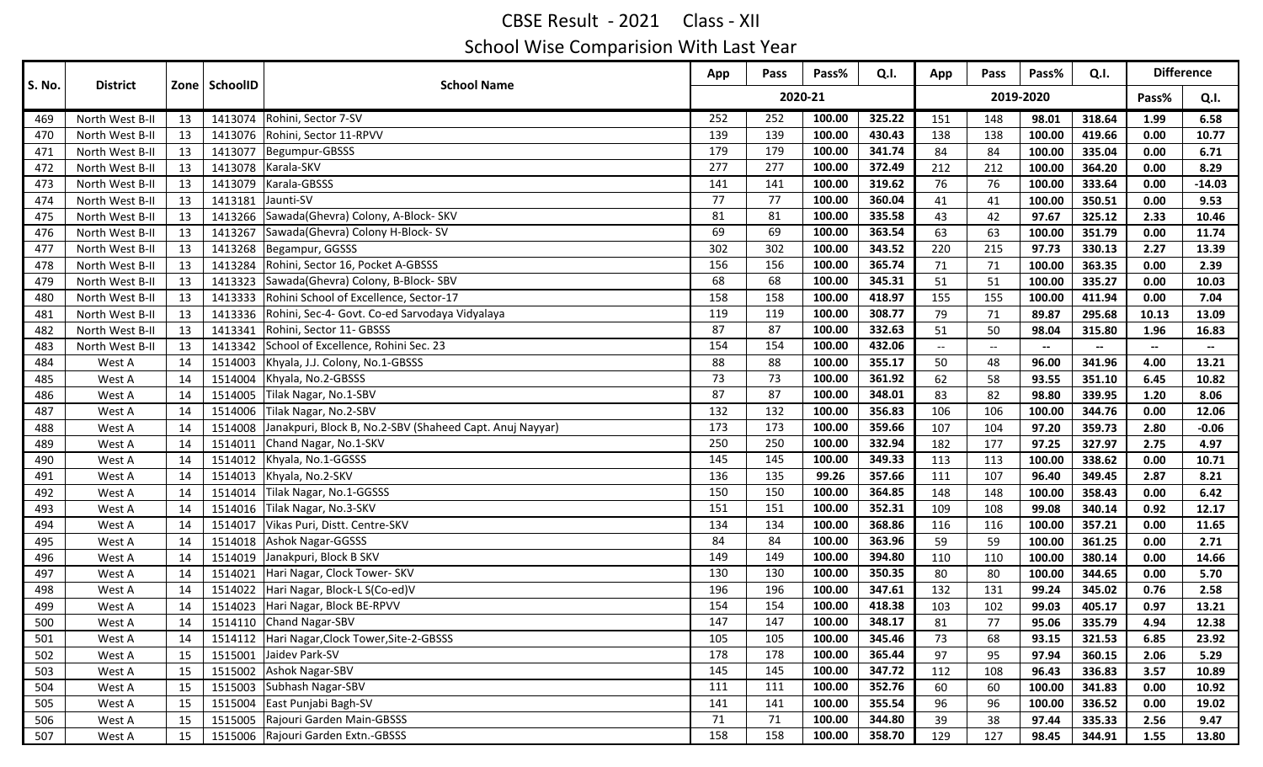| S. No. | <b>District</b> | Zone   | SchoolID | <b>School Name</b>                                               | App | Pass            | Pass%   | Q.I.   | App                                           | Pass                     | Pass%                  | Q.I.                     |                          | <b>Difference</b>        |
|--------|-----------------|--------|----------|------------------------------------------------------------------|-----|-----------------|---------|--------|-----------------------------------------------|--------------------------|------------------------|--------------------------|--------------------------|--------------------------|
|        |                 |        |          |                                                                  |     |                 | 2020-21 |        |                                               |                          | 2019-2020              |                          | Pass%                    | Q.I.                     |
| 469    | North West B-II | 13     |          | 1413074 Rohini, Sector 7-SV                                      | 252 | 252             | 100.00  | 325.22 | 151                                           | 148                      | 98.01                  | 318.64                   | 1.99                     | 6.58                     |
| 470    | North West B-II | 13     | 1413076  | Rohini, Sector 11-RPVV                                           | 139 | 139             | 100.00  | 430.43 | 138                                           | 138                      | 100.00                 | 419.66                   | 0.00                     | 10.77                    |
| 471    | North West B-II | 13     | 1413077  | Begumpur-GBSSS                                                   | 179 | 179             | 100.00  | 341.74 | 84                                            | 84                       | 100.00                 | 335.04                   | 0.00                     | 6.71                     |
| 472    | North West B-II | 13     | 1413078  | Karala-SKV                                                       | 277 | 277             | 100.00  | 372.49 | 212                                           | 212                      | 100.00                 | 364.20                   | 0.00                     | 8.29                     |
| 473    | North West B-II | 13     | 1413079  | Karala-GBSSS                                                     | 141 | 141             | 100.00  | 319.62 | 76                                            | 76                       | 100.00                 | 333.64                   | 0.00                     | $-14.03$                 |
| 474    | North West B-II | 13     | 1413181  | Jaunti-SV                                                        | 77  | 77              | 100.00  | 360.04 | 41                                            | 41                       | 100.00                 | 350.51                   | 0.00                     | 9.53                     |
| 475    | North West B-II | 13     |          | 1413266 Sawada(Ghevra) Colony, A-Block-SKV                       | 81  | 81              | 100.00  | 335.58 | 43                                            | 42                       | 97.67                  | 325.12                   | 2.33                     | 10.46                    |
| 476    | North West B-II | 13     | 1413267  | Sawada(Ghevra) Colony H-Block-SV                                 | 69  | 69              | 100.00  | 363.54 | 63                                            | 63                       | 100.00                 | 351.79                   | 0.00                     | 11.74                    |
| 477    | North West B-II | 13     | 1413268  | Begampur, GGSSS                                                  | 302 | 302             | 100.00  | 343.52 | 220                                           | 215                      | 97.73                  | 330.13                   | 2.27                     | 13.39                    |
| 478    | North West B-II | 13     | 1413284  | Rohini, Sector 16, Pocket A-GBSSS                                | 156 | 156             | 100.00  | 365.74 | 71                                            | 71                       | 100.00                 | 363.35                   | 0.00                     | 2.39                     |
| 479    | North West B-II | 13     | 1413323  | Sawada(Ghevra) Colony, B-Block-SBV                               | 68  | 68              | 100.00  | 345.31 | 51                                            | 51                       | 100.00                 | 335.27                   | 0.00                     | 10.03                    |
| 480    | North West B-II | 13     |          | 1413333 Rohini School of Excellence, Sector-17                   | 158 | 158             | 100.00  | 418.97 | 155                                           | 155                      | 100.00                 | 411.94                   | 0.00                     | 7.04                     |
| 481    | North West B-II | 13     |          | 1413336 Rohini, Sec-4- Govt. Co-ed Sarvodaya Vidyalaya           | 119 | 119             | 100.00  | 308.77 | 79                                            | 71                       | 89.87                  | 295.68                   | 10.13                    | 13.09                    |
| 482    | North West B-II | 13     | 1413341  | Rohini, Sector 11- GBSSS                                         | 87  | 87              | 100.00  | 332.63 | 51                                            | 50                       | 98.04                  | 315.80                   | 1.96                     | 16.83                    |
| 483    | North West B-II | 13     | 1413342  | School of Excellence, Rohini Sec. 23                             | 154 | 154             | 100.00  | 432.06 | $\mathord{\hspace{1pt}\text{--}\hspace{1pt}}$ | $\overline{\phantom{a}}$ | $\qquad \qquad \cdots$ | $\overline{\phantom{a}}$ | $\overline{\phantom{a}}$ | $\overline{\phantom{a}}$ |
| 484    | West A          | 14     |          | 1514003 Khyala, J.J. Colony, No.1-GBSSS                          | 88  | 88              | 100.00  | 355.17 | 50                                            | 48                       | 96.00                  | 341.96                   | 4.00                     | 13.21                    |
| 485    | West A          | 14     | 1514004  | Khyala, No.2-GBSSS                                               | 73  | 73              | 100.00  | 361.92 | 62                                            | 58                       | 93.55                  | 351.10                   | 6.45                     | 10.82                    |
| 486    | West A          | 14     |          | 1514005 Tilak Nagar, No.1-SBV                                    | 87  | 87              | 100.00  | 348.01 | 83                                            | 82                       | 98.80                  | 339.95                   | 1.20                     | 8.06                     |
| 487    | West A          | 14     |          | 1514006 Tilak Nagar, No.2-SBV                                    | 132 | 132             | 100.00  | 356.83 | 106                                           | 106                      | 100.00                 | 344.76                   | 0.00                     | 12.06                    |
| 488    | West A          | 14     |          | 1514008 Janakpuri, Block B, No.2-SBV (Shaheed Capt. Anuj Nayyar) | 173 | 173             | 100.00  | 359.66 | 107                                           | 104                      | 97.20                  | 359.73                   | 2.80                     | $-0.06$                  |
| 489    | West A          | 14     | 1514011  | Chand Nagar, No.1-SKV                                            | 250 | 250             | 100.00  | 332.94 | 182                                           | 177                      | 97.25                  | 327.97                   | 2.75                     | 4.97                     |
| 490    | West A          | 14     |          | 1514012 Khyala, No.1-GGSSS                                       | 145 | 145             | 100.00  | 349.33 | 113                                           | 113                      | 100.00                 | 338.62                   | 0.00                     | 10.71                    |
| 491    | West A          | 14     |          | 1514013 Khyala, No.2-SKV                                         | 136 | 135             | 99.26   | 357.66 | 111                                           | 107                      | 96.40                  | 349.45                   | 2.87                     | 8.21                     |
| 492    | West A          | 14     |          | 1514014 Tilak Nagar, No.1-GGSSS                                  | 150 | 150             | 100.00  | 364.85 | 148                                           | 148                      | 100.00                 | 358.43                   | 0.00                     | 6.42                     |
| 493    | West A          | 14     |          | 1514016 Tilak Nagar, No.3-SKV                                    | 151 | 151             | 100.00  | 352.31 | 109                                           | 108                      | 99.08                  | 340.14                   | 0.92                     | 12.17                    |
| 494    | West A          | 14     |          | 1514017 Vikas Puri, Distt. Centre-SKV                            | 134 | 134             | 100.00  | 368.86 | 116                                           | 116                      | 100.00                 | 357.21                   | 0.00                     | 11.65                    |
| 495    | West A          | 14     |          | 1514018 Ashok Nagar-GGSSS                                        | 84  | 84              | 100.00  | 363.96 | 59                                            | 59                       | 100.00                 | 361.25                   | 0.00                     | 2.71                     |
| 496    | West A          | 14     | 1514019  | Janakpuri, Block B SKV                                           | 149 | 149             | 100.00  | 394.80 | 110                                           | 110                      | 100.00                 | 380.14                   | 0.00                     | 14.66                    |
| 497    | West A          | 14     | 1514021  | Hari Nagar, Clock Tower- SKV                                     | 130 | 130             | 100.00  | 350.35 | 80                                            | 80                       | 100.00                 | 344.65                   | 0.00                     | 5.70                     |
| 498    | West A          | 14     |          | 1514022 Hari Nagar, Block-L S(Co-ed)V                            | 196 | 196             | 100.00  | 347.61 | 132                                           | 131                      | 99.24                  | 345.02                   | 0.76                     | 2.58                     |
| 499    | West A          | 14     |          | 1514023 Hari Nagar, Block BE-RPVV                                | 154 | 154             | 100.00  | 418.38 | 103                                           | 102                      | 99.03                  | 405.17                   | 0.97                     | 13.21                    |
| 500    | West A          | $14\,$ |          | 1514110 Chand Nagar-SBV                                          | 147 | $\frac{147}{1}$ | 100.00  | 348.17 | 81                                            | 77                       | 95.06                  | 335.79                   | 4.94                     | 12.38                    |
| 501    | West A          | 14     |          | 1514112 Hari Nagar, Clock Tower, Site-2-GBSSS                    | 105 | 105             | 100.00  | 345.46 | 73                                            | 68                       | 93.15                  | 321.53                   | 6.85                     | 23.92                    |
| 502    | West A          | 15     |          | 1515001 Jaidev Park-SV                                           | 178 | 178             | 100.00  | 365.44 | 97                                            | 95                       | 97.94                  | 360.15                   | 2.06                     | 5.29                     |
| 503    | West A          | 15     |          | 1515002 Ashok Nagar-SBV                                          | 145 | 145             | 100.00  | 347.72 | 112                                           | 108                      | 96.43                  | 336.83                   | 3.57                     | 10.89                    |
| 504    | West A          | 15     |          | 1515003 Subhash Nagar-SBV                                        | 111 | 111             | 100.00  | 352.76 | 60                                            | 60                       | 100.00                 | 341.83                   | 0.00                     | 10.92                    |
| 505    | West A          | 15     |          | 1515004 East Punjabi Bagh-SV                                     | 141 | 141             | 100.00  | 355.54 | 96                                            | 96                       | 100.00                 | 336.52                   | 0.00                     | 19.02                    |
| 506    | West A          | 15     |          | 1515005 Rajouri Garden Main-GBSSS                                | 71  | 71              | 100.00  | 344.80 | 39                                            | 38                       | 97.44                  | 335.33                   | 2.56                     | 9.47                     |
| 507    | West A          | 15     |          | 1515006 Rajouri Garden Extn.-GBSSS                               | 158 | 158             | 100.00  | 358.70 | 129                                           | 127                      | 98.45                  | 344.91                   | 1.55                     | 13.80                    |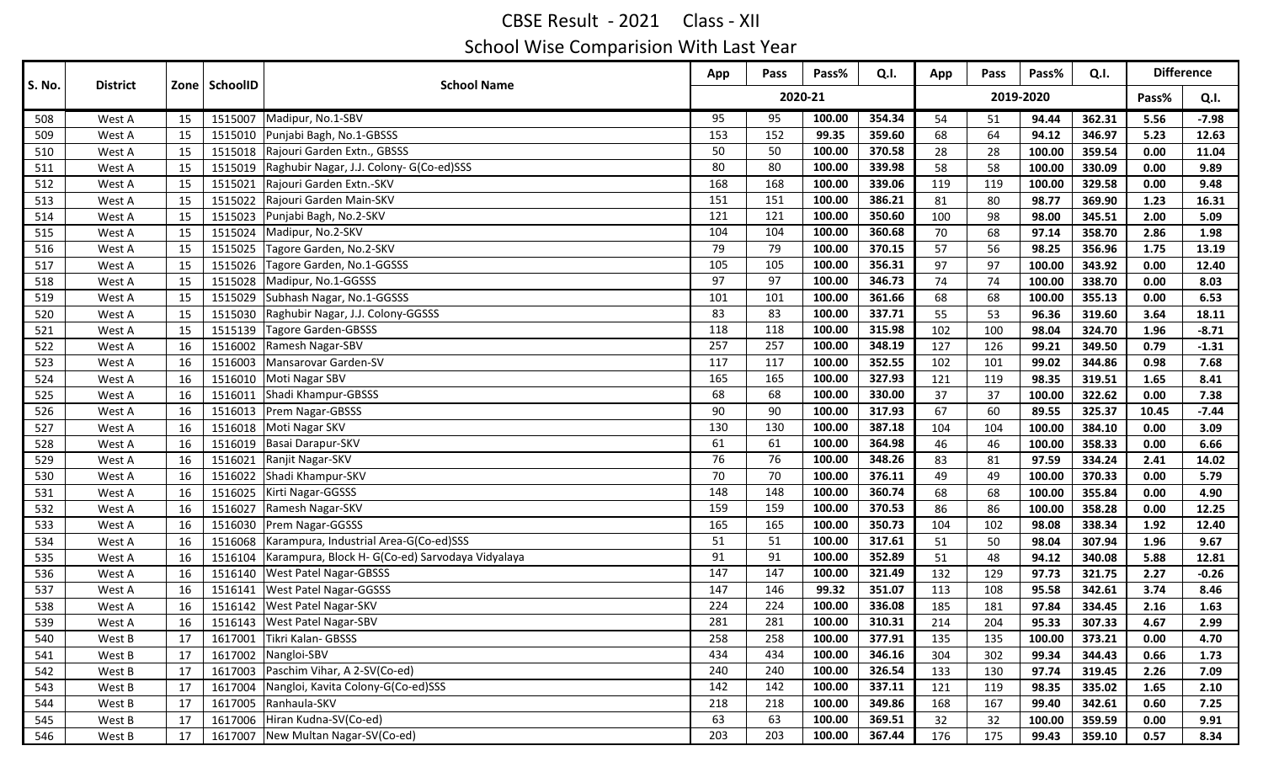| S. No. | <b>District</b> | Zone | SchoolID | <b>School Name</b>                                       | App | Pass | Pass%   | Q.I.   | App | Pass | Pass%     | Q.I.   |       | <b>Difference</b> |
|--------|-----------------|------|----------|----------------------------------------------------------|-----|------|---------|--------|-----|------|-----------|--------|-------|-------------------|
|        |                 |      |          |                                                          |     |      | 2020-21 |        |     |      | 2019-2020 |        | Pass% | Q.I.              |
| 508    | West A          | 15   | 1515007  | Madipur, No.1-SBV                                        | 95  | 95   | 100.00  | 354.34 | 54  | 51   | 94.44     | 362.31 | 5.56  | $-7.98$           |
| 509    | West A          | 15   | 1515010  | Punjabi Bagh, No.1-GBSSS                                 | 153 | 152  | 99.35   | 359.60 | 68  | 64   | 94.12     | 346.97 | 5.23  | 12.63             |
| 510    | West A          | 15   |          | 1515018 Rajouri Garden Extn., GBSSS                      | 50  | 50   | 100.00  | 370.58 | 28  | 28   | 100.00    | 359.54 | 0.00  | 11.04             |
| 511    | West A          | 15   | 1515019  | Raghubir Nagar, J.J. Colony- G(Co-ed)SSS                 | 80  | 80   | 100.00  | 339.98 | 58  | 58   | 100.00    | 330.09 | 0.00  | 9.89              |
| 512    | West A          | 15   | 1515021  | Rajouri Garden Extn.-SKV                                 | 168 | 168  | 100.00  | 339.06 | 119 | 119  | 100.00    | 329.58 | 0.00  | 9.48              |
| 513    | West A          | 15   |          | 1515022 Rajouri Garden Main-SKV                          | 151 | 151  | 100.00  | 386.21 | 81  | 80   | 98.77     | 369.90 | 1.23  | 16.31             |
| 514    | West A          | 15   |          | 1515023 Punjabi Bagh, No.2-SKV                           | 121 | 121  | 100.00  | 350.60 | 100 | 98   | 98.00     | 345.51 | 2.00  | 5.09              |
| 515    | West A          | 15   | 1515024  | Madipur, No.2-SKV                                        | 104 | 104  | 100.00  | 360.68 | 70  | 68   | 97.14     | 358.70 | 2.86  | 1.98              |
| 516    | West A          | 15   | 1515025  | Tagore Garden, No.2-SKV                                  | 79  | 79   | 100.00  | 370.15 | 57  | 56   | 98.25     | 356.96 | 1.75  | 13.19             |
| 517    | West A          | 15   | 1515026  | Tagore Garden, No.1-GGSSS                                | 105 | 105  | 100.00  | 356.31 | 97  | 97   | 100.00    | 343.92 | 0.00  | 12.40             |
| 518    | West A          | 15   |          | 1515028 Madipur, No.1-GGSSS                              | 97  | 97   | 100.00  | 346.73 | 74  | 74   | 100.00    | 338.70 | 0.00  | 8.03              |
| 519    | West A          | 15   | 1515029  | Subhash Nagar, No.1-GGSSS                                | 101 | 101  | 100.00  | 361.66 | 68  | 68   | 100.00    | 355.13 | 0.00  | 6.53              |
| 520    | West A          | 15   | 1515030  | Raghubir Nagar, J.J. Colony-GGSSS                        | 83  | 83   | 100.00  | 337.71 | 55  | 53   | 96.36     | 319.60 | 3.64  | 18.11             |
| 521    | West A          | 15   | 1515139  | <b>Tagore Garden-GBSSS</b>                               | 118 | 118  | 100.00  | 315.98 | 102 | 100  | 98.04     | 324.70 | 1.96  | $-8.71$           |
| 522    | West A          | 16   | 1516002  | Ramesh Nagar-SBV                                         | 257 | 257  | 100.00  | 348.19 | 127 | 126  | 99.21     | 349.50 | 0.79  | $-1.31$           |
| 523    | West A          | 16   | 1516003  | Mansarovar Garden-SV                                     | 117 | 117  | 100.00  | 352.55 | 102 | 101  | 99.02     | 344.86 | 0.98  | 7.68              |
| 524    | West A          | 16   | 1516010  | Moti Nagar SBV                                           | 165 | 165  | 100.00  | 327.93 | 121 | 119  | 98.35     | 319.51 | 1.65  | 8.41              |
| 525    | West A          | 16   | 1516011  | Shadi Khampur-GBSSS                                      | 68  | 68   | 100.00  | 330.00 | 37  | 37   | 100.00    | 322.62 | 0.00  | 7.38              |
| 526    | West A          | 16   |          | 1516013 Prem Nagar-GBSSS                                 | 90  | 90   | 100.00  | 317.93 | 67  | 60   | 89.55     | 325.37 | 10.45 | $-7.44$           |
| 527    | West A          | 16   |          | 1516018 Moti Nagar SKV                                   | 130 | 130  | 100.00  | 387.18 | 104 | 104  | 100.00    | 384.10 | 0.00  | 3.09              |
| 528    | West A          | 16   | 1516019  | Basai Darapur-SKV                                        | 61  | 61   | 100.00  | 364.98 | 46  | 46   | 100.00    | 358.33 | 0.00  | 6.66              |
| 529    | West A          | 16   | 1516021  | Ranjit Nagar-SKV                                         | 76  | 76   | 100.00  | 348.26 | 83  | 81   | 97.59     | 334.24 | 2.41  | 14.02             |
| 530    | West A          | 16   | 1516022  | Shadi Khampur-SKV                                        | 70  | 70   | 100.00  | 376.11 | 49  | 49   | 100.00    | 370.33 | 0.00  | 5.79              |
| 531    | West A          | 16   |          | 1516025 Kirti Nagar-GGSSS                                | 148 | 148  | 100.00  | 360.74 | 68  | 68   | 100.00    | 355.84 | 0.00  | 4.90              |
| 532    | West A          | 16   |          | 1516027 Ramesh Nagar-SKV                                 | 159 | 159  | 100.00  | 370.53 | 86  | 86   | 100.00    | 358.28 | 0.00  | 12.25             |
| 533    | West A          | 16   |          | 1516030 Prem Nagar-GGSSS                                 | 165 | 165  | 100.00  | 350.73 | 104 | 102  | 98.08     | 338.34 | 1.92  | 12.40             |
| 534    | West A          | 16   | 1516068  | Karampura, Industrial Area-G(Co-ed)SSS                   | 51  | 51   | 100.00  | 317.61 | 51  | 50   | 98.04     | 307.94 | 1.96  | 9.67              |
| 535    | West A          | 16   |          | 1516104 Karampura, Block H- G(Co-ed) Sarvodaya Vidyalaya | 91  | 91   | 100.00  | 352.89 | 51  | 48   | 94.12     | 340.08 | 5.88  | 12.81             |
| 536    | West A          | 16   | 1516140  | <b>West Patel Nagar-GBSSS</b>                            | 147 | 147  | 100.00  | 321.49 | 132 | 129  | 97.73     | 321.75 | 2.27  | $-0.26$           |
| 537    | West A          | 16   |          | 1516141   West Patel Nagar-GGSSS                         | 147 | 146  | 99.32   | 351.07 | 113 | 108  | 95.58     | 342.61 | 3.74  | 8.46              |
| 538    | West A          | 16   |          | 1516142 West Patel Nagar-SKV                             | 224 | 224  | 100.00  | 336.08 | 185 | 181  | 97.84     | 334.45 | 2.16  | 1.63              |
| 539    | West A          | 16   |          | 1516143 West Patel Nagar-SBV                             | 281 | 281  | 100.00  | 310.31 | 214 | 204  | 95.33     | 307.33 | 4.67  | 2.99              |
| 540    | West B          | 17   |          | 1617001 Tikri Kalan- GBSSS                               | 258 | 258  | 100.00  | 377.91 | 135 | 135  | 100.00    | 373.21 | 0.00  | 4.70              |
| 541    | West B          | 17   |          | 1617002 Nangloi-SBV                                      | 434 | 434  | 100.00  | 346.16 | 304 | 302  | 99.34     | 344.43 | 0.66  | 1.73              |
| 542    | West B          | 17   |          | 1617003 Paschim Vihar, A 2-SV(Co-ed)                     | 240 | 240  | 100.00  | 326.54 | 133 | 130  | 97.74     | 319.45 | 2.26  | 7.09              |
| 543    | West B          | 17   |          | 1617004 Nangloi, Kavita Colony-G(Co-ed)SSS               | 142 | 142  | 100.00  | 337.11 | 121 | 119  | 98.35     | 335.02 | 1.65  | 2.10              |
| 544    | West B          | 17   |          | 1617005 Ranhaula-SKV                                     | 218 | 218  | 100.00  | 349.86 | 168 | 167  | 99.40     | 342.61 | 0.60  | 7.25              |
| 545    | West B          | 17   |          | 1617006 Hiran Kudna-SV(Co-ed)                            | 63  | 63   | 100.00  | 369.51 | 32  | 32   | 100.00    | 359.59 | 0.00  | 9.91              |
| 546    | West B          | 17   |          | 1617007 New Multan Nagar-SV(Co-ed)                       | 203 | 203  | 100.00  | 367.44 | 176 | 175  | 99.43     | 359.10 | 0.57  | 8.34              |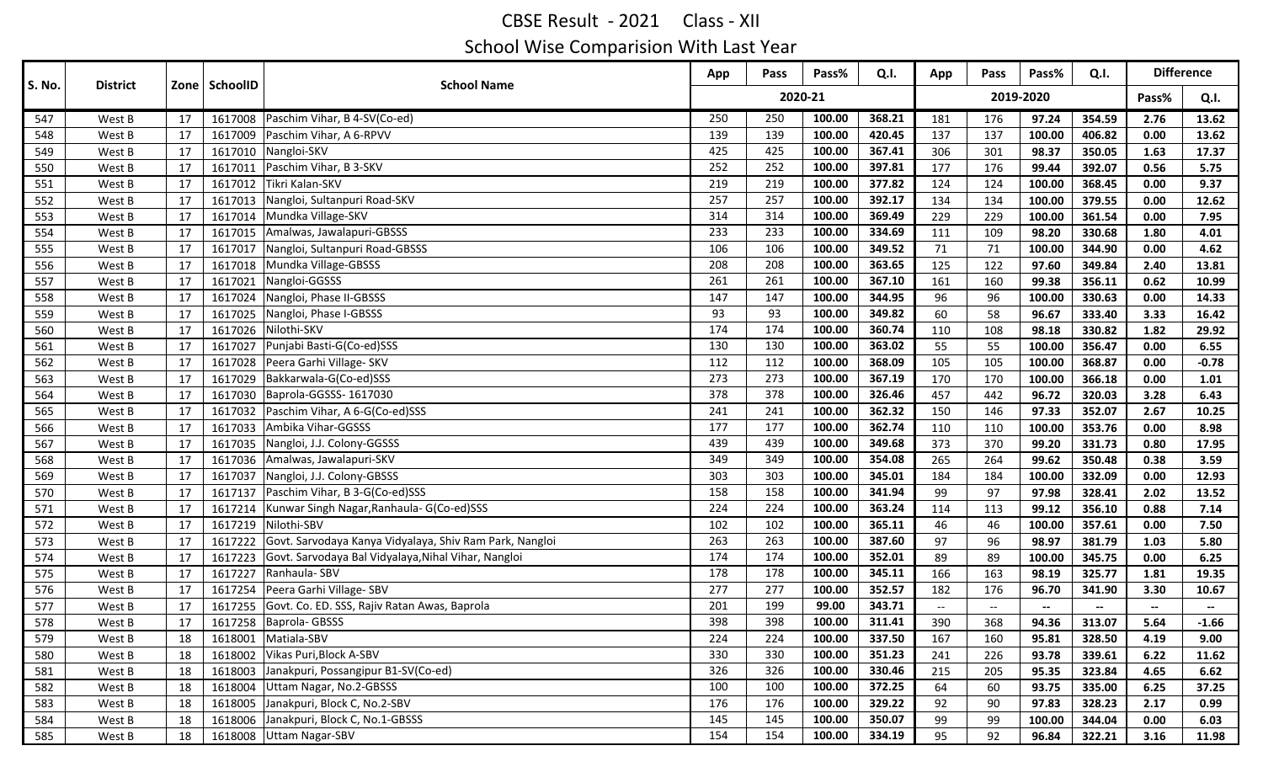|        |                 |    |                 |                                                         | App | Pass             | Pass%   | Q.I.   | App   | Pass                                                | Pass%                    | Q.I.                     |       | <b>Difference</b> |
|--------|-----------------|----|-----------------|---------------------------------------------------------|-----|------------------|---------|--------|-------|-----------------------------------------------------|--------------------------|--------------------------|-------|-------------------|
| S. No. | <b>District</b> |    | Zone   SchoolID | <b>School Name</b>                                      |     |                  | 2020-21 |        |       |                                                     | 2019-2020                |                          | Pass% | Q.I.              |
| 547    | West B          | 17 |                 | 1617008 Paschim Vihar, B 4-SV(Co-ed)                    | 250 | 250              | 100.00  | 368.21 | 181   | 176                                                 | 97.24                    | 354.59                   | 2.76  | 13.62             |
| 548    | West B          | 17 | 1617009         | Paschim Vihar, A 6-RPVV                                 | 139 | 139              | 100.00  | 420.45 | 137   | 137                                                 | 100.00                   | 406.82                   | 0.00  | 13.62             |
| 549    | West B          | 17 |                 | 1617010 Nangloi-SKV                                     | 425 | 425              | 100.00  | 367.41 | 306   | 301                                                 | 98.37                    | 350.05                   | 1.63  | 17.37             |
| 550    | West B          | 17 |                 | 1617011 Paschim Vihar, B 3-SKV                          | 252 | 252              | 100.00  | 397.81 | 177   | 176                                                 | 99.44                    | 392.07                   | 0.56  | 5.75              |
| 551    | West B          | 17 |                 | 1617012 Tikri Kalan-SKV                                 | 219 | 219              | 100.00  | 377.82 | 124   | 124                                                 | 100.00                   | 368.45                   | 0.00  | 9.37              |
| 552    | West B          | 17 |                 | 1617013 Nangloi, Sultanpuri Road-SKV                    | 257 | 257              | 100.00  | 392.17 | 134   | 134                                                 | 100.00                   | 379.55                   | 0.00  | 12.62             |
| 553    | West B          | 17 |                 | 1617014 Mundka Village-SKV                              | 314 | 314              | 100.00  | 369.49 | 229   | 229                                                 | 100.00                   | 361.54                   | 0.00  | 7.95              |
| 554    | West B          | 17 |                 | 1617015 Amalwas, Jawalapuri-GBSSS                       | 233 | 233              | 100.00  | 334.69 | 111   | 109                                                 | 98.20                    | 330.68                   | 1.80  | 4.01              |
| 555    | West B          | 17 | 1617017         | Nangloi, Sultanpuri Road-GBSSS                          | 106 | 106              | 100.00  | 349.52 | 71    | 71                                                  | 100.00                   | 344.90                   | 0.00  | 4.62              |
| 556    | West B          | 17 |                 | 1617018 Mundka Village-GBSSS                            | 208 | 208              | 100.00  | 363.65 | 125   | 122                                                 | 97.60                    | 349.84                   | 2.40  | 13.81             |
| 557    | West B          | 17 |                 | 1617021 Nangloi-GGSSS                                   | 261 | 261              | 100.00  | 367.10 | 161   | 160                                                 | 99.38                    | 356.11                   | 0.62  | 10.99             |
| 558    | West B          | 17 |                 | 1617024 Nangloi, Phase II-GBSSS                         | 147 | 147              | 100.00  | 344.95 | 96    | 96                                                  | 100.00                   | 330.63                   | 0.00  | 14.33             |
| 559    | West B          | 17 | 1617025         | Nangloi, Phase I-GBSSS                                  | 93  | 93               | 100.00  | 349.82 | 60    | 58                                                  | 96.67                    | 333.40                   | 3.33  | 16.42             |
| 560    | West B          | 17 |                 | 1617026 Nilothi-SKV                                     | 174 | 174              | 100.00  | 360.74 | 110   | 108                                                 | 98.18                    | 330.82                   | 1.82  | 29.92             |
| 561    | West B          | 17 | 1617027         | Punjabi Basti-G(Co-ed)SSS                               | 130 | 130              | 100.00  | 363.02 | 55    | 55                                                  | 100.00                   | 356.47                   | 0.00  | 6.55              |
| 562    | West B          | 17 |                 | 1617028 Peera Garhi Village- SKV                        | 112 | 112              | 100.00  | 368.09 | 105   | 105                                                 | 100.00                   | 368.87                   | 0.00  | $-0.78$           |
| 563    | West B          | 17 |                 | 1617029 Bakkarwala-G(Co-ed)SSS                          | 273 | $\overline{273}$ | 100.00  | 367.19 | 170   | 170                                                 | 100.00                   | 366.18                   | 0.00  | 1.01              |
| 564    | West B          | 17 |                 | 1617030 Baprola-GGSSS- 1617030                          | 378 | 378              | 100.00  | 326.46 | 457   | 442                                                 | 96.72                    | 320.03                   | 3.28  | 6.43              |
| 565    | West B          | 17 | 1617032         | Paschim Vihar, A 6-G(Co-ed)SSS                          | 241 | 241              | 100.00  | 362.32 | 150   | 146                                                 | 97.33                    | 352.07                   | 2.67  | 10.25             |
| 566    | West B          | 17 | 1617033         | Ambika Vihar-GGSSS                                      | 177 | 177              | 100.00  | 362.74 | 110   | 110                                                 | 100.00                   | 353.76                   | 0.00  | 8.98              |
| 567    | West B          | 17 | 1617035         | Nangloi, J.J. Colony-GGSSS                              | 439 | 439              | 100.00  | 349.68 | 373   | 370                                                 | 99.20                    | 331.73                   | 0.80  | 17.95             |
| 568    | West B          | 17 |                 | 1617036 Amalwas, Jawalapuri-SKV                         | 349 | 349              | 100.00  | 354.08 | 265   | 264                                                 | 99.62                    | 350.48                   | 0.38  | 3.59              |
| 569    | West B          | 17 |                 | 1617037 Nangloi, J.J. Colony-GBSSS                      | 303 | 303              | 100.00  | 345.01 | 184   | 184                                                 | 100.00                   | 332.09                   | 0.00  | 12.93             |
| 570    | West B          | 17 |                 | 1617137 Paschim Vihar, B 3-G(Co-ed)SSS                  | 158 | 158              | 100.00  | 341.94 | 99    | 97                                                  | 97.98                    | 328.41                   | 2.02  | 13.52             |
| 571    | West B          | 17 |                 | 1617214   Kunwar Singh Nagar, Ranhaula- G(Co-ed)SSS     | 224 | 224              | 100.00  | 363.24 | 114   | 113                                                 | 99.12                    | 356.10                   | 0.88  | 7.14              |
| 572    | West B          | 17 |                 | 1617219 Nilothi-SBV                                     | 102 | 102              | 100.00  | 365.11 | 46    | 46                                                  | 100.00                   | 357.61                   | 0.00  | 7.50              |
| 573    | West B          | 17 | 1617222         | Govt. Sarvodaya Kanya Vidyalaya, Shiv Ram Park, Nangloi | 263 | 263              | 100.00  | 387.60 | 97    | 96                                                  | 98.97                    | 381.79                   | 1.03  | 5.80              |
| 574    | West B          | 17 | 1617223         | Govt. Sarvodaya Bal Vidyalaya, Nihal Vihar, Nangloi     | 174 | 174              | 100.00  | 352.01 | 89    | 89                                                  | 100.00                   | 345.75                   | 0.00  | 6.25              |
| 575    | West B          | 17 |                 | 1617227 Ranhaula-SBV                                    | 178 | 178              | 100.00  | 345.11 | 166   | 163                                                 | 98.19                    | 325.77                   | 1.81  | 19.35             |
| 576    | West B          | 17 |                 | 1617254 Peera Garhi Village- SBV                        | 277 | 277              | 100.00  | 352.57 | 182   | 176                                                 | 96.70                    | 341.90                   | 3.30  | 10.67             |
| 577    | West B          | 17 |                 | 1617255 Govt. Co. ED. SSS, Rajiv Ratan Awas, Baprola    | 201 | 199              | 99.00   | 343.71 | $- -$ | $\hspace{0.05cm} -\hspace{0.05cm} -\hspace{0.05cm}$ | $\overline{\phantom{a}}$ | $\overline{\phantom{a}}$ | --    | $\sim$            |
| 578    | West B          | 17 |                 | 1617258 Baprola- GBSSS                                  | 398 | 398              | 100.00  | 311.41 | 390   | 368                                                 | 94.36                    | 313.07                   | 5.64  | $-1.66$           |
| 579    | West B          | 18 |                 | 1618001 Matiala-SBV                                     | 224 | 224              | 100.00  | 337.50 | 167   | 160                                                 | 95.81                    | 328.50                   | 4.19  | 9.00              |
| 580    | West B          | 18 |                 | 1618002 Vikas Puri, Block A-SBV                         | 330 | 330              | 100.00  | 351.23 | 241   | 226                                                 | 93.78                    | 339.61                   | 6.22  | 11.62             |
| 581    | West B          | 18 |                 | 1618003 Janakpuri, Possangipur B1-SV(Co-ed)             | 326 | 326              | 100.00  | 330.46 | 215   | 205                                                 | 95.35                    | 323.84                   | 4.65  | 6.62              |
| 582    | West B          | 18 |                 | 1618004 Uttam Nagar, No.2-GBSSS                         | 100 | 100              | 100.00  | 372.25 | 64    | 60                                                  | 93.75                    | 335.00                   | 6.25  | 37.25             |
| 583    | West B          | 18 |                 | 1618005 Janakpuri, Block C, No.2-SBV                    | 176 | 176              | 100.00  | 329.22 | 92    | 90                                                  | 97.83                    | 328.23                   | 2.17  | 0.99              |
| 584    | West B          | 18 |                 | 1618006 Janakpuri, Block C, No.1-GBSSS                  | 145 | 145              | 100.00  | 350.07 | 99    | 99                                                  | 100.00                   | 344.04                   | 0.00  | 6.03              |
| 585    | West B          | 18 |                 | 1618008 Uttam Nagar-SBV                                 | 154 | 154              | 100.00  | 334.19 | 95    | 92                                                  | 96.84                    | 322.21                   | 3.16  | 11.98             |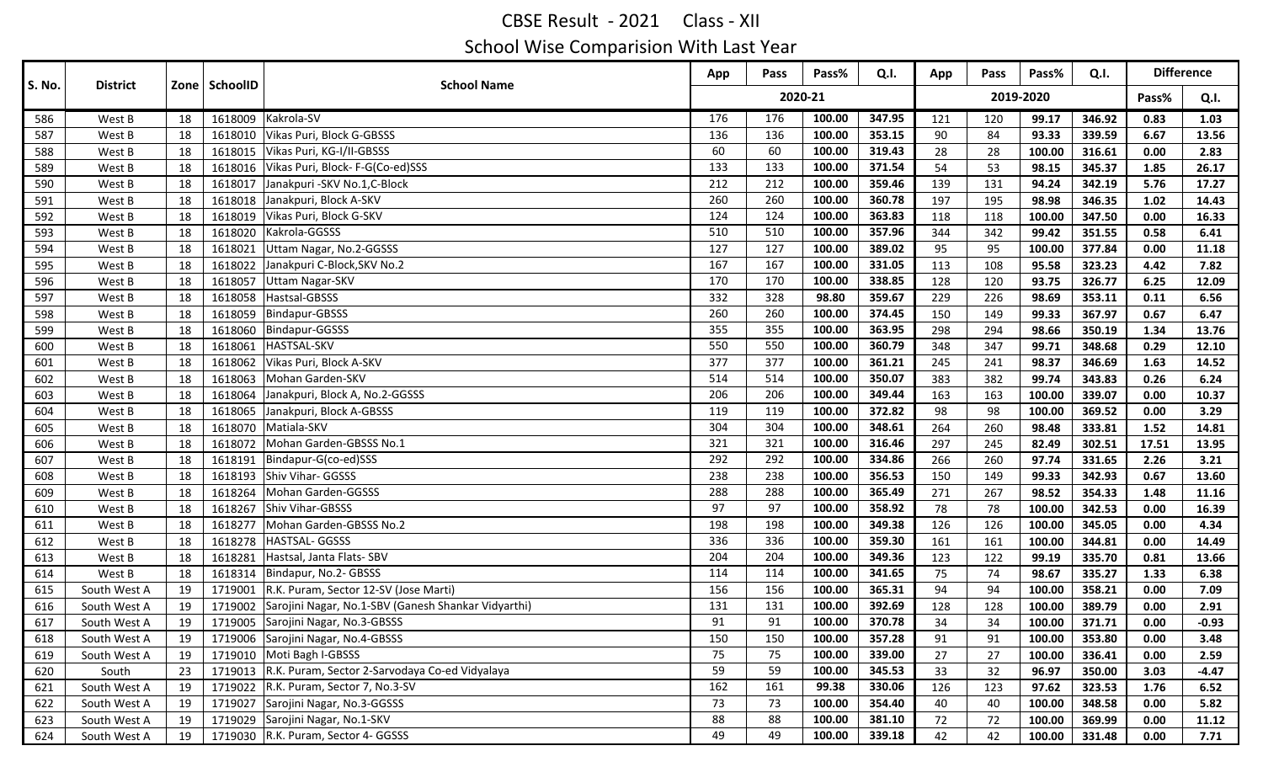| S. No. | <b>District</b> |      |                 | <b>School Name</b>                                          | App | Pass | Pass%   | Q.I.   | App | Pass | Pass%     | Q.I.   |       | <b>Difference</b> |
|--------|-----------------|------|-----------------|-------------------------------------------------------------|-----|------|---------|--------|-----|------|-----------|--------|-------|-------------------|
|        |                 | Zone | <b>SchoolID</b> |                                                             |     |      | 2020-21 |        |     |      | 2019-2020 |        | Pass% | Q.I.              |
| 586    | West B          | 18   | 1618009         | Kakrola-SV                                                  | 176 | 176  | 100.00  | 347.95 | 121 | 120  | 99.17     | 346.92 | 0.83  | 1.03              |
| 587    | West B          | 18   | 1618010         | Vikas Puri, Block G-GBSSS                                   | 136 | 136  | 100.00  | 353.15 | 90  | 84   | 93.33     | 339.59 | 6.67  | 13.56             |
| 588    | West B          | 18   |                 | 1618015 Vikas Puri, KG-I/II-GBSSS                           | 60  | 60   | 100.00  | 319.43 | 28  | 28   | 100.00    | 316.61 | 0.00  | 2.83              |
| 589    | West B          | 18   |                 | 1618016 Vikas Puri, Block- F-G(Co-ed)SSS                    | 133 | 133  | 100.00  | 371.54 | 54  | 53   | 98.15     | 345.37 | 1.85  | 26.17             |
| 590    | West B          | 18   | 1618017         | Janakpuri - SKV No.1, C-Block                               | 212 | 212  | 100.00  | 359.46 | 139 | 131  | 94.24     | 342.19 | 5.76  | 17.27             |
| 591    | West B          | 18   |                 | 1618018 Janakpuri, Block A-SKV                              | 260 | 260  | 100.00  | 360.78 | 197 | 195  | 98.98     | 346.35 | 1.02  | 14.43             |
| 592    | West B          | 18   | 1618019         | Vikas Puri, Block G-SKV                                     | 124 | 124  | 100.00  | 363.83 | 118 | 118  | 100.00    | 347.50 | 0.00  | 16.33             |
| 593    | West B          | 18   | 1618020         | Kakrola-GGSSS                                               | 510 | 510  | 100.00  | 357.96 | 344 | 342  | 99.42     | 351.55 | 0.58  | 6.41              |
| 594    | West B          | 18   | 1618021         | Uttam Nagar, No.2-GGSSS                                     | 127 | 127  | 100.00  | 389.02 | 95  | 95   | 100.00    | 377.84 | 0.00  | 11.18             |
| 595    | West B          | 18   | 1618022         | Janakpuri C-Block, SKV No.2                                 | 167 | 167  | 100.00  | 331.05 | 113 | 108  | 95.58     | 323.23 | 4.42  | 7.82              |
| 596    | West B          | 18   | 1618057         | <b>Uttam Nagar-SKV</b>                                      | 170 | 170  | 100.00  | 338.85 | 128 | 120  | 93.75     | 326.77 | 6.25  | 12.09             |
| 597    | West B          | 18   | 1618058         | Hastsal-GBSSS                                               | 332 | 328  | 98.80   | 359.67 | 229 | 226  | 98.69     | 353.11 | 0.11  | 6.56              |
| 598    | West B          | 18   | 1618059         | Bindapur-GBSSS                                              | 260 | 260  | 100.00  | 374.45 | 150 | 149  | 99.33     | 367.97 | 0.67  | 6.47              |
| 599    | West B          | 18   | 1618060         | Bindapur-GGSSS                                              | 355 | 355  | 100.00  | 363.95 | 298 | 294  | 98.66     | 350.19 | 1.34  | 13.76             |
| 600    | West B          | 18   | 1618061         | HASTSAL-SKV                                                 | 550 | 550  | 100.00  | 360.79 | 348 | 347  | 99.71     | 348.68 | 0.29  | 12.10             |
| 601    | West B          | 18   | 1618062         | Vikas Puri, Block A-SKV                                     | 377 | 377  | 100.00  | 361.21 | 245 | 241  | 98.37     | 346.69 | 1.63  | 14.52             |
| 602    | West B          | 18   |                 | 1618063 Mohan Garden-SKV                                    | 514 | 514  | 100.00  | 350.07 | 383 | 382  | 99.74     | 343.83 | 0.26  | 6.24              |
| 603    | West B          | 18   |                 | 1618064 Janakpuri, Block A, No.2-GGSSS                      | 206 | 206  | 100.00  | 349.44 | 163 | 163  | 100.00    | 339.07 | 0.00  | 10.37             |
| 604    | West B          | 18   | 1618065         | Janakpuri, Block A-GBSSS                                    | 119 | 119  | 100.00  | 372.82 | 98  | 98   | 100.00    | 369.52 | 0.00  | 3.29              |
| 605    | West B          | 18   | 1618070         | Matiala-SKV                                                 | 304 | 304  | 100.00  | 348.61 | 264 | 260  | 98.48     | 333.81 | 1.52  | 14.81             |
| 606    | West B          | 18   | 1618072         | Mohan Garden-GBSSS No.1                                     | 321 | 321  | 100.00  | 316.46 | 297 | 245  | 82.49     | 302.51 | 17.51 | 13.95             |
| 607    | West B          | 18   | 1618191         | Bindapur-G(co-ed)SSS                                        | 292 | 292  | 100.00  | 334.86 | 266 | 260  | 97.74     | 331.65 | 2.26  | 3.21              |
| 608    | West B          | 18   | 1618193         | Shiv Vihar- GGSSS                                           | 238 | 238  | 100.00  | 356.53 | 150 | 149  | 99.33     | 342.93 | 0.67  | 13.60             |
| 609    | West B          | 18   | 1618264         | Mohan Garden-GGSSS                                          | 288 | 288  | 100.00  | 365.49 | 271 | 267  | 98.52     | 354.33 | 1.48  | 11.16             |
| 610    | West B          | 18   | 1618267         | Shiv Vihar-GBSSS                                            | 97  | 97   | 100.00  | 358.92 | 78  | 78   | 100.00    | 342.53 | 0.00  | 16.39             |
| 611    | West B          | 18   | 1618277         | Mohan Garden-GBSSS No.2                                     | 198 | 198  | 100.00  | 349.38 | 126 | 126  | 100.00    | 345.05 | 0.00  | 4.34              |
| 612    | West B          | 18   | 1618278         | HASTSAL- GGSSS                                              | 336 | 336  | 100.00  | 359.30 | 161 | 161  | 100.00    | 344.81 | 0.00  | 14.49             |
| 613    | West B          | 18   | 1618281         | Hastsal, Janta Flats-SBV                                    | 204 | 204  | 100.00  | 349.36 | 123 | 122  | 99.19     | 335.70 | 0.81  | 13.66             |
| 614    | West B          | 18   | 1618314         | Bindapur, No.2- GBSSS                                       | 114 | 114  | 100.00  | 341.65 | 75  | 74   | 98.67     | 335.27 | 1.33  | 6.38              |
| 615    | South West A    | 19   | 1719001         | R.K. Puram, Sector 12-SV (Jose Marti)                       | 156 | 156  | 100.00  | 365.31 | 94  | 94   | 100.00    | 358.21 | 0.00  | 7.09              |
| 616    | South West A    | 19   |                 | 1719002 Sarojini Nagar, No.1-SBV (Ganesh Shankar Vidyarthi) | 131 | 131  | 100.00  | 392.69 | 128 | 128  | 100.00    | 389.79 | 0.00  | 2.91              |
| 617    | South West A    | 19   |                 | 1719005 Sarojini Nagar, No.3-GBSSS                          | 91  | 91   | 100.00  | 370.78 | 34  | 34   | 100.00    | 371.71 | 0.00  | $-0.93$           |
| 618    | South West A    | 19   |                 | 1719006 Sarojini Nagar, No.4-GBSSS                          | 150 | 150  | 100.00  | 357.28 | 91  | 91   | 100.00    | 353.80 | 0.00  | 3.48              |
| 619    | South West A    | 19   |                 | 1719010 Moti Bagh I-GBSSS                                   | 75  | 75   | 100.00  | 339.00 | 27  | 27   | 100.00    | 336.41 | 0.00  | 2.59              |
| 620    | South           | 23   |                 | 1719013 R.K. Puram, Sector 2-Sarvodaya Co-ed Vidyalaya      | 59  | 59   | 100.00  | 345.53 | 33  | 32   | 96.97     | 350.00 | 3.03  | $-4.47$           |
| 621    | South West A    | 19   |                 | 1719022 R.K. Puram, Sector 7, No.3-SV                       | 162 | 161  | 99.38   | 330.06 | 126 | 123  | 97.62     | 323.53 | 1.76  | 6.52              |
| 622    | South West A    | 19   |                 | 1719027 Sarojini Nagar, No.3-GGSSS                          | 73  | 73   | 100.00  | 354.40 | 40  | 40   | 100.00    | 348.58 | 0.00  | 5.82              |
| 623    | South West A    | 19   |                 | 1719029 Sarojini Nagar, No.1-SKV                            | 88  | 88   | 100.00  | 381.10 | 72  | 72   | 100.00    | 369.99 | 0.00  | 11.12             |
| 624    | South West A    | 19   |                 | 1719030 R.K. Puram, Sector 4- GGSSS                         | 49  | 49   | 100.00  | 339.18 | 42  | 42   | 100.00    | 331.48 | 0.00  | 7.71              |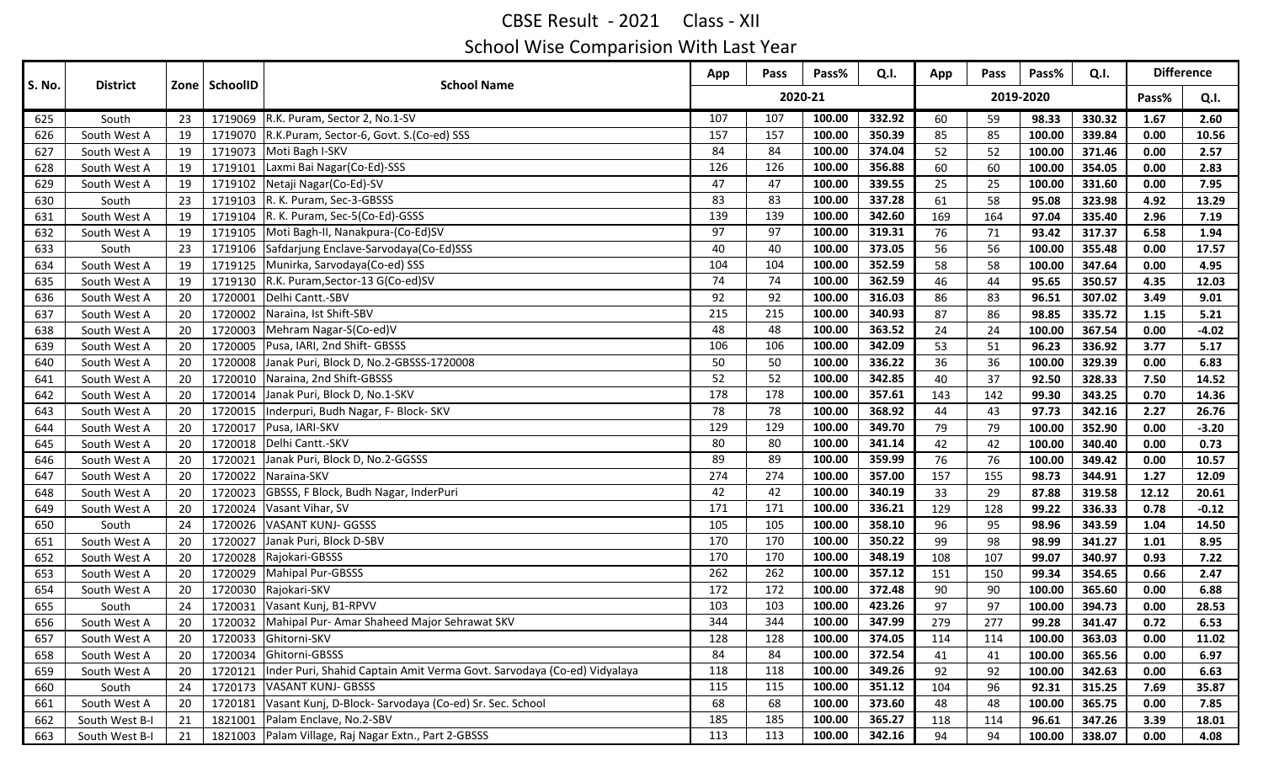|        | <b>District</b> |    |                 | <b>School Name</b>                                                      | App | <b>Pass</b> | Pass%   | Q.I.   | App | Pass | Pass%     | Q.I.   |       | <b>Difference</b> |
|--------|-----------------|----|-----------------|-------------------------------------------------------------------------|-----|-------------|---------|--------|-----|------|-----------|--------|-------|-------------------|
| S. No. |                 |    | Zone   SchoolID |                                                                         |     |             | 2020-21 |        |     |      | 2019-2020 |        | Pass% | Q.I.              |
| 625    | South           | 23 | 1719069         | R.K. Puram, Sector 2, No.1-SV                                           | 107 | 107         | 100.00  | 332.92 | 60  | 59   | 98.33     | 330.32 | 1.67  | 2.60              |
| 626    | South West A    | 19 | 1719070         | R.K.Puram, Sector-6, Govt. S.(Co-ed) SSS                                | 157 | 157         | 100.00  | 350.39 | 85  | 85   | 100.00    | 339.84 | 0.00  | 10.56             |
| 627    | South West A    | 19 | 1719073         | Moti Bagh I-SKV                                                         | 84  | 84          | 100.00  | 374.04 | 52  | 52   | 100.00    | 371.46 | 0.00  | 2.57              |
| 628    | South West A    | 19 | 1719101         | Laxmi Bai Nagar(Co-Ed)-SSS                                              | 126 | 126         | 100.00  | 356.88 | 60  | 60   | 100.00    | 354.05 | 0.00  | 2.83              |
| 629    | South West A    | 19 | 1719102         | Netaji Nagar(Co-Ed)-SV                                                  | 47  | 47          | 100.00  | 339.55 | 25  | 25   | 100.00    | 331.60 | 0.00  | 7.95              |
| 630    | South           | 23 | 1719103         | R. K. Puram, Sec-3-GBSSS                                                | 83  | 83          | 100.00  | 337.28 | 61  | 58   | 95.08     | 323.98 | 4.92  | 13.29             |
| 631    | South West A    | 19 | 1719104         | R. K. Puram, Sec-5(Co-Ed)-GSSS                                          | 139 | 139         | 100.00  | 342.60 | 169 | 164  | 97.04     | 335.40 | 2.96  | 7.19              |
| 632    | South West A    | 19 | 1719105         | Moti Bagh-II, Nanakpura-(Co-Ed)SV                                       | 97  | 97          | 100.00  | 319.31 | 76  | 71   | 93.42     | 317.37 | 6.58  | 1.94              |
| 633    | South           | 23 | 1719106         | Safdarjung Enclave-Sarvodaya(Co-Ed)SSS                                  | 40  | 40          | 100.00  | 373.05 | 56  | 56   | 100.00    | 355.48 | 0.00  | 17.57             |
| 634    | South West A    | 19 | 1719125         | Munirka, Sarvodaya(Co-ed) SSS                                           | 104 | 104         | 100.00  | 352.59 | 58  | 58   | 100.00    | 347.64 | 0.00  | 4.95              |
| 635    | South West A    | 19 | 1719130         | R.K. Puram, Sector-13 G(Co-ed)SV                                        | 74  | 74          | 100.00  | 362.59 | 46  | 44   | 95.65     | 350.57 | 4.35  | 12.03             |
| 636    | South West A    | 20 | 1720001         | Delhi Cantt.-SBV                                                        | 92  | 92          | 100.00  | 316.03 | 86  | 83   | 96.51     | 307.02 | 3.49  | 9.01              |
| 637    | South West A    | 20 | 1720002         | Naraina, Ist Shift-SBV                                                  | 215 | 215         | 100.00  | 340.93 | 87  | 86   | 98.85     | 335.72 | 1.15  | 5.21              |
| 638    | South West A    | 20 | 1720003         | Mehram Nagar-S(Co-ed)V                                                  | 48  | 48          | 100.00  | 363.52 | 24  | 24   | 100.00    | 367.54 | 0.00  | $-4.02$           |
| 639    | South West A    | 20 | 1720005         | Pusa, IARI, 2nd Shift- GBSSS                                            | 106 | 106         | 100.00  | 342.09 | 53  | 51   | 96.23     | 336.92 | 3.77  | 5.17              |
| 640    | South West A    | 20 | 1720008         | Janak Puri, Block D, No.2-GBSSS-1720008                                 | 50  | 50          | 100.00  | 336.22 | 36  | 36   | 100.00    | 329.39 | 0.00  | 6.83              |
| 641    | South West A    | 20 | 1720010         | Naraina, 2nd Shift-GBSSS                                                | 52  | 52          | 100.00  | 342.85 | 40  | 37   | 92.50     | 328.33 | 7.50  | 14.52             |
| 642    | South West A    | 20 | 1720014         | Janak Puri, Block D, No.1-SKV                                           | 178 | 178         | 100.00  | 357.61 | 143 | 142  | 99.30     | 343.25 | 0.70  | 14.36             |
| 643    | South West A    | 20 | 1720015         | Inderpuri, Budh Nagar, F- Block- SKV                                    | 78  | 78          | 100.00  | 368.92 | 44  | 43   | 97.73     | 342.16 | 2.27  | 26.76             |
| 644    | South West A    | 20 | 1720017         | Pusa, IARI-SKV                                                          | 129 | 129         | 100.00  | 349.70 | 79  | 79   | 100.00    | 352.90 | 0.00  | $-3.20$           |
| 645    | South West A    | 20 | 1720018         | Delhi Cantt.-SKV                                                        | 80  | 80          | 100.00  | 341.14 | 42  | 42   | 100.00    | 340.40 | 0.00  | 0.73              |
| 646    | South West A    | 20 | 1720021         | Janak Puri, Block D, No.2-GGSSS                                         | 89  | 89          | 100.00  | 359.99 | 76  | 76   | 100.00    | 349.42 | 0.00  | 10.57             |
| 647    | South West A    | 20 | 1720022         | Naraina-SKV                                                             | 274 | 274         | 100.00  | 357.00 | 157 | 155  | 98.73     | 344.91 | 1.27  | 12.09             |
| 648    | South West A    | 20 | 1720023         | GBSSS, F Block, Budh Nagar, InderPuri                                   | 42  | 42          | 100.00  | 340.19 | 33  | 29   | 87.88     | 319.58 | 12.12 | 20.61             |
| 649    | South West A    | 20 | 1720024         | Vasant Vihar, SV                                                        | 171 | 171         | 100.00  | 336.21 | 129 | 128  | 99.22     | 336.33 | 0.78  | $-0.12$           |
| 650    | South           | 24 | 1720026         | <b>VASANT KUNJ- GGSSS</b>                                               | 105 | 105         | 100.00  | 358.10 | 96  | 95   | 98.96     | 343.59 | 1.04  | 14.50             |
| 651    | South West A    | 20 | 1720027         | Janak Puri, Block D-SBV                                                 | 170 | 170         | 100.00  | 350.22 | 99  | 98   | 98.99     | 341.27 | 1.01  | 8.95              |
| 652    | South West A    | 20 | 1720028         | Rajokari-GBSSS                                                          | 170 | 170         | 100.00  | 348.19 | 108 | 107  | 99.07     | 340.97 | 0.93  | 7.22              |
| 653    | South West A    | 20 | 1720029         | Mahipal Pur-GBSSS                                                       | 262 | 262         | 100.00  | 357.12 | 151 | 150  | 99.34     | 354.65 | 0.66  | 2.47              |
| 654    | South West A    | 20 | 1720030         | Rajokari-SKV                                                            | 172 | 172         | 100.00  | 372.48 | 90  | 90   | 100.00    | 365.60 | 0.00  | 6.88              |
| 655    | South           | 24 | 1720031         | Vasant Kunj, B1-RPVV                                                    | 103 | 103         | 100.00  | 423.26 | 97  | 97   | 100.00    | 394.73 | 0.00  | 28.53             |
| 656    | South West A    |    |                 | 1720032 Mahipal Pur- Amar Shaheed Major Sehrawat SKV                    | 344 | 344         | 100.00  | 347.99 | 279 | 277  | 99.28     | 341.47 | 0.72  | 6.53              |
| 657    | South West A    | 20 | 1720033         | Ghitorni-SKV                                                            | 128 | 128         | 100.00  | 374.05 | 114 | 114  | 100.00    | 363.03 | 0.00  | 11.02             |
| 658    | South West A    | 20 | 1720034         | Ghitorni-GBSSS                                                          | 84  | 84          | 100.00  | 372.54 | 41  | 41   | 100.00    | 365.56 | 0.00  | 6.97              |
| 659    | South West A    | 20 | 1720121         | Inder Puri, Shahid Captain Amit Verma Govt. Sarvodaya (Co-ed) Vidyalaya | 118 | 118         | 100.00  | 349.26 | 92  | 92   | 100.00    | 342.63 | 0.00  | 6.63              |
| 660    | South           | 24 | 1720173         | <b>VASANT KUNJ- GBSSS</b>                                               | 115 | 115         | 100.00  | 351.12 | 104 | 96   | 92.31     | 315.25 | 7.69  | 35.87             |
| 661    | South West A    | 20 | 1720181         | Vasant Kunj, D-Block- Sarvodaya (Co-ed) Sr. Sec. School                 | 68  | 68          | 100.00  | 373.60 | 48  | 48   | 100.00    | 365.75 | 0.00  | 7.85              |
| 662    | South West B-I  | 21 | 1821001         | Palam Enclave, No.2-SBV                                                 | 185 | 185         | 100.00  | 365.27 | 118 | 114  | 96.61     | 347.26 | 3.39  | 18.01             |
| 663    | South West B-I  | 21 | 1821003         | Palam Village, Raj Nagar Extn., Part 2-GBSSS                            | 113 | 113         | 100.00  | 342.16 | 94  | 94   | 100.00    | 338.07 | 0.00  | 4.08              |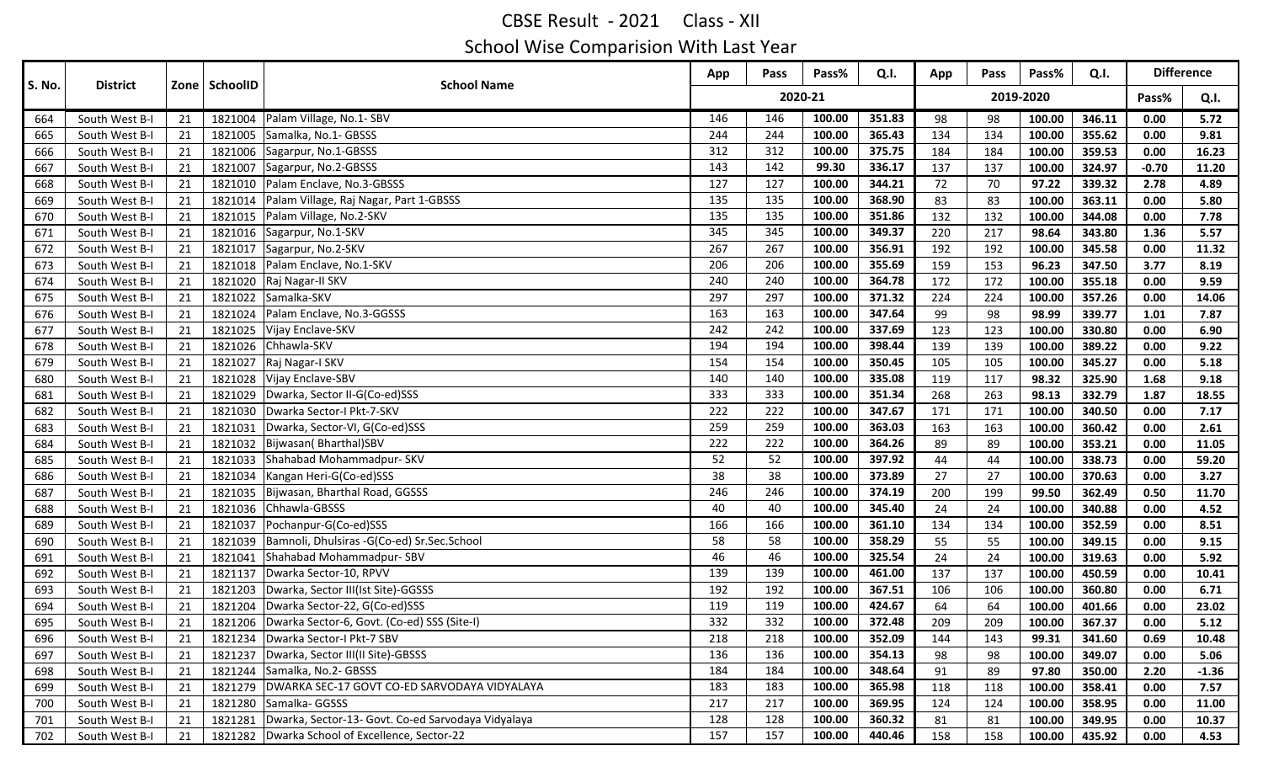| S. No. | <b>District</b> |    | Zone   SchoolID | <b>School Name</b>                                           | App | Pass | Pass%   | Q.I.   | App | Pass | Pass%     | Q.I.   |         | <b>Difference</b> |
|--------|-----------------|----|-----------------|--------------------------------------------------------------|-----|------|---------|--------|-----|------|-----------|--------|---------|-------------------|
|        |                 |    |                 |                                                              |     |      | 2020-21 |        |     |      | 2019-2020 |        | Pass%   | Q.I.              |
| 664    | South West B-I  | 21 | 1821004         | Palam Village, No.1-SBV                                      | 146 | 146  | 100.00  | 351.83 | 98  | 98   | 100.00    | 346.11 | 0.00    | 5.72              |
| 665    | South West B-I  | 21 | 1821005         | Samalka, No.1- GBSSS                                         | 244 | 244  | 100.00  | 365.43 | 134 | 134  | 100.00    | 355.62 | 0.00    | 9.81              |
| 666    | South West B-I  | 21 | 1821006         | Sagarpur, No.1-GBSSS                                         | 312 | 312  | 100.00  | 375.75 | 184 | 184  | 100.00    | 359.53 | 0.00    | 16.23             |
| 667    | South West B-I  | 21 | 1821007         | Sagarpur, No.2-GBSSS                                         | 143 | 142  | 99.30   | 336.17 | 137 | 137  | 100.00    | 324.97 | $-0.70$ | 11.20             |
| 668    | South West B-I  | 21 | 1821010         | Palam Enclave, No.3-GBSSS                                    | 127 | 127  | 100.00  | 344.21 | 72  | 70   | 97.22     | 339.32 | 2.78    | 4.89              |
| 669    | South West B-I  | 21 | 1821014         | Palam Village, Raj Nagar, Part 1-GBSSS                       | 135 | 135  | 100.00  | 368.90 | 83  | 83   | 100.00    | 363.11 | 0.00    | 5.80              |
| 670    | South West B-I  | 21 | 1821015         | Palam Village, No.2-SKV                                      | 135 | 135  | 100.00  | 351.86 | 132 | 132  | 100.00    | 344.08 | 0.00    | 7.78              |
| 671    | South West B-I  | 21 | 1821016         | Sagarpur, No.1-SKV                                           | 345 | 345  | 100.00  | 349.37 | 220 | 217  | 98.64     | 343.80 | 1.36    | 5.57              |
| 672    | South West B-I  | 21 | 1821017         | Sagarpur, No.2-SKV                                           | 267 | 267  | 100.00  | 356.91 | 192 | 192  | 100.00    | 345.58 | 0.00    | 11.32             |
| 673    | South West B-I  | 21 |                 | 1821018 Palam Enclave, No.1-SKV                              | 206 | 206  | 100.00  | 355.69 | 159 | 153  | 96.23     | 347.50 | 3.77    | 8.19              |
| 674    | South West B-I  | 21 |                 | 1821020 Raj Nagar-II SKV                                     | 240 | 240  | 100.00  | 364.78 | 172 | 172  | 100.00    | 355.18 | 0.00    | 9.59              |
| 675    | South West B-I  | 21 | 1821022         | Samalka-SKV                                                  | 297 | 297  | 100.00  | 371.32 | 224 | 224  | 100.00    | 357.26 | 0.00    | 14.06             |
| 676    | South West B-I  | 21 | 1821024         | Palam Enclave, No.3-GGSSS                                    | 163 | 163  | 100.00  | 347.64 | 99  | 98   | 98.99     | 339.77 | 1.01    | 7.87              |
| 677    | South West B-I  | 21 | 1821025         | Vijay Enclave-SKV                                            | 242 | 242  | 100.00  | 337.69 | 123 | 123  | 100.00    | 330.80 | 0.00    | 6.90              |
| 678    | South West B-I  | 21 |                 | 1821026 Chhawla-SKV                                          | 194 | 194  | 100.00  | 398.44 | 139 | 139  | 100.00    | 389.22 | 0.00    | 9.22              |
| 679    | South West B-I  | 21 | 1821027         | Raj Nagar-I SKV                                              | 154 | 154  | 100.00  | 350.45 | 105 | 105  | 100.00    | 345.27 | 0.00    | 5.18              |
| 680    | South West B-I  | 21 | 1821028         | Vijay Enclave-SBV                                            | 140 | 140  | 100.00  | 335.08 | 119 | 117  | 98.32     | 325.90 | 1.68    | 9.18              |
| 681    | South West B-I  | 21 | 1821029         | Dwarka, Sector II-G(Co-ed)SSS                                | 333 | 333  | 100.00  | 351.34 | 268 | 263  | 98.13     | 332.79 | 1.87    | 18.55             |
| 682    | South West B-I  | 21 | 1821030         | Dwarka Sector-I Pkt-7-SKV                                    | 222 | 222  | 100.00  | 347.67 | 171 | 171  | 100.00    | 340.50 | 0.00    | 7.17              |
| 683    | South West B-I  | 21 | 1821031         | Dwarka, Sector-VI, G(Co-ed)SSS                               | 259 | 259  | 100.00  | 363.03 | 163 | 163  | 100.00    | 360.42 | 0.00    | 2.61              |
| 684    | South West B-I  | 21 | 1821032         | Bijwasan(Bharthal)SBV                                        | 222 | 222  | 100.00  | 364.26 | 89  | 89   | 100.00    | 353.21 | 0.00    | 11.05             |
| 685    | South West B-I  | 21 | 1821033         | Shahabad Mohammadpur- SKV                                    | 52  | 52   | 100.00  | 397.92 | 44  | 44   | 100.00    | 338.73 | 0.00    | 59.20             |
| 686    | South West B-I  | 21 | 1821034         | Kangan Heri-G(Co-ed)SSS                                      | 38  | 38   | 100.00  | 373.89 | 27  | 27   | 100.00    | 370.63 | 0.00    | 3.27              |
| 687    | South West B-I  | 21 | 1821035         | Bijwasan, Bharthal Road, GGSSS                               | 246 | 246  | 100.00  | 374.19 | 200 | 199  | 99.50     | 362.49 | 0.50    | 11.70             |
| 688    | South West B-I  | 21 | 1821036         | Chhawla-GBSSS                                                | 40  | 40   | 100.00  | 345.40 | 24  | 24   | 100.00    | 340.88 | 0.00    | 4.52              |
| 689    | South West B-I  | 21 | 1821037         | Pochanpur-G(Co-ed)SSS                                        | 166 | 166  | 100.00  | 361.10 | 134 | 134  | 100.00    | 352.59 | 0.00    | 8.51              |
| 690    | South West B-I  | 21 | 1821039         | Bamnoli, Dhulsiras -G(Co-ed) Sr.Sec.School                   | 58  | 58   | 100.00  | 358.29 | 55  | 55   | 100.00    | 349.15 | 0.00    | 9.15              |
| 691    | South West B-I  | 21 | 1821041         | Shahabad Mohammadpur-SBV                                     | 46  | 46   | 100.00  | 325.54 | 24  | 24   | 100.00    | 319.63 | 0.00    | 5.92              |
| 692    | South West B-I  | 21 | 1821137         | Dwarka Sector-10, RPVV                                       | 139 | 139  | 100.00  | 461.00 | 137 | 137  | 100.00    | 450.59 | 0.00    | 10.41             |
| 693    | South West B-I  | 21 | 1821203         | Dwarka, Sector III(Ist Site)-GGSSS                           | 192 | 192  | 100.00  | 367.51 | 106 | 106  | 100.00    | 360.80 | 0.00    | 6.71              |
| 694    | South West B-I  | 21 | 1821204         | Dwarka Sector-22, G(Co-ed)SSS                                | 119 | 119  | 100.00  | 424.67 | 64  | 64   | 100.00    | 401.66 | 0.00    | 23.02             |
| 695    | South West B-I  | 21 |                 | 1821206   Dwarka Sector-6, Govt. (Co-ed) SSS (Site-I)        | 332 | 332  | 100.00  | 372.48 | 209 | 209  | 100.00    | 367.37 | 0.00    | 5.12              |
| 696    | South West B-I  | 21 |                 | 1821234 Dwarka Sector-I Pkt-7 SBV                            | 218 | 218  | 100.00  | 352.09 | 144 | 143  | 99.31     | 341.60 | 0.69    | 10.48             |
| 697    | South West B-I  | 21 |                 | 1821237   Dwarka, Sector III(II Site)-GBSSS                  | 136 | 136  | 100.00  | 354.13 | 98  | 98   | 100.00    | 349.07 | 0.00    | 5.06              |
| 698    | South West B-I  | 21 |                 | 1821244 Samalka, No.2- GBSSS                                 | 184 | 184  | 100.00  | 348.64 | 91  | 89   | 97.80     | 350.00 | 2.20    | $-1.36$           |
| 699    | South West B-I  | 21 |                 | 1821279   DWARKA SEC-17 GOVT CO-ED SARVODAYA VIDYALAYA       | 183 | 183  | 100.00  | 365.98 | 118 | 118  | 100.00    | 358.41 | 0.00    | 7.57              |
| 700    | South West B-I  | 21 |                 | 1821280 Samalka- GGSSS                                       | 217 | 217  | 100.00  | 369.95 | 124 | 124  | 100.00    | 358.95 | 0.00    | 11.00             |
| 701    | South West B-I  | 21 |                 | 1821281   Dwarka, Sector-13- Govt. Co-ed Sarvodaya Vidyalaya | 128 | 128  | 100.00  | 360.32 | 81  | 81   | 100.00    | 349.95 | 0.00    | 10.37             |
| 702    | South West B-I  | 21 |                 | 1821282   Dwarka School of Excellence, Sector-22             | 157 | 157  | 100.00  | 440.46 | 158 | 158  | 100.00    | 435.92 | 0.00    | 4.53              |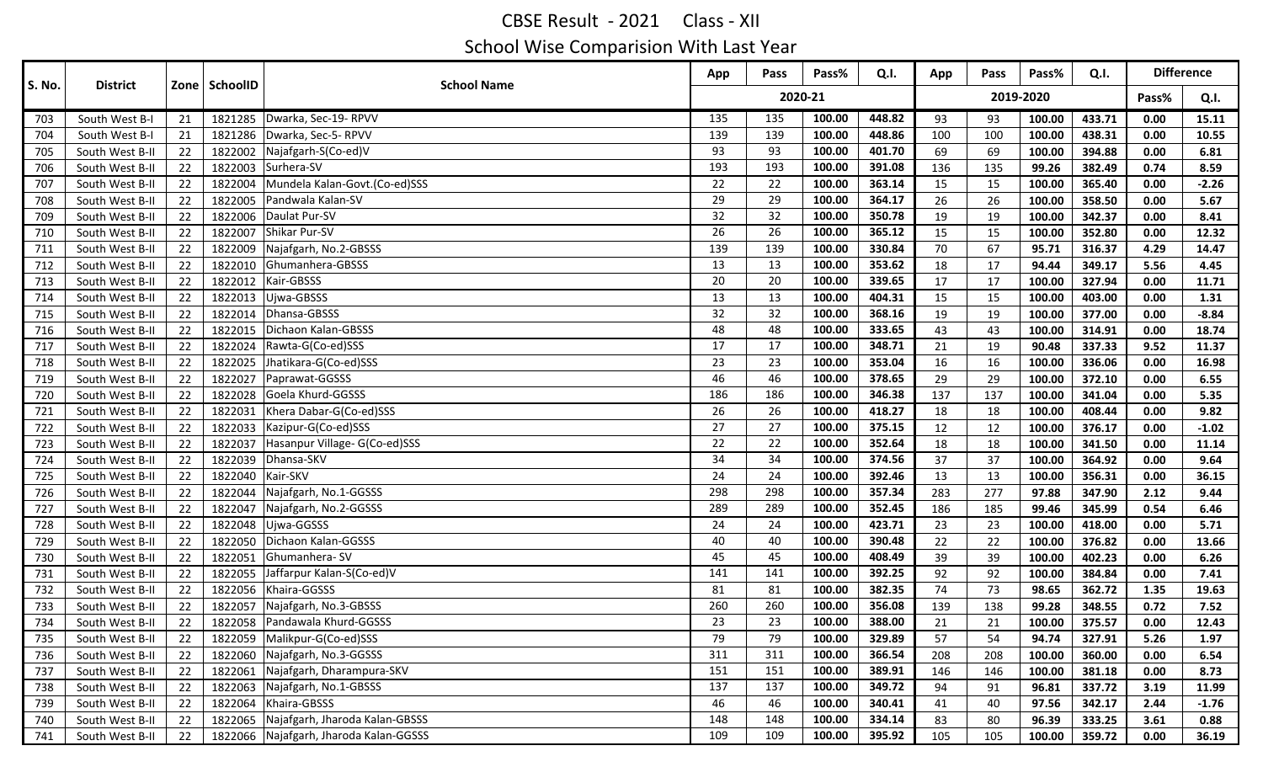|        | <b>District</b> |    | Zone   SchoolID | <b>School Name</b>                     | App | Pass            | Pass%  | Q.I.   | App | Pass | Pass%     | Q.I.   |       | <b>Difference</b> |
|--------|-----------------|----|-----------------|----------------------------------------|-----|-----------------|--------|--------|-----|------|-----------|--------|-------|-------------------|
| S. No. |                 |    |                 |                                        |     | 2020-21         |        |        |     |      | 2019-2020 |        | Pass% | Q.I.              |
| 703    | South West B-I  | 21 | 1821285         | Dwarka, Sec-19-RPVV                    | 135 | 135             | 100.00 | 448.82 | 93  | 93   | 100.00    | 433.71 | 0.00  | 15.11             |
| 704    | South West B-I  | 21 | 1821286         | Dwarka, Sec-5- RPVV                    | 139 | 139             | 100.00 | 448.86 | 100 | 100  | 100.00    | 438.31 | 0.00  | 10.55             |
| 705    | South West B-II | 22 | 1822002         | Najafgarh-S(Co-ed)V                    | 93  | 93              | 100.00 | 401.70 | 69  | 69   | 100.00    | 394.88 | 0.00  | 6.81              |
| 706    | South West B-II | 22 | 1822003         | Surhera-SV                             | 193 | 193             | 100.00 | 391.08 | 136 | 135  | 99.26     | 382.49 | 0.74  | 8.59              |
| 707    | South West B-II | 22 | 1822004         | Mundela Kalan-Govt.(Co-ed)SSS          | 22  | 22              | 100.00 | 363.14 | 15  | 15   | 100.00    | 365.40 | 0.00  | $-2.26$           |
| 708    | South West B-II | 22 | 1822005         | Pandwala Kalan-SV                      | 29  | 29              | 100.00 | 364.17 | 26  | 26   | 100.00    | 358.50 | 0.00  | 5.67              |
| 709    | South West B-II | 22 | 1822006         | Daulat Pur-SV                          | 32  | 32              | 100.00 | 350.78 | 19  | 19   | 100.00    | 342.37 | 0.00  | 8.41              |
| 710    | South West B-II | 22 | 1822007         | Shikar Pur-SV                          | 26  | $\overline{26}$ | 100.00 | 365.12 | 15  | 15   | 100.00    | 352.80 | 0.00  | 12.32             |
| 711    | South West B-II | 22 | 1822009         | Najafgarh, No.2-GBSSS                  | 139 | 139             | 100.00 | 330.84 | 70  | 67   | 95.71     | 316.37 | 4.29  | 14.47             |
| 712    | South West B-II | 22 | 1822010         | Ghumanhera-GBSSS                       | 13  | 13              | 100.00 | 353.62 | 18  | 17   | 94.44     | 349.17 | 5.56  | 4.45              |
| 713    | South West B-II | 22 | 1822012         | Kair-GBSSS                             | 20  | 20              | 100.00 | 339.65 | 17  | 17   | 100.00    | 327.94 | 0.00  | 11.71             |
| 714    | South West B-II | 22 | 1822013         | Ujwa-GBSSS                             | 13  | 13              | 100.00 | 404.31 | 15  | 15   | 100.00    | 403.00 | 0.00  | 1.31              |
| 715    | South West B-II | 22 | 1822014         | Dhansa-GBSSS                           | 32  | 32              | 100.00 | 368.16 | 19  | 19   | 100.00    | 377.00 | 0.00  | $-8.84$           |
| 716    | South West B-II | 22 | 1822015         | Dichaon Kalan-GBSSS                    | 48  | 48              | 100.00 | 333.65 | 43  | 43   | 100.00    | 314.91 | 0.00  | 18.74             |
| 717    | South West B-II | 22 | 1822024         | Rawta-G(Co-ed)SSS                      | 17  | 17              | 100.00 | 348.71 | 21  | 19   | 90.48     | 337.33 | 9.52  | 11.37             |
| 718    | South West B-II | 22 | 1822025         | Jhatikara-G(Co-ed)SSS                  | 23  | 23              | 100.00 | 353.04 | 16  | 16   | 100.00    | 336.06 | 0.00  | 16.98             |
| 719    | South West B-II | 22 | 1822027         | Paprawat-GGSSS                         | 46  | 46              | 100.00 | 378.65 | 29  | 29   | 100.00    | 372.10 | 0.00  | 6.55              |
| 720    | South West B-II | 22 | 1822028         | Goela Khurd-GGSSS                      | 186 | 186             | 100.00 | 346.38 | 137 | 137  | 100.00    | 341.04 | 0.00  | 5.35              |
| 721    | South West B-II | 22 | 1822031         | Khera Dabar-G(Co-ed)SSS                | 26  | 26              | 100.00 | 418.27 | 18  | 18   | 100.00    | 408.44 | 0.00  | 9.82              |
| 722    | South West B-II | 22 | 1822033         | Kazipur-G(Co-ed)SSS                    | 27  | 27              | 100.00 | 375.15 | 12  | 12   | 100.00    | 376.17 | 0.00  | $-1.02$           |
| 723    | South West B-II | 22 | 1822037         | Hasanpur Village- G(Co-ed)SSS          | 22  | 22              | 100.00 | 352.64 | 18  | 18   | 100.00    | 341.50 | 0.00  | 11.14             |
| 724    | South West B-II | 22 | 1822039         | Dhansa-SKV                             | 34  | 34              | 100.00 | 374.56 | 37  | 37   | 100.00    | 364.92 | 0.00  | 9.64              |
| 725    | South West B-II | 22 | 1822040         | Kair-SKV                               | 24  | 24              | 100.00 | 392.46 | 13  | 13   | 100.00    | 356.31 | 0.00  | 36.15             |
| 726    | South West B-II | 22 | 1822044         | Najafgarh, No.1-GGSSS                  | 298 | 298             | 100.00 | 357.34 | 283 | 277  | 97.88     | 347.90 | 2.12  | 9.44              |
| 727    | South West B-II | 22 | 1822047         | Najafgarh, No.2-GGSSS                  | 289 | 289             | 100.00 | 352.45 | 186 | 185  | 99.46     | 345.99 | 0.54  | 6.46              |
| 728    | South West B-II | 22 | 1822048         | Ujwa-GGSSS                             | 24  | 24              | 100.00 | 423.71 | 23  | 23   | 100.00    | 418.00 | 0.00  | 5.71              |
| 729    | South West B-II | 22 | 1822050         | Dichaon Kalan-GGSSS                    | 40  | 40              | 100.00 | 390.48 | 22  | 22   | 100.00    | 376.82 | 0.00  | 13.66             |
| 730    | South West B-II | 22 | 1822051         | Ghumanhera-SV                          | 45  | 45              | 100.00 | 408.49 | 39  | 39   | 100.00    | 402.23 | 0.00  | 6.26              |
| 731    | South West B-II | 22 | 1822055         | Jaffarpur Kalan-S(Co-ed)V              | 141 | 141             | 100.00 | 392.25 | 92  | 92   | 100.00    | 384.84 | 0.00  | 7.41              |
| 732    | South West B-II | 22 | 1822056         | Khaira-GGSSS                           | 81  | 81              | 100.00 | 382.35 | 74  | 73   | 98.65     | 362.72 | 1.35  | 19.63             |
| 733    | South West B-II | 22 |                 | 1822057 Najafgarh, No.3-GBSSS          | 260 | 260             | 100.00 | 356.08 | 139 | 138  | 99.28     | 348.55 | 0.72  | 7.52              |
| 734    | South West B-II | 22 |                 | 1822058 Pandawala Khurd-GGSSS          | 23  | 23              | 100.00 | 388.00 | 21  | 21   | 100.00    | 375.57 | 0.00  | 12.43             |
| 735    | South West B-II | 22 |                 | 1822059 Malikpur-G(Co-ed)SSS           | 79  | 79              | 100.00 | 329.89 | 57  | 54   | 94.74     | 327.91 | 5.26  | 1.97              |
| 736    | South West B-II | 22 |                 | 1822060 Najafgarh, No.3-GGSSS          | 311 | 311             | 100.00 | 366.54 | 208 | 208  | 100.00    | 360.00 | 0.00  | 6.54              |
| 737    | South West B-II | 22 |                 | 1822061 Najafgarh, Dharampura-SKV      | 151 | 151             | 100.00 | 389.91 | 146 | 146  | 100.00    | 381.18 | 0.00  | 8.73              |
| 738    | South West B-II | 22 |                 | 1822063 Najafgarh, No.1-GBSSS          | 137 | 137             | 100.00 | 349.72 | 94  | 91   | 96.81     | 337.72 | 3.19  | 11.99             |
| 739    | South West B-II | 22 |                 | 1822064 Khaira-GBSSS                   | 46  | 46              | 100.00 | 340.41 | 41  | 40   | 97.56     | 342.17 | 2.44  | $-1.76$           |
| 740    | South West B-II | 22 |                 | 1822065 Najafgarh, Jharoda Kalan-GBSSS | 148 | 148             | 100.00 | 334.14 | 83  | 80   | 96.39     | 333.25 | 3.61  | 0.88              |
| 741    | South West B-II | 22 |                 | 1822066 Najafgarh, Jharoda Kalan-GGSSS | 109 | 109             | 100.00 | 395.92 | 105 | 105  | 100.00    | 359.72 | 0.00  | 36.19             |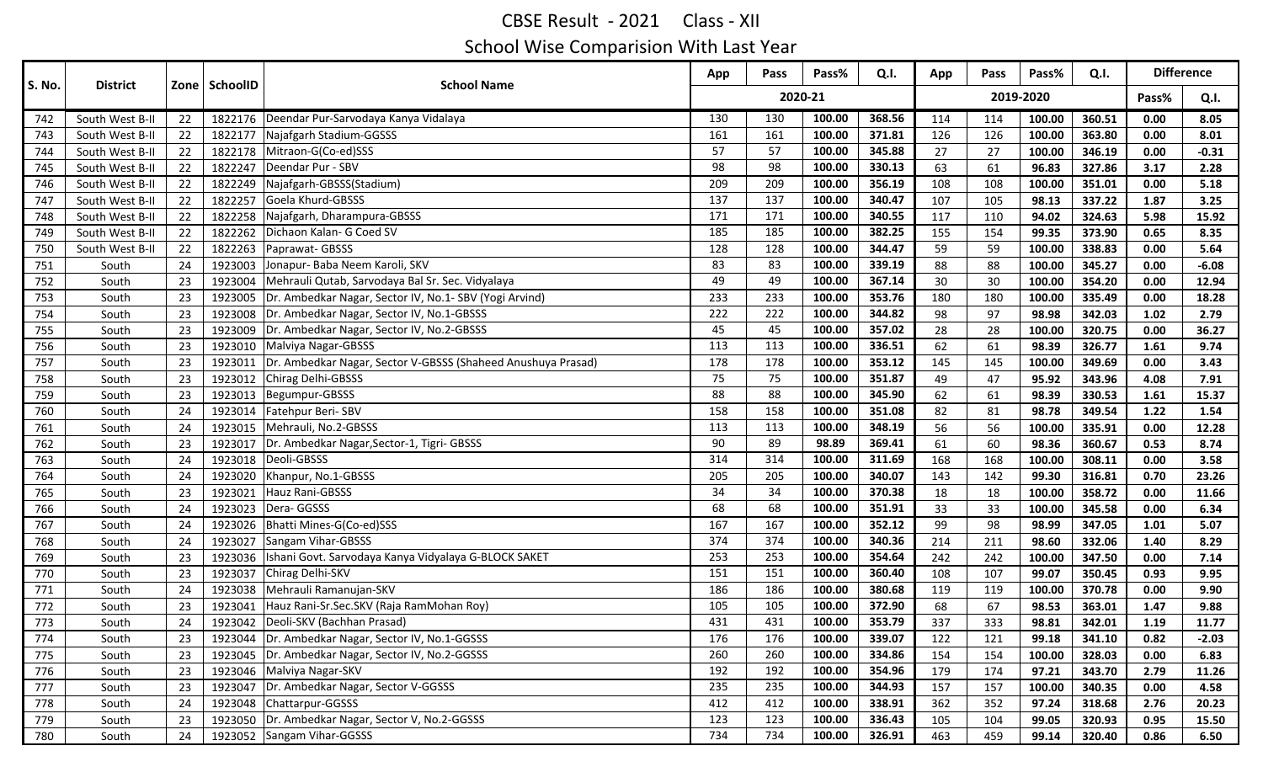|        | <b>District</b> |    | Zone   SchoolID | <b>School Name</b>                                           | App | Pass | Pass%   | Q.I.   | App | <b>Pass</b> | Pass%     | Q.I.   |       | <b>Difference</b> |
|--------|-----------------|----|-----------------|--------------------------------------------------------------|-----|------|---------|--------|-----|-------------|-----------|--------|-------|-------------------|
| S. No. |                 |    |                 |                                                              |     |      | 2020-21 |        |     |             | 2019-2020 |        | Pass% | Q.I.              |
| 742    | South West B-II | 22 |                 | 1822176 Deendar Pur-Sarvodaya Kanya Vidalaya                 | 130 | 130  | 100.00  | 368.56 | 114 | 114         | 100.00    | 360.51 | 0.00  | 8.05              |
| 743    | South West B-II | 22 | 1822177         | Najafgarh Stadium-GGSSS                                      | 161 | 161  | 100.00  | 371.81 | 126 | 126         | 100.00    | 363.80 | 0.00  | 8.01              |
| 744    | South West B-II | 22 | 1822178         | Mitraon-G(Co-ed)SSS                                          | 57  | 57   | 100.00  | 345.88 | 27  | 27          | 100.00    | 346.19 | 0.00  | $-0.31$           |
| 745    | South West B-II | 22 | 1822247         | Deendar Pur - SBV                                            | 98  | 98   | 100.00  | 330.13 | 63  | 61          | 96.83     | 327.86 | 3.17  | 2.28              |
| 746    | South West B-II | 22 | 1822249         | Najafgarh-GBSSS(Stadium)                                     | 209 | 209  | 100.00  | 356.19 | 108 | 108         | 100.00    | 351.01 | 0.00  | 5.18              |
| 747    | South West B-II | 22 | 1822257         | Goela Khurd-GBSSS                                            | 137 | 137  | 100.00  | 340.47 | 107 | 105         | 98.13     | 337.22 | 1.87  | 3.25              |
| 748    | South West B-II | 22 | 1822258         | Najafgarh, Dharampura-GBSSS                                  | 171 | 171  | 100.00  | 340.55 | 117 | 110         | 94.02     | 324.63 | 5.98  | 15.92             |
| 749    | South West B-II | 22 | 1822262         | Dichaon Kalan- G Coed SV                                     | 185 | 185  | 100.00  | 382.25 | 155 | 154         | 99.35     | 373.90 | 0.65  | 8.35              |
| 750    | South West B-II | 22 | 1822263         | Paprawat- GBSSS                                              | 128 | 128  | 100.00  | 344.47 | 59  | 59          | 100.00    | 338.83 | 0.00  | 5.64              |
| 751    | South           | 24 | 1923003         | Jonapur- Baba Neem Karoli, SKV                               | 83  | 83   | 100.00  | 339.19 | 88  | 88          | 100.00    | 345.27 | 0.00  | $-6.08$           |
| 752    | South           | 23 | 1923004         | Mehrauli Qutab, Sarvodaya Bal Sr. Sec. Vidyalaya             | 49  | 49   | 100.00  | 367.14 | 30  | 30          | 100.00    | 354.20 | 0.00  | 12.94             |
| 753    | South           | 23 | 1923005         | Dr. Ambedkar Nagar, Sector IV, No.1- SBV (Yogi Arvind)       | 233 | 233  | 100.00  | 353.76 | 180 | 180         | 100.00    | 335.49 | 0.00  | 18.28             |
| 754    | South           | 23 | 1923008         | Dr. Ambedkar Nagar, Sector IV, No.1-GBSSS                    | 222 | 222  | 100.00  | 344.82 | 98  | 97          | 98.98     | 342.03 | 1.02  | 2.79              |
| 755    | South           | 23 | 1923009         | Dr. Ambedkar Nagar, Sector IV, No.2-GBSSS                    | 45  | 45   | 100.00  | 357.02 | 28  | 28          | 100.00    | 320.75 | 0.00  | 36.27             |
| 756    | South           | 23 | 1923010         | Malviya Nagar-GBSSS                                          | 113 | 113  | 100.00  | 336.51 | 62  | 61          | 98.39     | 326.77 | 1.61  | 9.74              |
| 757    | South           | 23 | 1923011         | Dr. Ambedkar Nagar, Sector V-GBSSS (Shaheed Anushuya Prasad) | 178 | 178  | 100.00  | 353.12 | 145 | 145         | 100.00    | 349.69 | 0.00  | 3.43              |
| 758    | South           | 23 | 1923012         | Chirag Delhi-GBSSS                                           | 75  | 75   | 100.00  | 351.87 | 49  | 47          | 95.92     | 343.96 | 4.08  | 7.91              |
| 759    | South           | 23 |                 | 1923013 Begumpur-GBSSS                                       | 88  | 88   | 100.00  | 345.90 | 62  | 61          | 98.39     | 330.53 | 1.61  | 15.37             |
| 760    | South           | 24 |                 | 1923014 Fatehpur Beri-SBV                                    | 158 | 158  | 100.00  | 351.08 | 82  | 81          | 98.78     | 349.54 | 1.22  | 1.54              |
| 761    | South           | 24 | 1923015         | Mehrauli, No.2-GBSSS                                         | 113 | 113  | 100.00  | 348.19 | 56  | 56          | 100.00    | 335.91 | 0.00  | 12.28             |
| 762    | South           | 23 | 1923017         | Dr. Ambedkar Nagar, Sector-1, Tigri- GBSSS                   | 90  | 89   | 98.89   | 369.41 | 61  | 60          | 98.36     | 360.67 | 0.53  | 8.74              |
| 763    | South           | 24 | 1923018         | Deoli-GBSSS                                                  | 314 | 314  | 100.00  | 311.69 | 168 | 168         | 100.00    | 308.11 | 0.00  | 3.58              |
| 764    | South           | 24 | 1923020         | Khanpur, No.1-GBSSS                                          | 205 | 205  | 100.00  | 340.07 | 143 | 142         | 99.30     | 316.81 | 0.70  | 23.26             |
| 765    | South           | 23 | 1923021         | Hauz Rani-GBSSS                                              | 34  | 34   | 100.00  | 370.38 | 18  | 18          | 100.00    | 358.72 | 0.00  | 11.66             |
| 766    | South           | 24 | 1923023         | Dera- GGSSS                                                  | 68  | 68   | 100.00  | 351.91 | 33  | 33          | 100.00    | 345.58 | 0.00  | 6.34              |
| 767    | South           | 24 | 1923026         | Bhatti Mines-G(Co-ed)SSS                                     | 167 | 167  | 100.00  | 352.12 | 99  | 98          | 98.99     | 347.05 | 1.01  | 5.07              |
| 768    | South           | 24 | 1923027         | Sangam Vihar-GBSSS                                           | 374 | 374  | 100.00  | 340.36 | 214 | 211         | 98.60     | 332.06 | 1.40  | 8.29              |
| 769    | South           | 23 | 1923036         | Ishani Govt. Sarvodaya Kanya Vidyalaya G-BLOCK SAKET         | 253 | 253  | 100.00  | 354.64 | 242 | 242         | 100.00    | 347.50 | 0.00  | 7.14              |
| 770    | South           | 23 | 1923037         | Chirag Delhi-SKV                                             | 151 | 151  | 100.00  | 360.40 | 108 | 107         | 99.07     | 350.45 | 0.93  | 9.95              |
| 771    | South           | 24 | 1923038         | Mehrauli Ramanujan-SKV                                       | 186 | 186  | 100.00  | 380.68 | 119 | 119         | 100.00    | 370.78 | 0.00  | 9.90              |
| 772    | South           | 23 | 1923041         | Hauz Rani-Sr.Sec.SKV (Raja RamMohan Roy)                     | 105 | 105  | 100.00  | 372.90 | 68  | 67          | 98.53     | 363.01 | 1.47  | 9.88              |
| 773    | South           |    |                 | 1923042 Deoli-SKV (Bachhan Prasad)                           | 431 | 431  | 100.00  | 353.79 | 337 | 333         | 98.81     | 342.01 | 1.19  | 11.77             |
| 774    | South           | 23 |                 | 1923044   Dr. Ambedkar Nagar, Sector IV, No.1-GGSSS          | 176 | 176  | 100.00  | 339.07 | 122 | 121         | 99.18     | 341.10 | 0.82  | $-2.03$           |
| 775    | South           | 23 |                 | 1923045   Dr. Ambedkar Nagar, Sector IV, No.2-GGSSS          | 260 | 260  | 100.00  | 334.86 | 154 | 154         | 100.00    | 328.03 | 0.00  | 6.83              |
| 776    | South           | 23 |                 | 1923046 Malviya Nagar-SKV                                    | 192 | 192  | 100.00  | 354.96 | 179 | 174         | 97.21     | 343.70 | 2.79  | 11.26             |
| 777    | South           | 23 |                 | 1923047 Dr. Ambedkar Nagar, Sector V-GGSSS                   | 235 | 235  | 100.00  | 344.93 | 157 | 157         | 100.00    | 340.35 | 0.00  | 4.58              |
| 778    | South           | 24 |                 | 1923048 Chattarpur-GGSSS                                     | 412 | 412  | 100.00  | 338.91 | 362 | 352         | 97.24     | 318.68 | 2.76  | 20.23             |
| 779    | South           | 23 |                 | 1923050   Dr. Ambedkar Nagar, Sector V, No.2-GGSSS           | 123 | 123  | 100.00  | 336.43 | 105 | 104         | 99.05     | 320.93 | 0.95  | 15.50             |
| 780    | South           | 24 |                 | 1923052 Sangam Vihar-GGSSS                                   | 734 | 734  | 100.00  | 326.91 | 463 | 459         | 99.14     | 320.40 | 0.86  | 6.50              |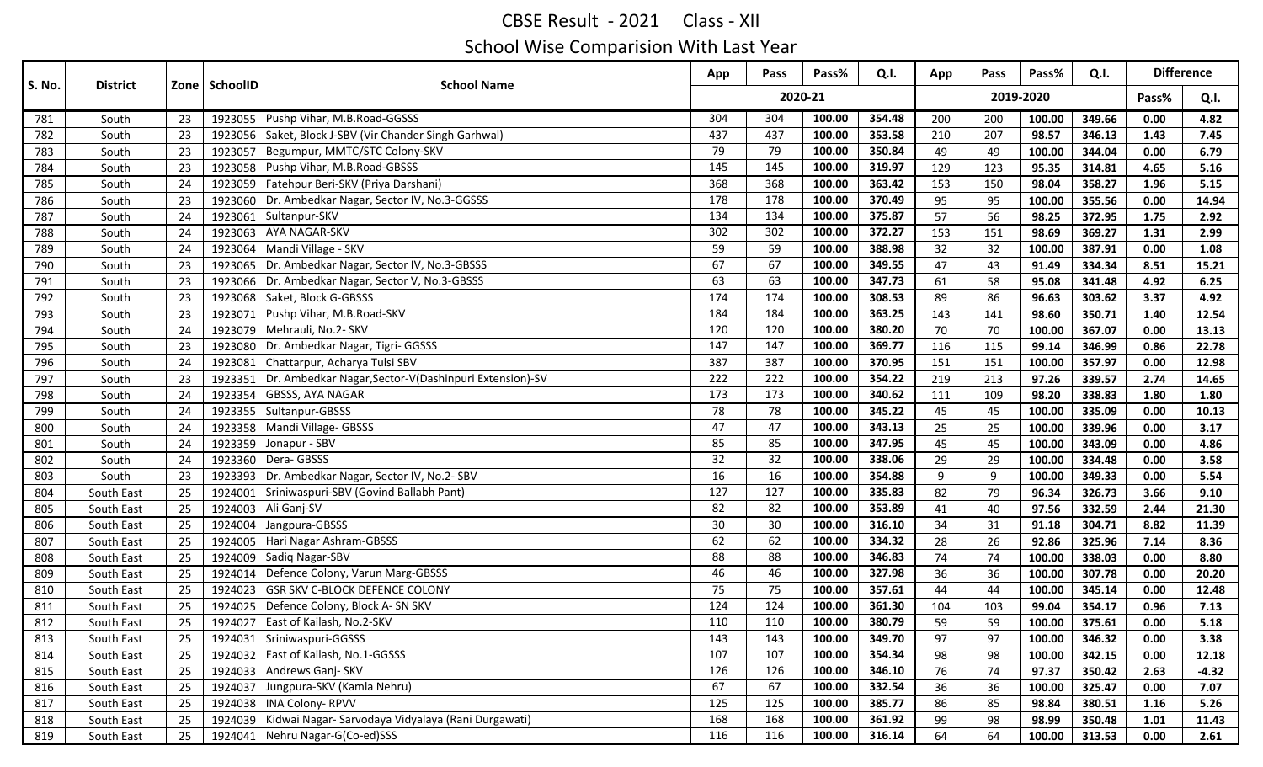# CBSE Result - 2021 Class - XII

|        |                 |    |                 | School Wise Comparision With Last Year                     |     |      |         |        |     |      |           |        |       |                   |
|--------|-----------------|----|-----------------|------------------------------------------------------------|-----|------|---------|--------|-----|------|-----------|--------|-------|-------------------|
|        |                 |    |                 |                                                            | App | Pass | Pass%   | Q.I.   | App | Pass | Pass%     | Q.I.   |       | <b>Difference</b> |
| S. No. | <b>District</b> |    | Zone   SchoolID | <b>School Name</b>                                         |     |      | 2020-21 |        |     |      | 2019-2020 |        | Pass% | Q.I.              |
| 781    | South           | 23 | 1923055         | Pushp Vihar, M.B.Road-GGSSS                                | 304 | 304  | 100.00  | 354.48 | 200 | 200  | 100.00    | 349.66 | 0.00  | 4.82              |
| 782    | South           | 23 |                 | 1923056 Saket, Block J-SBV (Vir Chander Singh Garhwal)     | 437 | 437  | 100.00  | 353.58 | 210 | 207  | 98.57     | 346.13 | 1.43  | 7.45              |
| 783    | South           | 23 | 1923057         | Begumpur, MMTC/STC Colony-SKV                              | 79  | 79   | 100.00  | 350.84 | 49  | 49   | 100.00    | 344.04 | 0.00  | 6.79              |
| 784    | South           | 23 | 1923058         | Pushp Vihar, M.B.Road-GBSSS                                | 145 | 145  | 100.00  | 319.97 | 129 | 123  | 95.35     | 314.81 | 4.65  | 5.16              |
| 785    | South           | 24 | 1923059         | Fatehpur Beri-SKV (Priya Darshani)                         | 368 | 368  | 100.00  | 363.42 | 153 | 150  | 98.04     | 358.27 | 1.96  | 5.15              |
| 786    | South           | 23 | 1923060         | Dr. Ambedkar Nagar, Sector IV, No.3-GGSSS                  | 178 | 178  | 100.00  | 370.49 | 95  | 95   | 100.00    | 355.56 | 0.00  | 14.94             |
| 787    | South           | 24 | 1923061         | Sultanpur-SKV                                              | 134 | 134  | 100.00  | 375.87 | 57  | 56   | 98.25     | 372.95 | 1.75  | 2.92              |
| 788    | South           | 24 | 1923063         | <b>AYA NAGAR-SKV</b>                                       | 302 | 302  | 100.00  | 372.27 | 153 | 151  | 98.69     | 369.27 | 1.31  | 2.99              |
| 789    | South           | 24 | 1923064         | Mandi Village - SKV                                        | 59  | 59   | 100.00  | 388.98 | 32  | 32   | 100.00    | 387.91 | 0.00  | 1.08              |
| 790    | South           | 23 | 1923065         | Dr. Ambedkar Nagar, Sector IV, No.3-GBSSS                  | 67  | 67   | 100.00  | 349.55 | 47  | 43   | 91.49     | 334.34 | 8.51  | 15.21             |
| 791    | South           | 23 | 1923066         | Dr. Ambedkar Nagar, Sector V, No.3-GBSSS                   | 63  | 63   | 100.00  | 347.73 | 61  | 58   | 95.08     | 341.48 | 4.92  | 6.25              |
| 792    | South           | 23 | 1923068         | Saket, Block G-GBSSS                                       | 174 | 174  | 100.00  | 308.53 | 89  | 86   | 96.63     | 303.62 | 3.37  | 4.92              |
| 793    | South           | 23 | 1923071         | Pushp Vihar, M.B.Road-SKV                                  | 184 | 184  | 100.00  | 363.25 | 143 | 141  | 98.60     | 350.71 | 1.40  | 12.54             |
| 794    | South           | 24 | 1923079         | Mehrauli, No.2- SKV                                        | 120 | 120  | 100.00  | 380.20 | 70  | 70   | 100.00    | 367.07 | 0.00  | 13.13             |
| 795    | South           | 23 | 1923080         | Dr. Ambedkar Nagar, Tigri- GGSSS                           | 147 | 147  | 100.00  | 369.77 | 116 | 115  | 99.14     | 346.99 | 0.86  | 22.78             |
| 796    | South           | 24 | 1923081         | Chattarpur, Acharya Tulsi SBV                              | 387 | 387  | 100.00  | 370.95 | 151 | 151  | 100.00    | 357.97 | 0.00  | 12.98             |
| 797    | South           | 23 | 1923351         | Dr. Ambedkar Nagar, Sector-V(Dashinpuri Extension)-SV      | 222 | 222  | 100.00  | 354.22 | 219 | 213  | 97.26     | 339.57 | 2.74  | 14.65             |
| 798    | South           | 24 | 1923354         | <b>GBSSS, AYA NAGAR</b>                                    | 173 | 173  | 100.00  | 340.62 | 111 | 109  | 98.20     | 338.83 | 1.80  | 1.80              |
| 799    | South           | 24 | 1923355         | Sultanpur-GBSSS                                            | 78  | 78   | 100.00  | 345.22 | 45  | 45   | 100.00    | 335.09 | 0.00  | 10.13             |
| 800    | South           | 24 | 1923358         | Mandi Village- GBSSS                                       | 47  | 47   | 100.00  | 343.13 | 25  | 25   | 100.00    | 339.96 | 0.00  | 3.17              |
| 801    | South           | 24 |                 | 1923359 Jonapur - SBV                                      | 85  | 85   | 100.00  | 347.95 | 45  | 45   | 100.00    | 343.09 | 0.00  | 4.86              |
| 802    | South           | 24 | 1923360         | Dera-GBSSS                                                 | 32  | 32   | 100.00  | 338.06 | 29  | 29   | 100.00    | 334.48 | 0.00  | 3.58              |
| 803    | South           | 23 | 1923393         | Dr. Ambedkar Nagar, Sector IV, No.2- SBV                   | 16  | 16   | 100.00  | 354.88 | 9   | q    | 100.00    | 349.33 | 0.00  | 5.54              |
| 804    | South East      | 25 | 1924001         | Sriniwaspuri-SBV (Govind Ballabh Pant)                     | 127 | 127  | 100.00  | 335.83 | 82  | 79   | 96.34     | 326.73 | 3.66  | 9.10              |
| 805    | South East      | 25 | 1924003         | Ali Ganj-SV                                                | 82  | 82   | 100.00  | 353.89 | 41  | 40   | 97.56     | 332.59 | 2.44  | 21.30             |
| 806    | South East      | 25 | 1924004         | Jangpura-GBSSS                                             | 30  | 30   | 100.00  | 316.10 | 34  | 31   | 91.18     | 304.71 | 8.82  | 11.39             |
| 807    | South East      | 25 | 1924005         | Hari Nagar Ashram-GBSSS                                    | 62  | 62   | 100.00  | 334.32 | 28  | 26   | 92.86     | 325.96 | 7.14  | 8.36              |
| 808    | South East      | 25 | 1924009         | Sadiq Nagar-SBV                                            | 88  | 88   | 100.00  | 346.83 | 74  | 74   | 100.00    | 338.03 | 0.00  | 8.80              |
| 809    | South East      | 25 | 1924014         | Defence Colony, Varun Marg-GBSSS                           | 46  | 46   | 100.00  | 327.98 | 36  | 36   | 100.00    | 307.78 | 0.00  | 20.20             |
| 810    | South East      | 25 | 1924023         | <b>GSR SKV C-BLOCK DEFENCE COLONY</b>                      | 75  | 75   | 100.00  | 357.61 | 44  | 44   | 100.00    | 345.14 | 0.00  | 12.48             |
| 811    | South East      | 25 |                 | 1924025   Defence Colony, Block A-SN SKV                   | 124 | 124  | 100.00  | 361.30 | 104 | 103  | 99.04     | 354.17 | 0.96  | 7.13              |
| 812    | South East      | 25 |                 | 1924027 East of Kailash, No.2-SKV                          | 110 | 110  | 100.00  | 380.79 | 59  | 59   | 100.00    | 375.61 | 0.00  | 5.18              |
| 813    | South East      | 25 |                 | 1924031 Sriniwaspuri-GGSSS                                 | 143 | 143  | 100.00  | 349.70 | 97  | 97   | 100.00    | 346.32 | 0.00  | 3.38              |
| 814    | South East      | 25 |                 | 1924032 East of Kailash, No.1-GGSSS                        | 107 | 107  | 100.00  | 354.34 | 98  | 98   | 100.00    | 342.15 | 0.00  | 12.18             |
| 815    | South East      | 25 |                 | 1924033 Andrews Ganj-SKV                                   | 126 | 126  | 100.00  | 346.10 | 76  | 74   | 97.37     | 350.42 | 2.63  | $-4.32$           |
| 816    | South East      | 25 |                 | 1924037 Jungpura-SKV (Kamla Nehru)                         | 67  | 67   | 100.00  | 332.54 | 36  | 36   | 100.00    | 325.47 | 0.00  | 7.07              |
| 817    | South East      | 25 |                 | 1924038 INA Colony-RPVV                                    | 125 | 125  | 100.00  | 385.77 | 86  | 85   | 98.84     | 380.51 | 1.16  | 5.26              |
| 818    | South East      | 25 |                 | 1924039 Kidwai Nagar- Sarvodaya Vidyalaya (Rani Durgawati) | 168 | 168  | 100.00  | 361.92 | 99  | 98   | 98.99     | 350.48 | 1.01  | 11.43             |
| 819    | South East      | 25 |                 | 1924041 Nehru Nagar-G(Co-ed)SSS                            | 116 | 116  | 100.00  | 316.14 | 64  | 64   | 100.00    | 313.53 | 0.00  | 2.61              |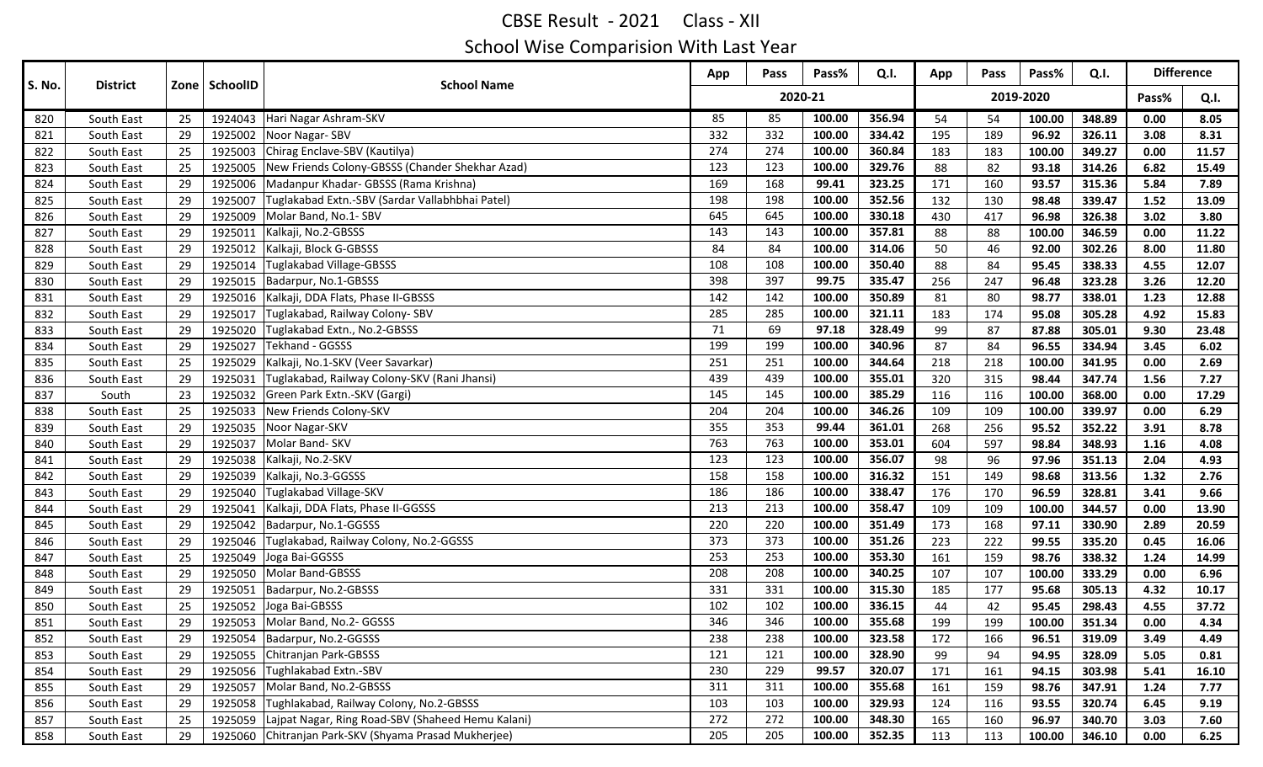| S. No. | <b>District</b> |      |          | <b>School Name</b>                                        | App | Pass | Pass%   | Q.I.   | App | <b>Pass</b> | Pass%     | Q.I.   |       | <b>Difference</b> |
|--------|-----------------|------|----------|-----------------------------------------------------------|-----|------|---------|--------|-----|-------------|-----------|--------|-------|-------------------|
|        |                 | Zone | SchoolID |                                                           |     |      | 2020-21 |        |     |             | 2019-2020 |        | Pass% | Q.I.              |
| 820    | South East      | 25   |          | 1924043 Hari Nagar Ashram-SKV                             | 85  | 85   | 100.00  | 356.94 | 54  | 54          | 100.00    | 348.89 | 0.00  | 8.05              |
| 821    | South East      | 29   | 1925002  | Noor Nagar-SBV                                            | 332 | 332  | 100.00  | 334.42 | 195 | 189         | 96.92     | 326.11 | 3.08  | 8.31              |
| 822    | South East      | 25   | 1925003  | Chirag Enclave-SBV (Kautilya)                             | 274 | 274  | 100.00  | 360.84 | 183 | 183         | 100.00    | 349.27 | 0.00  | 11.57             |
| 823    | South East      | 25   | 1925005  | New Friends Colony-GBSSS (Chander Shekhar Azad)           | 123 | 123  | 100.00  | 329.76 | 88  | 82          | 93.18     | 314.26 | 6.82  | 15.49             |
| 824    | South East      | 29   |          | 1925006 Madanpur Khadar- GBSSS (Rama Krishna)             | 169 | 168  | 99.41   | 323.25 | 171 | 160         | 93.57     | 315.36 | 5.84  | 7.89              |
| 825    | South East      | 29   | 1925007  | Tuglakabad Extn.-SBV (Sardar Vallabhbhai Patel)           | 198 | 198  | 100.00  | 352.56 | 132 | 130         | 98.48     | 339.47 | 1.52  | 13.09             |
| 826    | South East      | 29   | 1925009  | Molar Band, No.1- SBV                                     | 645 | 645  | 100.00  | 330.18 | 430 | 417         | 96.98     | 326.38 | 3.02  | 3.80              |
| 827    | South East      | 29   | 1925011  | Kalkaji, No.2-GBSSS                                       | 143 | 143  | 100.00  | 357.81 | 88  | 88          | 100.00    | 346.59 | 0.00  | 11.22             |
| 828    | South East      | 29   | 1925012  | Kalkaji, Block G-GBSSS                                    | 84  | 84   | 100.00  | 314.06 | 50  | 46          | 92.00     | 302.26 | 8.00  | 11.80             |
| 829    | South East      | 29   | 1925014  | Tuglakabad Village-GBSSS                                  | 108 | 108  | 100.00  | 350.40 | 88  | 84          | 95.45     | 338.33 | 4.55  | 12.07             |
| 830    | South East      | 29   | 1925015  | Badarpur, No.1-GBSSS                                      | 398 | 397  | 99.75   | 335.47 | 256 | 247         | 96.48     | 323.28 | 3.26  | 12.20             |
| 831    | South East      | 29   | 1925016  | Kalkaji, DDA Flats, Phase II-GBSSS                        | 142 | 142  | 100.00  | 350.89 | 81  | 80          | 98.77     | 338.01 | 1.23  | 12.88             |
| 832    | South East      | 29   | 1925017  | Tuglakabad, Railway Colony-SBV                            | 285 | 285  | 100.00  | 321.11 | 183 | 174         | 95.08     | 305.28 | 4.92  | 15.83             |
| 833    | South East      | 29   | 1925020  | Tuglakabad Extn., No.2-GBSSS                              | 71  | 69   | 97.18   | 328.49 | 99  | 87          | 87.88     | 305.01 | 9.30  | 23.48             |
| 834    | South East      | 29   | 1925027  | Tekhand - GGSSS                                           | 199 | 199  | 100.00  | 340.96 | 87  | 84          | 96.55     | 334.94 | 3.45  | 6.02              |
| 835    | South East      | 25   | 1925029  | Kalkaji, No.1-SKV (Veer Savarkar)                         | 251 | 251  | 100.00  | 344.64 | 218 | 218         | 100.00    | 341.95 | 0.00  | 2.69              |
| 836    | South East      | 29   | 1925031  | Tuglakabad, Railway Colony-SKV (Rani Jhansi)              | 439 | 439  | 100.00  | 355.01 | 320 | 315         | 98.44     | 347.74 | 1.56  | 7.27              |
| 837    | South           | 23   |          | 1925032 Green Park Extn.-SKV (Gargi)                      | 145 | 145  | 100.00  | 385.29 | 116 | 116         | 100.00    | 368.00 | 0.00  | 17.29             |
| 838    | South East      | 25   | 1925033  | New Friends Colony-SKV                                    | 204 | 204  | 100.00  | 346.26 | 109 | 109         | 100.00    | 339.97 | 0.00  | 6.29              |
| 839    | South East      | 29   | 1925035  | Noor Nagar-SKV                                            | 355 | 353  | 99.44   | 361.01 | 268 | 256         | 95.52     | 352.22 | 3.91  | 8.78              |
| 840    | South East      | 29   | 1925037  | Molar Band- SKV                                           | 763 | 763  | 100.00  | 353.01 | 604 | 597         | 98.84     | 348.93 | 1.16  | 4.08              |
| 841    | South East      | 29   | 1925038  | Kalkaji, No.2-SKV                                         | 123 | 123  | 100.00  | 356.07 | 98  | 96          | 97.96     | 351.13 | 2.04  | 4.93              |
| 842    | South East      | 29   | 1925039  | Kalkaji, No.3-GGSSS                                       | 158 | 158  | 100.00  | 316.32 | 151 | 149         | 98.68     | 313.56 | 1.32  | 2.76              |
| 843    | South East      | 29   | 1925040  | Tuglakabad Village-SKV                                    | 186 | 186  | 100.00  | 338.47 | 176 | 170         | 96.59     | 328.81 | 3.41  | 9.66              |
| 844    | South East      | 29   | 1925041  | Kalkaji, DDA Flats, Phase II-GGSSS                        | 213 | 213  | 100.00  | 358.47 | 109 | 109         | 100.00    | 344.57 | 0.00  | 13.90             |
| 845    | South East      | 29   | 1925042  | Badarpur, No.1-GGSSS                                      | 220 | 220  | 100.00  | 351.49 | 173 | 168         | 97.11     | 330.90 | 2.89  | 20.59             |
| 846    | South East      | 29   | 1925046  | Tuglakabad, Railway Colony, No.2-GGSSS                    | 373 | 373  | 100.00  | 351.26 | 223 | 222         | 99.55     | 335.20 | 0.45  | 16.06             |
| 847    | South East      | 25   | 1925049  | Joga Bai-GGSSS                                            | 253 | 253  | 100.00  | 353.30 | 161 | 159         | 98.76     | 338.32 | 1.24  | 14.99             |
| 848    | South East      | 29   |          | 1925050 Molar Band-GBSSS                                  | 208 | 208  | 100.00  | 340.25 | 107 | 107         | 100.00    | 333.29 | 0.00  | 6.96              |
| 849    | South East      | 29   | 1925051  | Badarpur, No.2-GBSSS                                      | 331 | 331  | 100.00  | 315.30 | 185 | 177         | 95.68     | 305.13 | 4.32  | 10.17             |
| 850    | South East      | 25   |          | 1925052 Joga Bai-GBSSS                                    | 102 | 102  | 100.00  | 336.15 | 44  | 42          | 95.45     | 298.43 | 4.55  | 37.72             |
| 851    | South East      | 29   |          | 1925053 Molar Band, No.2- GGSSS                           | 346 | 346  | 100.00  | 355.68 | 199 | 199         | 100.00    | 351.34 | 0.00  | 4.34              |
| 852    | South East      | 29   |          | 1925054 Badarpur, No.2-GGSSS                              | 238 | 238  | 100.00  | 323.58 | 172 | 166         | 96.51     | 319.09 | 3.49  | 4.49              |
| 853    | South East      | 29   |          | 1925055 Chitranjan Park-GBSSS                             | 121 | 121  | 100.00  | 328.90 | 99  | 94          | 94.95     | 328.09 | 5.05  | 0.81              |
| 854    | South East      | 29   |          | 1925056 Tughlakabad Extn.-SBV                             | 230 | 229  | 99.57   | 320.07 | 171 | 161         | 94.15     | 303.98 | 5.41  | 16.10             |
| 855    | South East      | 29   |          | 1925057 Molar Band, No.2-GBSSS                            | 311 | 311  | 100.00  | 355.68 | 161 | 159         | 98.76     | 347.91 | 1.24  | 7.77              |
| 856    | South East      | 29   |          | 1925058 Tughlakabad, Railway Colony, No.2-GBSSS           | 103 | 103  | 100.00  | 329.93 | 124 | 116         | 93.55     | 320.74 | 6.45  | 9.19              |
| 857    | South East      | 25   |          | 1925059 Lajpat Nagar, Ring Road-SBV (Shaheed Hemu Kalani) | 272 | 272  | 100.00  | 348.30 | 165 | 160         | 96.97     | 340.70 | 3.03  | 7.60              |
| 858    | South East      | 29   |          | 1925060 Chitranjan Park-SKV (Shyama Prasad Mukherjee)     | 205 | 205  | 100.00  | 352.35 | 113 | 113         | 100.00    | 346.10 | 0.00  | 6.25              |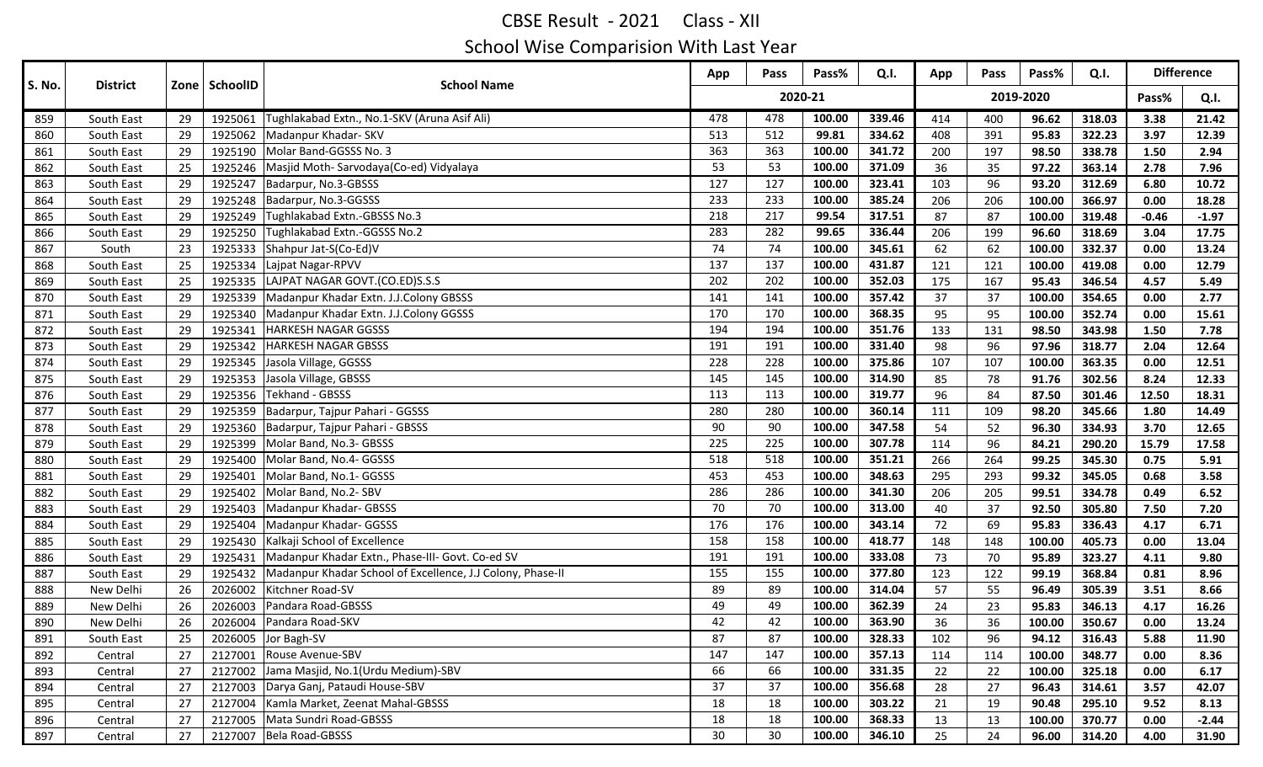|        |                 |    |                 | <b>School Name</b>                                         | App | Pass | Pass%   | Q.I.   | App | Pass | Pass%     | Q.I.   |         | <b>Difference</b> |
|--------|-----------------|----|-----------------|------------------------------------------------------------|-----|------|---------|--------|-----|------|-----------|--------|---------|-------------------|
| S. No. | <b>District</b> |    | Zone   SchoolID |                                                            |     |      | 2020-21 |        |     |      | 2019-2020 |        | Pass%   | Q.I.              |
| 859    | South East      | 29 | 1925061         | Tughlakabad Extn., No.1-SKV (Aruna Asif Ali)               | 478 | 478  | 100.00  | 339.46 | 414 | 400  | 96.62     | 318.03 | 3.38    | 21.42             |
| 860    | South East      | 29 | 1925062         | Madanpur Khadar- SKV                                       | 513 | 512  | 99.81   | 334.62 | 408 | 391  | 95.83     | 322.23 | 3.97    | 12.39             |
| 861    | South East      | 29 | 1925190         | Molar Band-GGSSS No. 3                                     | 363 | 363  | 100.00  | 341.72 | 200 | 197  | 98.50     | 338.78 | 1.50    | 2.94              |
| 862    | South East      | 25 | 1925246         | Masjid Moth-Sarvodaya(Co-ed) Vidyalaya                     | 53  | 53   | 100.00  | 371.09 | 36  | 35   | 97.22     | 363.14 | 2.78    | 7.96              |
| 863    | South East      | 29 | 1925247         | Badarpur, No.3-GBSSS                                       | 127 | 127  | 100.00  | 323.41 | 103 | 96   | 93.20     | 312.69 | 6.80    | 10.72             |
| 864    | South East      | 29 | 1925248         | Badarpur, No.3-GGSSS                                       | 233 | 233  | 100.00  | 385.24 | 206 | 206  | 100.00    | 366.97 | 0.00    | 18.28             |
| 865    | South East      | 29 |                 | 1925249 Tughlakabad Extn.-GBSSS No.3                       | 218 | 217  | 99.54   | 317.51 | 87  | 87   | 100.00    | 319.48 | $-0.46$ | $-1.97$           |
| 866    | South East      | 29 | 1925250         | Tughlakabad Extn.-GGSSS No.2                               | 283 | 282  | 99.65   | 336.44 | 206 | 199  | 96.60     | 318.69 | 3.04    | 17.75             |
| 867    | South           | 23 | 1925333         | Shahpur Jat-S(Co-Ed)V                                      | 74  | 74   | 100.00  | 345.61 | 62  | 62   | 100.00    | 332.37 | 0.00    | 13.24             |
| 868    | South East      | 25 | 1925334         | Lajpat Nagar-RPVV                                          | 137 | 137  | 100.00  | 431.87 | 121 | 121  | 100.00    | 419.08 | 0.00    | 12.79             |
| 869    | South East      | 25 |                 | 1925335 LAJPAT NAGAR GOVT.(CO.ED)S.S.S                     | 202 | 202  | 100.00  | 352.03 | 175 | 167  | 95.43     | 346.54 | 4.57    | 5.49              |
| 870    | South East      | 29 | 1925339         | Madanpur Khadar Extn. J.J.Colony GBSSS                     | 141 | 141  | 100.00  | 357.42 | 37  | 37   | 100.00    | 354.65 | 0.00    | 2.77              |
| 871    | South East      | 29 | 1925340         | Madanpur Khadar Extn. J.J.Colony GGSSS                     | 170 | 170  | 100.00  | 368.35 | 95  | 95   | 100.00    | 352.74 | 0.00    | 15.61             |
| 872    | South East      | 29 | 1925341         | <b>HARKESH NAGAR GGSSS</b>                                 | 194 | 194  | 100.00  | 351.76 | 133 | 131  | 98.50     | 343.98 | 1.50    | 7.78              |
| 873    | South East      | 29 | 1925342         | <b>HARKESH NAGAR GBSSS</b>                                 | 191 | 191  | 100.00  | 331.40 | 98  | 96   | 97.96     | 318.77 | 2.04    | 12.64             |
| 874    | South East      | 29 | 1925345         | Jasola Village, GGSSS                                      | 228 | 228  | 100.00  | 375.86 | 107 | 107  | 100.00    | 363.35 | 0.00    | 12.51             |
| 875    | South East      | 29 | 1925353         | Jasola Village, GBSSS                                      | 145 | 145  | 100.00  | 314.90 | 85  | 78   | 91.76     | 302.56 | 8.24    | 12.33             |
| 876    | South East      | 29 |                 | 1925356 Tekhand - GBSSS                                    | 113 | 113  | 100.00  | 319.77 | 96  | 84   | 87.50     | 301.46 | 12.50   | 18.31             |
| 877    | South East      | 29 | 1925359         | Badarpur, Tajpur Pahari - GGSSS                            | 280 | 280  | 100.00  | 360.14 | 111 | 109  | 98.20     | 345.66 | 1.80    | 14.49             |
| 878    | South East      | 29 | 1925360         | Badarpur, Tajpur Pahari - GBSSS                            | 90  | 90   | 100.00  | 347.58 | 54  | 52   | 96.30     | 334.93 | 3.70    | 12.65             |
| 879    | South East      | 29 | 1925399         | Molar Band, No.3- GBSSS                                    | 225 | 225  | 100.00  | 307.78 | 114 | 96   | 84.21     | 290.20 | 15.79   | 17.58             |
| 880    | South East      | 29 | 1925400         | Molar Band, No.4- GGSSS                                    | 518 | 518  | 100.00  | 351.21 | 266 | 264  | 99.25     | 345.30 | 0.75    | 5.91              |
| 881    | South East      | 29 | 1925401         | Molar Band, No.1- GGSSS                                    | 453 | 453  | 100.00  | 348.63 | 295 | 293  | 99.32     | 345.05 | 0.68    | 3.58              |
| 882    | South East      | 29 | 1925402         | Molar Band, No.2- SBV                                      | 286 | 286  | 100.00  | 341.30 | 206 | 205  | 99.51     | 334.78 | 0.49    | 6.52              |
| 883    | South East      | 29 | 1925403         | Madanpur Khadar- GBSSS                                     | 70  | 70   | 100.00  | 313.00 | 40  | 37   | 92.50     | 305.80 | 7.50    | 7.20              |
| 884    | South East      | 29 | 1925404         | Madanpur Khadar- GGSSS                                     | 176 | 176  | 100.00  | 343.14 | 72  | 69   | 95.83     | 336.43 | 4.17    | 6.71              |
| 885    | South East      | 29 | 1925430         | Kalkaji School of Excellence                               | 158 | 158  | 100.00  | 418.77 | 148 | 148  | 100.00    | 405.73 | 0.00    | 13.04             |
| 886    | South East      | 29 | 1925431         | Madanpur Khadar Extn., Phase-III- Govt. Co-ed SV           | 191 | 191  | 100.00  | 333.08 | 73  | 70   | 95.89     | 323.27 | 4.11    | 9.80              |
| 887    | South East      | 29 | 1925432         | Madanpur Khadar School of Excellence, J.J Colony, Phase-II | 155 | 155  | 100.00  | 377.80 | 123 | 122  | 99.19     | 368.84 | 0.81    | 8.96              |
| 888    | New Delhi       | 26 | 2026002         | Kitchner Road-SV                                           | 89  | 89   | 100.00  | 314.04 | 57  | 55   | 96.49     | 305.39 | 3.51    | 8.66              |
| 889    | New Delhi       | 26 | 2026003         | Pandara Road-GBSSS                                         | 49  | 49   | 100.00  | 362.39 | 24  | 23   | 95.83     | 346.13 | 4.17    | 16.26             |
| 890    | New Delhi       | 26 |                 | 2026004 Pandara Road-SKV                                   | 42  | 42   | 100.00  | 363.90 | 36  | 36   | 100.00    | 350.67 | 0.00    | 13.24             |
| 891    | South East      | 25 |                 | 2026005 Jor Bagh-SV                                        | 87  | 87   | 100.00  | 328.33 | 102 | 96   | 94.12     | 316.43 | 5.88    | 11.90             |
| 892    | Central         | 27 |                 | 2127001 Rouse Avenue-SBV                                   | 147 | 147  | 100.00  | 357.13 | 114 | 114  | 100.00    | 348.77 | 0.00    | 8.36              |
| 893    | Central         | 27 |                 | 2127002 Jama Masjid, No.1(Urdu Medium)-SBV                 | 66  | 66   | 100.00  | 331.35 | 22  | 22   | 100.00    | 325.18 | 0.00    | 6.17              |
| 894    | Central         | 27 |                 | 2127003   Darya Ganj, Pataudi House-SBV                    | 37  | 37   | 100.00  | 356.68 | 28  | 27   | 96.43     | 314.61 | 3.57    | 42.07             |
| 895    | Central         | 27 |                 | 2127004 Kamla Market, Zeenat Mahal-GBSSS                   | 18  | 18   | 100.00  | 303.22 | 21  | 19   | 90.48     | 295.10 | 9.52    | 8.13              |
| 896    | Central         | 27 |                 | 2127005 Mata Sundri Road-GBSSS                             | 18  | 18   | 100.00  | 368.33 | 13  | 13   | 100.00    | 370.77 | 0.00    | $-2.44$           |
| 897    | Central         | 27 |                 | 2127007 Bela Road-GBSSS                                    | 30  | 30   | 100.00  | 346.10 | 25  | 24   | 96.00     | 314.20 | 4.00    | 31.90             |